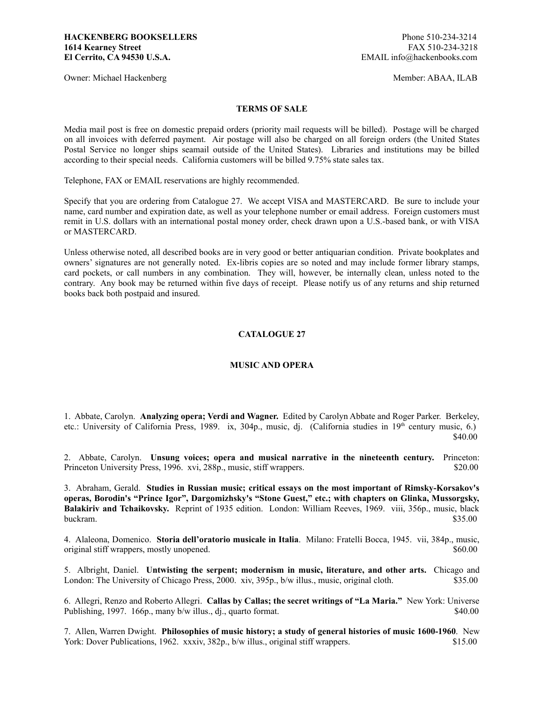Owner: Michael Hackenberg Member: ABAA, ILAB

## **TERMS OF SALE**

Media mail post is free on domestic prepaid orders (priority mail requests will be billed). Postage will be charged on all invoices with deferred payment. Air postage will also be charged on all foreign orders (the United States Postal Service no longer ships seamail outside of the United States). Libraries and institutions may be billed according to their special needs. California customers will be billed 9.75% state sales tax.

Telephone, FAX or EMAIL reservations are highly recommended.

Specify that you are ordering from Catalogue 27. We accept VISA and MASTERCARD. Be sure to include your name, card number and expiration date, as well as your telephone number or email address. Foreign customers must remit in U.S. dollars with an international postal money order, check drawn upon a U.S.-based bank, or with VISA or MASTERCARD.

Unless otherwise noted, all described books are in very good or better antiquarian condition. Private bookplates and owners' signatures are not generally noted. Ex-libris copies are so noted and may include former library stamps, card pockets, or call numbers in any combination. They will, however, be internally clean, unless noted to the contrary. Any book may be returned within five days of receipt. Please notify us of any returns and ship returned books back both postpaid and insured.

## **CATALOGUE 27**

## **MUSIC AND OPERA**

1. Abbate, Carolyn. **Analyzing opera; Verdi and Wagner.** Edited by Carolyn Abbate and Roger Parker. Berkeley, etc.: University of California Press, 1989. ix, 304p., music, dj. (California studies in 19<sup>th</sup> century music, 6.) \$40.00

2. Abbate, Carolyn. **Unsung voices; opera and musical narrative in the nineteenth century.** Princeton: Princeton University Press, 1996. xvi, 288p., music, stiff wrappers. \$20.00

3. Abraham, Gerald. **Studies in Russian music; critical essays on the most important of Rimsky-Korsakov's operas, Borodin's "Prince Igor", Dargomizhsky's "Stone Guest," etc.; with chapters on Glinka, Mussorgsky, Balakiriv and Tchaikovsky.** Reprint of 1935 edition. London: William Reeves, 1969. viii, 356p., music, black buckram. \$35.00

4. Alaleona, Domenico. **Storia dell'oratorio musicale in Italia**. Milano: Fratelli Bocca, 1945. vii, 384p., music, original stiff wrappers, mostly unopened.  $$60.00$ 

5. Albright, Daniel. **Untwisting the serpent; modernism in music, literature, and other arts.** Chicago and London: The University of Chicago Press, 2000. xiv, 395p., b/w illus., music, original cloth. \$35.00

6. Allegri, Renzo and Roberto Allegri. **Callas by Callas; the secret writings of "La Maria."** New York: Universe Publishing, 1997. 166p., many b/w illus., dj., quarto format. \$40.00

7. Allen, Warren Dwight. **Philosophies of music history; a study of general histories of music 1600-1960**. New York: Dover Publications, 1962. xxxiv, 382p., b/w illus., original stiff wrappers. \$15.00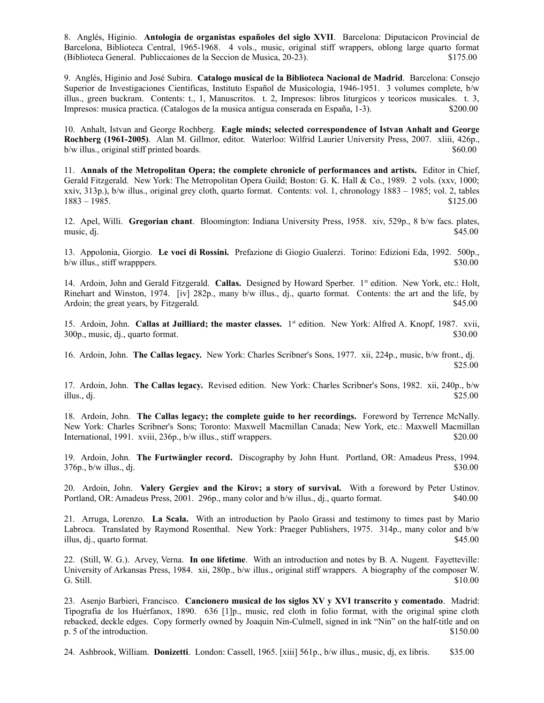8. Anglés, Higinio. **Antologia de organistas españoles del siglo XVII**. Barcelona: Diputacicon Provincial de Barcelona, Biblioteca Central, 1965-1968. 4 vols., music, original stiff wrappers, oblong large quarto format (Biblioteca General. Publiccaiones de la Seccion de Musica, 20-23). \$175.00

9. Anglés, Higinio and José Subira. **Catalogo musical de la Biblioteca Nacional de Madrid**. Barcelona: Consejo Superior de Investigaciones Cientificas, Instituto Español de Musicologia, 1946-1951. 3 volumes complete, b/w illus., green buckram. Contents: t., 1, Manuscritos. t. 2, Impresos: libros liturgicos y teoricos musicales. t. 3, Impresos: musica practica. (Catalogos de la musica antigua conserada en España, 1-3). \$200.00

10. Anhalt, Istvan and George Rochberg. **Eagle minds; selected correspondence of Istvan Anhalt and George Rochberg (1961-2005)**. Alan M. Gillmor, editor. Waterloo: Wilfrid Laurier University Press, 2007. xliii, 426p., b/w illus., original stiff printed boards.  $$60.00$ 

11. **Annals of the Metropolitan Opera; the complete chronicle of performances and artists.** Editor in Chief, Gerald Fitzgerald. New York: The Metropolitan Opera Guild; Boston: G. K. Hall & Co., 1989. 2 vols. (xxv, 1000; xxiv, 313p.), b/w illus., original grey cloth, quarto format. Contents: vol. 1, chronology 1883 – 1985; vol. 2, tables 1883 – 1985. \$125.00

12. Apel, Willi. **Gregorian chant**. Bloomington: Indiana University Press, 1958. xiv, 529p., 8 b/w facs. plates, music, dj.  $$45.00$ 

13. Appolonia, Giorgio. **Le voci di Rossini.** Prefazione di Giogio Gualerzi. Torino: Edizioni Eda, 1992. 500p., b/w illus., stiff wrapppers. \$30.00

14. Ardoin, John and Gerald Fitzgerald. **Callas.** Designed by Howard Sperber. 1st edition. New York, etc.: Holt, Rinehart and Winston, 1974. [iv] 282p., many b/w illus., dj., quarto format. Contents: the art and the life, by Ardoin; the great years, by Fitzgerald.  $$45.00$ 

15. Ardoin, John. **Callas at Juilliard; the master classes.** 1st edition. New York: Alfred A. Knopf, 1987. xvii, 300p., music, dj., quarto format. \$30.00

16. Ardoin, John. **The Callas legacy.** New York: Charles Scribner's Sons, 1977. xii, 224p., music, b/w front., dj. \$25.00

17. Ardoin, John. **The Callas legacy.** Revised edition. New York: Charles Scribner's Sons, 1982. xii, 240p., b/w illus., dj.  $$25.00$ 

18. Ardoin, John. **The Callas legacy; the complete guide to her recordings.** Foreword by Terrence McNally. New York: Charles Scribner's Sons; Toronto: Maxwell Macmillan Canada; New York, etc.: Maxwell Macmillan International, 1991. xviii, 236p., b/w illus., stiff wrappers. \$20.00

19. Ardoin, John. **The Furtwängler record.** Discography by John Hunt. Portland, OR: Amadeus Press, 1994.  $376p$ , b/w illus., dj.  $$30.00$ 

20. Ardoin, John. **Valery Gergiev and the Kirov; a story of survival.** With a foreword by Peter Ustinov. Portland, OR: Amadeus Press, 2001. 296p., many color and b/w illus., dj., quarto format. \$40.00

21. Arruga, Lorenzo. **La Scala.** With an introduction by Paolo Grassi and testimony to times past by Mario Labroca. Translated by Raymond Rosenthal. New York: Praeger Publishers, 1975. 314p., many color and b/w illus, dj., quarto format. \$45.00

22. (Still, W. G.). Arvey, Verna. **In one lifetime**. With an introduction and notes by B. A. Nugent. Fayetteville: University of Arkansas Press, 1984. xii, 280p., b/w illus., original stiff wrappers. A biography of the composer W. G. Still.  $\qquad \qquad$  S10.00

23. Asenjo Barbieri, Francisco. **Cancionero musical de los siglos XV y XVI transcrito y comentado**. Madrid: Tipografia de los Huérfanox, 1890. 636 [1]p., music, red cloth in folio format, with the original spine cloth rebacked, deckle edges. Copy formerly owned by Joaquin Nin-Culmell, signed in ink "Nin" on the half-title and on p. 5 of the introduction. \$150.00

24. Ashbrook, William. **Donizetti**. London: Cassell, 1965. [xiii] 561p., b/w illus., music, dj, ex libris. \$35.00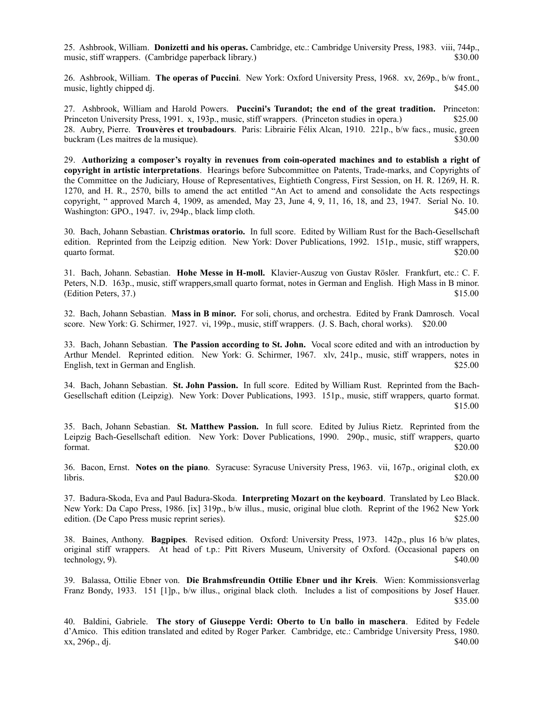25. Ashbrook, William. **Donizetti and his operas.** Cambridge, etc.: Cambridge University Press, 1983. viii, 744p., music, stiff wrappers. (Cambridge paperback library.) \$30.00

26. Ashbrook, William. **The operas of Puccini**. New York: Oxford University Press, 1968. xv, 269p., b/w front., music, lightly chipped dj.  $$45.00$ 

27. Ashbrook, William and Harold Powers. **Puccini's Turandot; the end of the great tradition.** Princeton: Princeton University Press, 1991. x, 193p., music, stiff wrappers. (Princeton studies in opera.) \$25.00 28. Aubry, Pierre. **Trouvères et troubadours**. Paris: Librairie Félix Alcan, 1910. 221p., b/w facs., music, green buckram (Les maitres de la musique). \$30.00

29. **Authorizing a composer's royalty in revenues from coin-operated machines and to establish a right of copyright in artistic interpretations**. Hearings before Subcommittee on Patents, Trade-marks, and Copyrights of the Committee on the Judiciary, House of Representatives, Eightieth Congress, First Session, on H. R. 1269, H. R. 1270, and H. R., 2570, bills to amend the act entitled "An Act to amend and consolidate the Acts respectings copyright, " approved March 4, 1909, as amended, May 23, June 4, 9, 11, 16, 18, and 23, 1947. Serial No. 10. Washington: GPO., 1947. iv, 294p., black limp cloth.  $\frac{1}{2}$  same set of the set of the set of the set of the set of the set of the set of the set of the set of the set of the set of the set of the set of the set of the

30. Bach, Johann Sebastian. **Christmas oratorio.** In full score. Edited by William Rust for the Bach-Gesellschaft edition. Reprinted from the Leipzig edition. New York: Dover Publications, 1992. 151p., music, stiff wrappers, quarto format. \$20.00

31. Bach, Johann. Sebastian. **Hohe Messe in H-moll.** Klavier-Auszug von Gustav Rösler. Frankfurt, etc.: C. F. Peters, N.D. 163p., music, stiff wrappers,small quarto format, notes in German and English. High Mass in B minor. (Edition Peters, 37.) \$15.00

32. Bach, Johann Sebastian. **Mass in B minor.** For soli, chorus, and orchestra. Edited by Frank Damrosch. Vocal score. New York: G. Schirmer, 1927. vi, 199p., music, stiff wrappers. (J. S. Bach, choral works). \$20.00

33. Bach, Johann Sebastian. **The Passion according to St. John.** Vocal score edited and with an introduction by Arthur Mendel. Reprinted edition. New York: G. Schirmer, 1967. xlv, 241p., music, stiff wrappers, notes in English, text in German and English. \$25.00

34. Bach, Johann Sebastian. **St. John Passion.** In full score. Edited by William Rust. Reprinted from the Bach-Gesellschaft edition (Leipzig). New York: Dover Publications, 1993. 151p., music, stiff wrappers, quarto format. \$15.00

35. Bach, Johann Sebastian. **St. Matthew Passion.** In full score. Edited by Julius Rietz. Reprinted from the Leipzig Bach-Gesellschaft edition. New York: Dover Publications, 1990. 290p., music, stiff wrappers, quarto format.  $$20.00$ 

36. Bacon, Ernst. **Notes on the piano**. Syracuse: Syracuse University Press, 1963. vii, 167p., original cloth, ex  $\frac{1}{20.00}$  libris.

37. Badura-Skoda, Eva and Paul Badura-Skoda. **Interpreting Mozart on the keyboard**. Translated by Leo Black. New York: Da Capo Press, 1986. [ix] 319p., b/w illus., music, original blue cloth. Reprint of the 1962 New York edition. (De Capo Press music reprint series). \$25.00

38. Baines, Anthony. **Bagpipes**. Revised edition. Oxford: University Press, 1973. 142p., plus 16 b/w plates, original stiff wrappers. At head of t.p.: Pitt Rivers Museum, University of Oxford. (Occasional papers on  $\epsilon$  technology, 9).  $\frac{1}{2}$ 

39. Balassa, Ottilie Ebner von. **Die Brahmsfreundin Ottilie Ebner und ihr Kreis**. Wien: Kommissionsverlag Franz Bondy, 1933. 151 [1]p., b/w illus., original black cloth. Includes a list of compositions by Josef Hauer. \$35.00

40. Baldini, Gabriele. **The story of Giuseppe Verdi: Oberto to Un ballo in maschera**. Edited by Fedele d'Amico. This edition translated and edited by Roger Parker. Cambridge, etc.: Cambridge University Press, 1980. xx, 296p., dj. \$40.00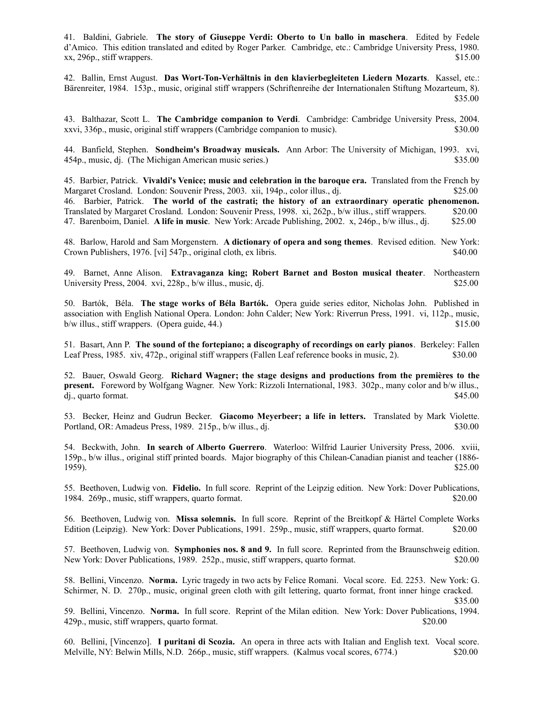41. Baldini, Gabriele. **The story of Giuseppe Verdi: Oberto to Un ballo in maschera**. Edited by Fedele d'Amico. This edition translated and edited by Roger Parker. Cambridge, etc.: Cambridge University Press, 1980. xx, 296p., stiff wrappers. \$15.00

42. Ballin, Ernst August. **Das Wort-Ton-Verhältnis in den klavierbegleiteten Liedern Mozarts**. Kassel, etc.: Bärenreiter, 1984. 153p., music, original stiff wrappers (Schriftenreihe der Internationalen Stiftung Mozarteum, 8). \$35.00

43. Balthazar, Scott L. **The Cambridge companion to Verdi**. Cambridge: Cambridge University Press, 2004. xxvi, 336p., music, original stiff wrappers (Cambridge companion to music). \$30.00

44. Banfield, Stephen. **Sondheim's Broadway musicals.** Ann Arbor: The University of Michigan, 1993. xvi, 454p., music, dj. (The Michigan American music series.) \$35.00

45. Barbier, Patrick. **Vivaldi's Venice; music and celebration in the baroque era.** Translated from the French by Margaret Crosland. London: Souvenir Press, 2003. xii, 194p., color illus., dj. \$25.00 46. Barbier, Patrick. **The world of the castrati; the history of an extraordinary operatic phenomenon.** Translated by Margaret Crosland. London: Souvenir Press, 1998. xi, 262p., b/w illus., stiff wrappers. \$20.00 47. Barenboim, Daniel. **A life in music**. New York: Arcade Publishing, 2002. x, 246p., b/w illus., dj. \$25.00

48. Barlow, Harold and Sam Morgenstern. **A dictionary of opera and song themes**. Revised edition. New York: Crown Publishers, 1976. [vi] 547p., original cloth, ex libris. \$40.00

49. Barnet, Anne Alison. **Extravaganza king; Robert Barnet and Boston musical theater**. Northeastern University Press, 2004. xvi, 228p., b/w illus., music, dj.  $$25.00$ 

50. Bartók, Béla. **The stage works of Béla Bartók.** Opera guide series editor, Nicholas John. Published in association with English National Opera. London: John Calder; New York: Riverrun Press, 1991. vi, 112p., music,  $b/w$  illus., stiff wrappers. (Opera guide, 44.)  $$15.00$ 

51. Basart, Ann P. **The sound of the fortepiano; a discography of recordings on early pianos**. Berkeley: Fallen Leaf Press, 1985. xiv, 472p., original stiff wrappers (Fallen Leaf reference books in music, 2). \$30.00

52. Bauer, Oswald Georg. **Richard Wagner; the stage designs and productions from the premières to the present.** Foreword by Wolfgang Wagner. New York: Rizzoli International, 1983. 302p., many color and b/w illus., dj., quarto format. \$45.00

53. Becker, Heinz and Gudrun Becker. **Giacomo Meyerbeer; a life in letters.** Translated by Mark Violette. Portland, OR: Amadeus Press, 1989. 215p., b/w illus., dj.  $\frac{1}{2}$  \$30.000 \$30.00

54. Beckwith, John. **In search of Alberto Guerrero**. Waterloo: Wilfrid Laurier University Press, 2006. xviii, 159p., b/w illus., original stiff printed boards. Major biography of this Chilean-Canadian pianist and teacher (1886- 1959). \$25.00

55. Beethoven, Ludwig von. **Fidelio.** In full score. Reprint of the Leipzig edition. New York: Dover Publications, 1984. 269p., music, stiff wrappers, quarto format. \$20.00

56. Beethoven, Ludwig von. **Missa solemnis.** In full score. Reprint of the Breitkopf & Härtel Complete Works Edition (Leipzig). New York: Dover Publications, 1991. 259p., music, stiff wrappers, quarto format. \$20.00

57. Beethoven, Ludwig von. **Symphonies nos. 8 and 9.** In full score. Reprinted from the Braunschweig edition. New York: Dover Publications, 1989. 252p., music, stiff wrappers, quarto format. \$20.00

58. Bellini, Vincenzo. **Norma.** Lyric tragedy in two acts by Felice Romani. Vocal score. Ed. 2253. New York: G. Schirmer, N. D. 270p., music, original green cloth with gilt lettering, quarto format, front inner hinge cracked.

\$35.00

59. Bellini, Vincenzo. **Norma.** In full score. Reprint of the Milan edition. New York: Dover Publications, 1994. 429p., music, stiff wrappers, quarto format. \$20.00

60. Bellini, [Vincenzo]. **I puritani di Scozia.** An opera in three acts with Italian and English text. Vocal score. Melville, NY: Belwin Mills, N.D. 266p., music, stiff wrappers. (Kalmus vocal scores, 6774.) \$20.00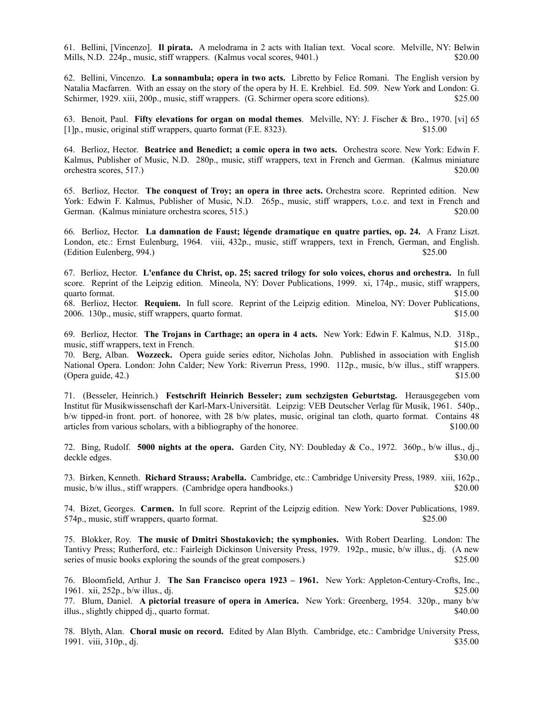61. Bellini, [Vincenzo]. **Il pirata.** A melodrama in 2 acts with Italian text. Vocal score. Melville, NY: Belwin Mills, N.D. 224p., music, stiff wrappers. (Kalmus vocal scores, 9401.) \$20.00

62. Bellini, Vincenzo. **La sonnambula; opera in two acts.** Libretto by Felice Romani. The English version by Natalia Macfarren. With an essay on the story of the opera by H. E. Krehbiel. Ed. 509. New York and London: G. Schirmer, 1929. xiii, 200p., music, stiff wrappers. (G. Schirmer opera score editions). \$25.00

63. Benoit, Paul. **Fifty elevations for organ on modal themes**. Melville, NY: J. Fischer & Bro., 1970. [vi] 65 [1]p., music, original stiff wrappers, quarto format (F.E. 8323). \$15.00

64. Berlioz, Hector. **Beatrice and Benedict; a comic opera in two acts.** Orchestra score. New York: Edwin F. Kalmus, Publisher of Music, N.D. 280p., music, stiff wrappers, text in French and German. (Kalmus miniature orchestra scores, 517.) \$20.00

65. Berlioz, Hector. **The conquest of Troy; an opera in three acts.** Orchestra score. Reprinted edition. New York: Edwin F. Kalmus, Publisher of Music, N.D. 265p., music, stiff wrappers, t.o.c. and text in French and German. (Kalmus miniature orchestra scores, 515.) \$20.00

66. Berlioz, Hector. **La damnation de Faust; légende dramatique en quatre parties, op. 24.** A Franz Liszt. London, etc.: Ernst Eulenburg, 1964. viii, 432p., music, stiff wrappers, text in French, German, and English.  $\left($ Edition Eulenberg, 994.)  $\frac{1}{25.00}$ 

67. Berlioz, Hector. **L'enfance du Christ, op. 25; sacred trilogy for solo voices, chorus and orchestra.** In full score. Reprint of the Leipzig edition. Mineola, NY: Dover Publications, 1999. xi, 174p., music, stiff wrappers, quarto format. \$15.00

68. Berlioz, Hector. **Requiem.** In full score. Reprint of the Leipzig edition. Mineloa, NY: Dover Publications, 2006. 130p., music, stiff wrappers, quarto format. \$15.00

69. Berlioz, Hector. **The Trojans in Carthage; an opera in 4 acts.** New York: Edwin F. Kalmus, N.D. 318p., music, stiff wrappers, text in French.  $$15.00$ 

70. Berg, Alban. **Wozzeck.** Opera guide series editor, Nicholas John. Published in association with English National Opera. London: John Calder; New York: Riverrun Press, 1990. 112p., music, b/w illus., stiff wrappers.  $(\text{Opera guide}, 42.)$  \$15.00

71. (Besseler, Heinrich.) **Festschrift Heinrich Besseler; zum sechzigsten Geburtstag.** Herausgegeben vom Institut für Musikwissenschaft der Karl-Marx-Universität. Leipzig: VEB Deutscher Verlag für Musik, 1961. 540p., b/w tipped-in front. port. of honoree, with 28 b/w plates, music, original tan cloth, quarto format. Contains 48 articles from various scholars, with a bibliography of the honoree. \$100.00

72. Bing, Rudolf. **5000 nights at the opera.** Garden City, NY: Doubleday & Co., 1972. 360p., b/w illus., dj., deckle edges. \$30.00

73. Birken, Kenneth. **Richard Strauss; Arabella.** Cambridge, etc.: Cambridge University Press, 1989. xiii, 162p., music, b/w illus., stiff wrappers. (Cambridge opera handbooks.) \$20.00

74. Bizet, Georges. **Carmen.** In full score. Reprint of the Leipzig edition. New York: Dover Publications, 1989. 574p., music, stiff wrappers, quarto format. \$25.00

75. Blokker, Roy. **The music of Dmitri Shostakovich; the symphonies.** With Robert Dearling. London: The Tantivy Press; Rutherford, etc.: Fairleigh Dickinson University Press, 1979. 192p., music, b/w illus., dj. (A new series of music books exploring the sounds of the great composers.) \$25.00

76. Bloomfield, Arthur J. **The San Francisco opera 1923 – 1961.** New York: Appleton-Century-Crofts, Inc., 1961. xii, 252p., b/w illus., di.  $\frac{1}{25.00}$ 

77. Blum, Daniel. **A pictorial treasure of opera in America.** New York: Greenberg, 1954. 320p., many b/w illus., slightly chipped dj., quarto format. \$40.00

78. Blyth, Alan. **Choral music on record.** Edited by Alan Blyth. Cambridge, etc.: Cambridge University Press, 1991. viii, 310p., dj. \$35.00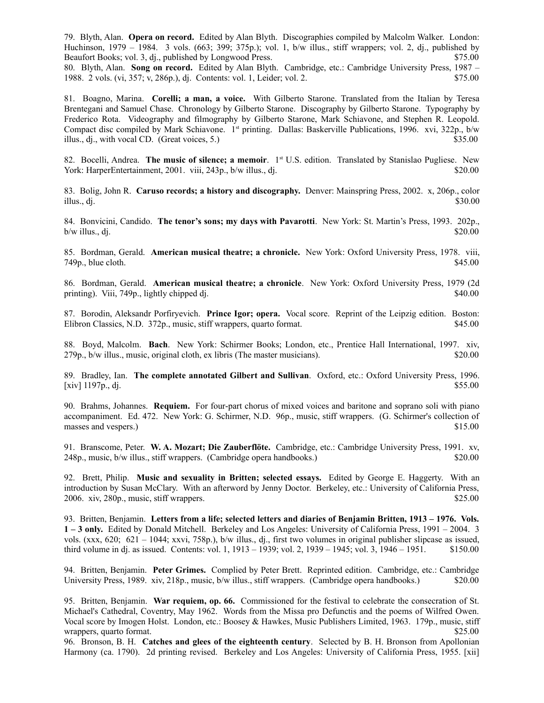79. Blyth, Alan. **Opera on record.** Edited by Alan Blyth. Discographies compiled by Malcolm Walker. London: Huchinson, 1979 – 1984. 3 vols. (663; 399; 375p.); vol. 1, b/w illus., stiff wrappers; vol. 2, dj., published by Beaufort Books; vol. 3, dj., published by Longwood Press. \$75.00

80. Blyth, Alan. **Song on record.** Edited by Alan Blyth. Cambridge, etc.: Cambridge University Press, 1987 – 1988. 2 vols. (vi, 357; v, 286p.), dj. Contents: vol. 1, Leider; vol. 2. \$75.00

81. Boagno, Marina. **Corelli; a man, a voice.** With Gilberto Starone. Translated from the Italian by Teresa Brentegani and Samuel Chase. Chronology by Gilberto Starone. Discography by Gilberto Starone. Typography by Frederico Rota. Videography and filmography by Gilberto Starone, Mark Schiavone, and Stephen R. Leopold. Compact disc compiled by Mark Schiavone. 1<sup>st</sup> printing. Dallas: Baskerville Publications, 1996. xvi, 322p., b/w illus., dj., with vocal CD. (Great voices, 5.)  $$35.00$ 

82. Bocelli, Andrea. **The music of silence; a memoir**. 1st U.S. edition. Translated by Stanislao Pugliese. New York: HarperEntertainment, 2001. viii, 243p., b/w illus., dj. \$20.000 \$20.00

83. Bolig, John R. **Caruso records; a history and discography.** Denver: Mainspring Press, 2002. x, 206p., color illus., dj.  $$30.00$ 

84. Bonvicini, Candido. **The tenor's sons; my days with Pavarotti**. New York: St. Martin's Press, 1993. 202p.,  $b/w$  illus., dj.  $$20.00$ 

85. Bordman, Gerald. **American musical theatre; a chronicle.** New York: Oxford University Press, 1978. viii,  $749p$ , blue cloth.  $$45.00$ 

86. Bordman, Gerald. **American musical theatre; a chronicle**. New York: Oxford University Press, 1979 (2d printing). Viii, 749p., lightly chipped dj.  $\$40.00$ 

87. Borodin, Aleksandr Porfiryevich. **Prince Igor; opera.** Vocal score. Reprint of the Leipzig edition. Boston: Elibron Classics, N.D. 372p., music, stiff wrappers, quarto format. \$45.00

88. Boyd, Malcolm. **Bach**. New York: Schirmer Books; London, etc., Prentice Hall International, 1997. xiv, 279p., b/w illus., music, original cloth, ex libris (The master musicians). \$20.00

89. Bradley, Ian. **The complete annotated Gilbert and Sullivan**. Oxford, etc.: Oxford University Press, 1996.  $[xiv]$  1197p., dj.  $$55.00$ 

90. Brahms, Johannes. **Requiem.** For four-part chorus of mixed voices and baritone and soprano soli with piano accompaniment. Ed. 472. New York: G. Schirmer, N.D. 96p., music, stiff wrappers. (G. Schirmer's collection of masses and vespers.)  $$15.00$ 

91. Branscome, Peter. **W. A. Mozart; Die Zauberflöte.** Cambridge, etc.: Cambridge University Press, 1991. xv, 248p., music, b/w illus., stiff wrappers. (Cambridge opera handbooks.) \$20.00

92. Brett, Philip. **Music and sexuality in Britten; selected essays.** Edited by George E. Haggerty. With an introduction by Susan McClary. With an afterword by Jenny Doctor. Berkeley, etc.: University of California Press, 2006. xiv, 280p., music, stiff wrappers. \$25.00

93. Britten, Benjamin. **Letters from a life; selected letters and diaries of Benjamin Britten, 1913 – 1976. Vols. 1 – 3 only.** Edited by Donald Mitchell. Berkeley and Los Angeles: University of California Press, 1991 – 2004. 3 vols. (xxx, 620; 621 – 1044; xxvi, 758p.), b/w illus., dj., first two volumes in original publisher slipcase as issued, third volume in dj. as issued. Contents: vol. 1, 1913 – 1939; vol. 2, 1939 – 1945; vol. 3, 1946 – 1951. \$150.00

94. Britten, Benjamin. **Peter Grimes.** Complied by Peter Brett. Reprinted edition. Cambridge, etc.: Cambridge University Press, 1989. xiv, 218p., music, b/w illus., stiff wrappers. (Cambridge opera handbooks.) \$20.00

95. Britten, Benjamin. **War requiem, op. 66.** Commissioned for the festival to celebrate the consecration of St. Michael's Cathedral, Coventry, May 1962. Words from the Missa pro Defunctis and the poems of Wilfred Owen. Vocal score by Imogen Holst. London, etc.: Boosey & Hawkes, Music Publishers Limited, 1963. 179p., music, stiff wrappers, quarto format.  $$25.00$ 

96. Bronson, B. H. **Catches and glees of the eighteenth century**. Selected by B. H. Bronson from Apollonian Harmony (ca. 1790). 2d printing revised. Berkeley and Los Angeles: University of California Press, 1955. [xii]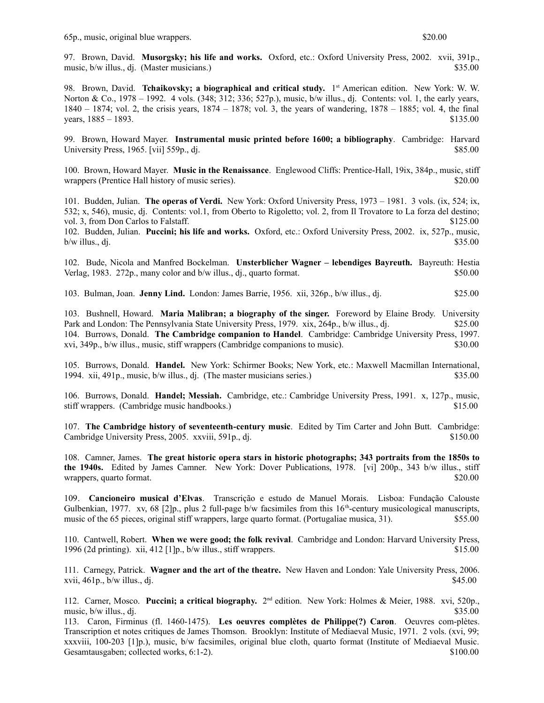97. Brown, David. **Musorgsky; his life and works.** Oxford, etc.: Oxford University Press, 2002. xvii, 391p., music, b/w illus., dj. (Master musicians.) \$35.00

98. Brown, David. **Tchaikovsky; a biographical and critical study.** 1 st American edition.New York: W. W. Norton & Co., 1978 – 1992. 4 vols. (348; 312; 336; 527p.), music, b/w illus., dj. Contents: vol. 1, the early years, 1840 – 1874; vol. 2, the crisis years, 1874 – 1878; vol. 3, the years of wandering, 1878 – 1885; vol. 4, the final years,  $1885 - 1893$ . \$135.00

99. Brown, Howard Mayer. **Instrumental music printed before 1600; a bibliography**. Cambridge: Harvard University Press, 1965. [vii] 559p., di.  $$85.00$ 

100. Brown, Howard Mayer. **Music in the Renaissance**. Englewood Cliffs: Prentice-Hall, 19ix, 384p., music, stiff wrappers (Prentice Hall history of music series). \$20.00

101. Budden, Julian. **The operas of Verdi.** New York: Oxford University Press, 1973 – 1981. 3 vols. (ix, 524; ix, 532; x, 546), music, dj. Contents: vol.1, from Oberto to Rigoletto; vol. 2, from Il Trovatore to La forza del destino; vol. 3, from Don Carlos to Falstaff.  $$125.00$ 

102. Budden, Julian. **Puccini; his life and works.** Oxford, etc.: Oxford University Press, 2002. ix, 527p., music,  $b/w$  illus., dj.  $$35.00$ 

102. Bude, Nicola and Manfred Bockelman. **Unsterblicher Wagner – lebendiges Bayreuth.** Bayreuth: Hestia Verlag, 1983. 272p., many color and b/w illus., dj., quarto format. \$50.00

103. Bulman, Joan. **Jenny Lind.** London: James Barrie, 1956. xii, 326p., b/w illus., dj. \$25.00

103. Bushnell, Howard. **Maria Malibran; a biography of the singer.** Foreword by Elaine Brody. University Park and London: The Pennsylvania State University Press, 1979. xix, 264p., b/w illus., dj. \$25.00 104. Burrows, Donald. **The Cambridge companion to Handel**. Cambridge: Cambridge University Press, 1997. xvi, 349p., b/w illus., music, stiff wrappers (Cambridge companions to music). \$30.00

105. Burrows, Donald. **Handel.** New York: Schirmer Books; New York, etc.: Maxwell Macmillan International, 1994. xii, 491p., music, b/w illus., dj. (The master musicians series.) \$35.00

106. Burrows, Donald. **Handel; Messiah.** Cambridge, etc.: Cambridge University Press, 1991. x, 127p., music, stiff wrappers. (Cambridge music handbooks.) \$15.00

107. **The Cambridge history of seventeenth-century music**. Edited by Tim Carter and John Butt. Cambridge: Cambridge University Press, 2005. xxviii, 591p., dj.  $$150.00$ 

108. Camner, James. **The great historic opera stars in historic photographs; 343 portraits from the 1850s to the 1940s.** Edited by James Camner. New York: Dover Publications, 1978. [vi] 200p., 343 b/w illus., stiff wrappers, quarto format.  $\text{\$20.00}$ 

109. **Cancioneiro musical d'Elvas**. Transcrição e estudo de Manuel Morais. Lisboa: Fundação Calouste Gulbenkian, 1977. xv, 68 [2]p., plus 2 full-page b/w facsimiles from this  $16<sup>th</sup>$ -century musicological manuscripts, music of the 65 pieces, original stiff wrappers, large quarto format. (Portugaliae musica, 31). \$55.00

110. Cantwell, Robert. **When we were good; the folk revival**. Cambridge and London: Harvard University Press, 1996 (2d printing). xii, 412 [1]p., b/w illus., stiff wrappers. \$15.00

111. Carnegy, Patrick. **Wagner and the art of the theatre.** New Haven and London: Yale University Press, 2006.  $xvii, 461p., b/w$  illus., dj.  $$45.00$ 

112. Carner, Mosco. Puccini; a critical biography. 2<sup>nd</sup> edition. New York: Holmes & Meier, 1988. xvi, 520p., music,  $b/w$  illus., dj.  $$35.00$ 

113. Caron, Firminus (fl. 1460-1475). **Les oeuvres complètes de Philippe(?) Caron**. Oeuvres com-plètes. Transcription et notes critiques de James Thomson. Brooklyn: Institute of Mediaeval Music, 1971. 2 vols. (xvi, 99; xxxviii, 100-203 [1]p.), music, b/w facsimiles, original blue cloth, quarto format (Institute of Mediaeval Music. Gesamtausgaben; collected works, 6:1-2). \$100.00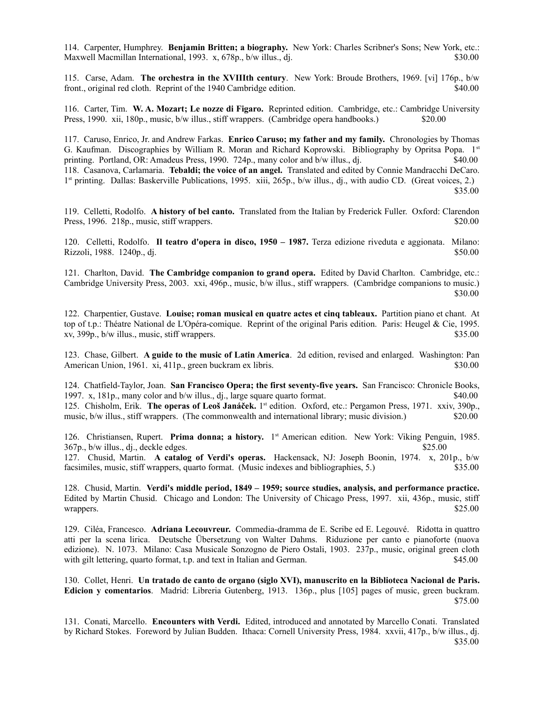114. Carpenter, Humphrey. **Benjamin Britten; a biography.** New York: Charles Scribner's Sons; New York, etc.: Maxwell Macmillan International, 1993. x, 678p., b/w illus., dj. \$30.00

115. Carse, Adam. **The orchestra in the XVIIIth century**. New York: Broude Brothers, 1969. [vi] 176p., b/w front., original red cloth. Reprint of the 1940 Cambridge edition. \$40.00

116. Carter, Tim. **W. A. Mozart; Le nozze di Figaro.** Reprinted edition.Cambridge, etc.: Cambridge University Press, 1990. xii, 180p., music, b/w illus., stiff wrappers. (Cambridge opera handbooks.) \$20.00

117. Caruso, Enrico, Jr. and Andrew Farkas. **Enrico Caruso; my father and my family.** Chronologies by Thomas G. Kaufman. Discographies by William R. Moran and Richard Koprowski. Bibliography by Opritsa Popa. 1st printing. Portland, OR: Amadeus Press, 1990. 724p., many color and b/w illus., dj. \$40.00 118. Casanova, Carlamaria. **Tebaldi; the voice of an angel.** Translated and edited by Connie Mandracchi DeCaro. 1<sup>st</sup> printing. Dallas: Baskerville Publications, 1995. xiii, 265p., b/w illus., dj., with audio CD. (Great voices, 2.) \$35.00

119. Celletti, Rodolfo. **A history of bel canto.** Translated from the Italian by Frederick Fuller. Oxford: Clarendon Press, 1996. 218p., music, stiff wrappers.  $\frac{1}{20.00}$ 

120. Celletti, Rodolfo. **Il teatro d'opera in disco, 1950 – 1987.** Terza edizione riveduta e aggionata. Milano: Rizzoli, 1988.1240p., dj. \$50.00

121. Charlton, David. **The Cambridge companion to grand opera.** Edited by David Charlton. Cambridge, etc.: Cambridge University Press, 2003. xxi, 496p., music, b/w illus., stiff wrappers. (Cambridge companions to music.) **\$30.00 \$30.00** 

122. Charpentier, Gustave. **Louise; roman musical en quatre actes et cinq tableaux.** Partition piano et chant. At top of t.p.: Théatre National de L'Opéra-comique. Reprint of the original Paris edition. Paris: Heugel & Cie, 1995. xv, 399p., b/w illus., music, stiff wrappers. \$35.00

123. Chase, Gilbert. **A guide to the music of Latin America**. 2d edition, revised and enlarged. Washington: Pan American Union, 1961. xi, 411p., green buckram ex libris. \$30.000 \$30.00

124. Chatfield-Taylor, Joan. **San Francisco Opera; the first seventy-five years.** San Francisco: Chronicle Books, 1997. x, 181p., many color and b/w illus., dj., large square quarto format. \$40.00 125. Chisholm, Erik. **The operas of Leoš Janáček.** 1<sup>st</sup> edition. Oxford, etc.: Pergamon Press, 1971. xxiv, 390p., music, b/w illus., stiff wrappers. (The commonwealth and international library; music division.) \$20.00

126. Christiansen, Rupert. Prima donna; a history. 1<sup>st</sup> American edition. New York: Viking Penguin, 1985.  $367p$ , b/w illus., dj., deckle edges.  $$25.00$ 

127. Chusid, Martin. **A catalog of Verdi's operas.** Hackensack, NJ: Joseph Boonin, 1974. x, 201p., b/w facsimiles, music, stiff wrappers, quarto format. (Music indexes and bibliographies, 5.) \$35.00

128. Chusid, Martin. **Verdi's middle period, 1849 – 1959; source studies, analysis, and performance practice.** Edited by Martin Chusid. Chicago and London: The University of Chicago Press, 1997. xii, 436p., music, stiff wrappers. \$25.00

129. Ciléa, Francesco. **Adriana Lecouvreur.** Commedia-dramma de E. Scribe ed E. Legouvé. Ridotta in quattro atti per la scena lirica. Deutsche Übersetzung von Walter Dahms. Riduzione per canto e pianoforte (nuova edizione). N. 1073. Milano: Casa Musicale Sonzogno de Piero Ostali, 1903. 237p., music, original green cloth with gilt lettering, quarto format, t.p. and text in Italian and German. \$45.000 \$45.00

130. Collet, Henri. **Un tratado de canto de organo (siglo XVI), manuscrito en la Biblioteca Nacional de Paris. Edicion y comentarios**. Madrid: Libreria Gutenberg, 1913. 136p., plus [105] pages of music, green buckram. \$75.00

131. Conati, Marcello. **Encounters with Verdi.** Edited, introduced and annotated by Marcello Conati. Translated by Richard Stokes. Foreword by Julian Budden. Ithaca: Cornell University Press, 1984. xxvii, 417p., b/w illus., dj. \$35.00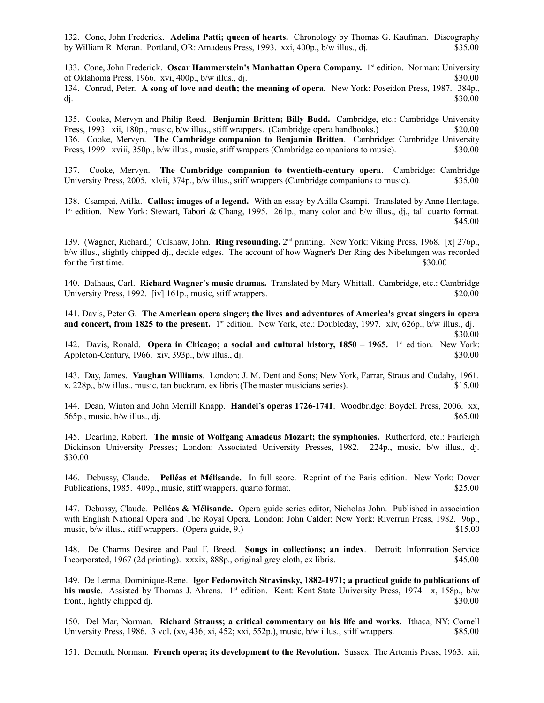132. Cone, John Frederick. **Adelina Patti; queen of hearts.** Chronology by Thomas G. Kaufman. Discography by William R. Moran. Portland, OR: Amadeus Press, 1993. xxi, 400p., b/w illus., dj. \$35.00

133. Cone, John Frederick. **Oscar Hammerstein's Manhattan Opera Company.** 1st edition. Norman: University of Oklahoma Press, 1966. xvi, 400p., b/w illus., dj. \$30.00 134. Conrad, Peter. **A song of love and death; the meaning of opera.** New York: Poseidon Press, 1987. 384p., dj.  $\text{30.00}$ 

135. Cooke, Mervyn and Philip Reed. **Benjamin Britten; Billy Budd.** Cambridge, etc.: Cambridge University Press, 1993. xii, 180p., music, b/w illus., stiff wrappers. (Cambridge opera handbooks.) \$20.00 136. Cooke, Mervyn. **The Cambridge companion to Benjamin Britten**. Cambridge: Cambridge University Press, 1999. xviii, 350p., b/w illus., music, stiff wrappers (Cambridge companions to music). \$30.00

137. Cooke, Mervyn. **The Cambridge companion to twentieth-century opera**. Cambridge: Cambridge University Press, 2005. xlvii, 374p., b/w illus., stiff wrappers (Cambridge companions to music). \$35.00

138. Csampai, Atilla. **Callas; images of a legend.** With an essay by Atilla Csampi. Translated by Anne Heritage. 1 st edition. New York: Stewart, Tabori & Chang, 1995. 261p., many color and b/w illus., dj., tall quarto format. \$45.00

139. (Wagner, Richard.) Culshaw, John. **Ring resounding.** 2<sup>nd</sup> printing. New York: Viking Press, 1968. [x] 276p., b/w illus., slightly chipped dj., deckle edges. The account of how Wagner's Der Ring des Nibelungen was recorded for the first time. \$30.00

140. Dalhaus, Carl. **Richard Wagner's music dramas.** Translated by Mary Whittall. Cambridge, etc.: Cambridge University Press, 1992. [iv] 161p., music, stiff wrappers. \$20.00

141. Davis, Peter G. **The American opera singer; the lives and adventures of America's great singers in opera and concert, from 1825 to the present.** 1 st edition. New York, etc.: Doubleday, 1997. xiv, 626p., b/w illus., dj.

$$
$30.00
$$

142. Davis, Ronald. **Opera in Chicago; a social and cultural history, 1850 – 1965.** 1 st edition. New York: Appleton-Century, 1966. xiv, 393p., b/w illus., dj.  $\frac{1}{2}$  \$30.000 \$30.00

143. Day, James. **Vaughan Williams**. London: J. M. Dent and Sons; New York, Farrar, Straus and Cudahy, 1961. x, 228p., b/w illus., music, tan buckram, ex libris (The master musicians series). \$15.00

144. Dean, Winton and John Merrill Knapp. **Handel's operas 1726-1741**. Woodbridge: Boydell Press, 2006. xx, 565p., music, b/w illus., dj.  $$65.00$ 

145. Dearling, Robert. **The music of Wolfgang Amadeus Mozart; the symphonies.** Rutherford, etc.: Fairleigh Dickinson University Presses; London: Associated University Presses, 1982. 224p., music, b/w illus., dj. \$30.00

146. Debussy, Claude. **Pelléas et Mélisande.** In full score. Reprint of the Paris edition. New York: Dover Publications, 1985. 409p., music, stiff wrappers, quarto format. \$25.00

147. Debussy, Claude. **Pelléas & Mélisande.** Opera guide series editor, Nicholas John. Published in association with English National Opera and The Royal Opera. London: John Calder; New York: Riverrun Press, 1982. 96p., music, b/w illus., stiff wrappers. (Opera guide, 9.) \$15.00

148. De Charms Desiree and Paul F. Breed. **Songs in collections; an index**. Detroit: Information Service Incorporated, 1967 (2d printing). xxxix, 888p., original grey cloth, ex libris. \$45.00

149. De Lerma, Dominique-Rene. **Igor Fedorovitch Stravinsky, 1882-1971; a practical guide to publications of his music**. Assisted by Thomas J. Ahrens. 1<sup>st</sup> edition. Kent: Kent State University Press, 1974. x, 158p., b/w front., lightly chipped dj. \$30.00

150. Del Mar, Norman. **Richard Strauss; a critical commentary on his life and works.** Ithaca, NY: Cornell University Press, 1986. 3 vol. (xv, 436; xi, 452; xxi, 552p.), music, b/w illus., stiff wrappers. \$85.00

151. Demuth, Norman. **French opera; its development to the Revolution.** Sussex: The Artemis Press, 1963. xii,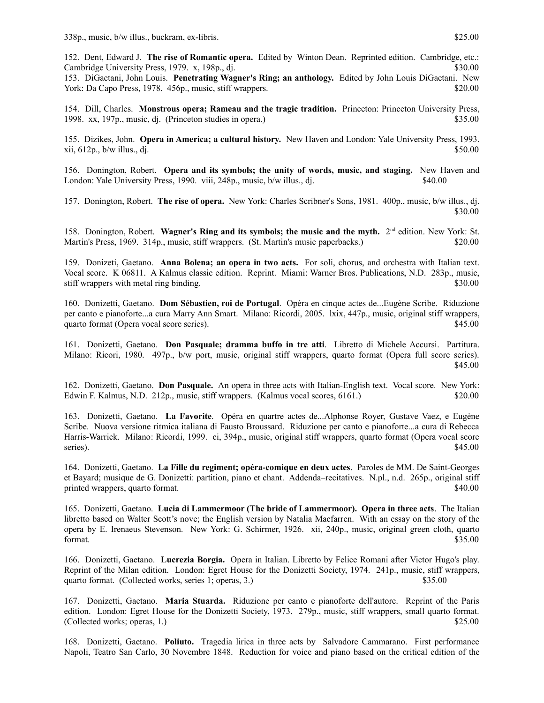152. Dent, Edward J. **The rise of Romantic opera.** Edited by Winton Dean. Reprinted edition. Cambridge, etc.: Cambridge University Press, 1979. x, 198p., dj.  $\frac{1}{2}$  \$30.00 153. DiGaetani, John Louis. **Penetrating Wagner's Ring; an anthology.** Edited by John Louis DiGaetani. New

York: Da Capo Press, 1978. 456p., music, stiff wrappers. \$20.00

154. Dill, Charles. **Monstrous opera; Rameau and the tragic tradition.** Princeton: Princeton University Press, 1998. xx, 197p., music, dj. (Princeton studies in opera.) \$35.00

155. Dizikes, John. **Opera in America; a cultural history.** New Haven and London: Yale University Press, 1993.  $xii, 612p, b/w$  illus., dj.  $$50.00$ 

156. Donington, Robert. **Opera and its symbols; the unity of words, music, and staging.** New Haven and London: Yale University Press, 1990. viii, 248p., music, b/w illus., dj.  $\qquad\qquad$  \$40.00

157. Donington, Robert. **The rise of opera.** New York: Charles Scribner's Sons, 1981. 400p., music, b/w illus., dj. \$30.00

158. Donington, Robert. Wagner's Ring and its symbols; the music and the myth. 2<sup>nd</sup> edition. New York: St. Martin's Press, 1969. 314p., music, stiff wrappers. (St. Martin's music paperbacks.) \$20.00

159. Donizeti, Gaetano. **Anna Bolena; an opera in two acts.** For soli, chorus, and orchestra with Italian text. Vocal score. K 06811. A Kalmus classic edition. Reprint. Miami: Warner Bros. Publications, N.D. 283p., music, stiff wrappers with metal ring binding. \$30.00

160. Donizetti, Gaetano. **Dom Sébastien, roi de Portugal**. Opéra en cinque actes de...Eugène Scribe. Riduzione per canto e pianoforte...a cura Marry Ann Smart. Milano: Ricordi, 2005. lxix, 447p., music, original stiff wrappers, quarto format (Opera vocal score series).  $$45.00$ 

161. Donizetti, Gaetano. **Don Pasquale; dramma buffo in tre atti**. Libretto di Michele Accursi. Partitura. Milano: Ricori, 1980. 497p., b/w port, music, original stiff wrappers, quarto format (Opera full score series). \$45.00

162. Donizetti, Gaetano. **Don Pasquale.** An opera in three acts with Italian-English text. Vocal score. New York: Edwin F. Kalmus, N.D. 212p., music, stiff wrappers. (Kalmus vocal scores, 6161.) \$20.00

163. Donizetti, Gaetano. **La Favorite**. Opéra en quartre actes de...Alphonse Royer, Gustave Vaez, e Eugène Scribe. Nuova versione ritmica italiana di Fausto Broussard. Riduzione per canto e pianoforte...a cura di Rebecca Harris-Warrick. Milano: Ricordi, 1999. ci, 394p., music, original stiff wrappers, quarto format (Opera vocal score series).  $$45.00$ 

164. Donizetti, Gaetano. **La Fille du regiment; opéra-comique en deux actes**. Paroles de MM. De Saint-Georges et Bayard; musique de G. Donizetti: partition, piano et chant. Addenda–recitatives. N.pl., n.d. 265p., original stiff printed wrappers, quarto format.  $\text{\$40.00}$ 

165. Donizetti, Gaetano. **Lucia di Lammermoor (The bride of Lammermoor). Opera in three acts**. The Italian libretto based on Walter Scott's nove; the English version by Natalia Macfarren. With an essay on the story of the opera by E. Irenaeus Stevenson. New York: G. Schirmer, 1926. xii, 240p., music, original green cloth, quarto  $$35.00$ 

166. Donizetti, Gaetano. **Lucrezia Borgia.** Opera in Italian. Libretto by Felice Romani after Victor Hugo's play. Reprint of the Milan edition. London: Egret House for the Donizetti Society, 1974. 241p., music, stiff wrappers, quarto format. (Collected works, series 1; operas, 3.) \$35.00

167. Donizetti, Gaetano. **Maria Stuarda.** Riduzione per canto e pianoforte dell'autore. Reprint of the Paris edition. London: Egret House for the Donizetti Society, 1973. 279p., music, stiff wrappers, small quarto format. (Collected works; operas, 1.)  $$25.00$ 

168. Donizetti, Gaetano. **Poliuto.** Tragedia lirica in three acts by Salvadore Cammarano. First performance Napoli, Teatro San Carlo, 30 Novembre 1848. Reduction for voice and piano based on the critical edition of the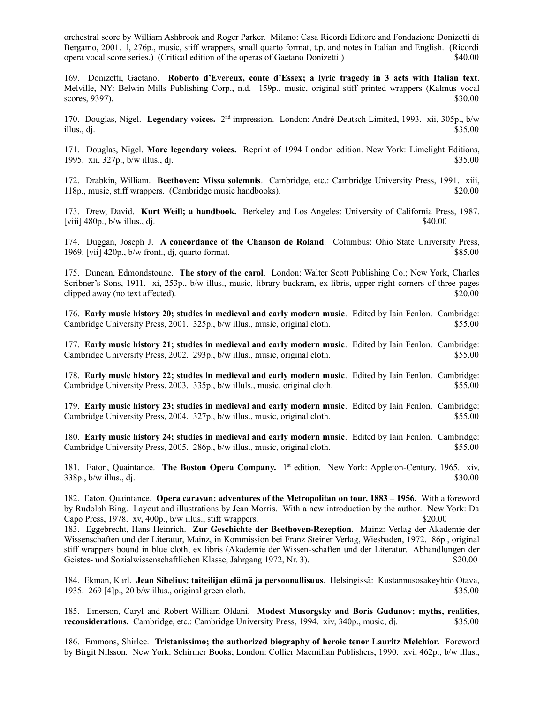orchestral score by William Ashbrook and Roger Parker. Milano: Casa Ricordi Editore and Fondazione Donizetti di Bergamo, 2001. l, 276p., music, stiff wrappers, small quarto format, t.p. and notes in Italian and English. (Ricordi opera vocal score series.) (Critical edition of the operas of Gaetano Donizetti.) \$40.00

169. Donizetti, Gaetano. **Roberto d'Evereux, conte d'Essex; a lyric tragedy in 3 acts with Italian text**. Melville, NY: Belwin Mills Publishing Corp., n.d. 159p., music, original stiff printed wrappers (Kalmus vocal  $\frac{1}{30.00}$  \$30.00

170. Douglas, Nigel. Legendary voices. 2<sup>nd</sup> impression. London: André Deutsch Limited, 1993. xii, 305p., b/w illus., dj.  $$35.00$ 

171. Douglas, Nigel. **More legendary voices.** Reprint of 1994 London edition. New York: Limelight Editions, 1995. xii, 327p., b/w illus., dj.  $\frac{1}{2}$  35.00

172. Drabkin, William. **Beethoven: Missa solemnis**. Cambridge, etc.: Cambridge University Press, 1991. xiii, 118p., music, stiff wrappers. (Cambridge music handbooks). \$20.00

173. Drew, David. **Kurt Weill; a handbook.** Berkeley and Los Angeles: University of California Press, 1987.  $[viii]$  480p.,  $b/w$  illus., dj.  $\frac{40}{340.00}$ 

174. Duggan, Joseph J. **A concordance of the Chanson de Roland**. Columbus: Ohio State University Press, 1969. [vii] 420p., b/w front., dj, quarto format. \$85.00

175. Duncan, Edmondstoune. **The story of the carol**. London: Walter Scott Publishing Co.; New York, Charles Scribner's Sons, 1911. xi, 253p., b/w illus., music, library buckram, ex libris, upper right corners of three pages clipped away (no text affected).  $\textdegree$  \$20.00

176. **Early music history 20; studies in medieval and early modern music**. Edited by Iain Fenlon. Cambridge: Cambridge University Press, 2001. 325p., b/w illus., music, original cloth. \$55.00 \$55.00

177. **Early music history 21; studies in medieval and early modern music**. Edited by Iain Fenlon. Cambridge: Cambridge University Press, 2002. 293p., b/w illus., music, original cloth. \$55.00

178. **Early music history 22; studies in medieval and early modern music**. Edited by Iain Fenlon. Cambridge: Cambridge University Press, 2003. 335p., b/w illuls., music, original cloth. \$55.00

179. **Early music history 23; studies in medieval and early modern music**. Edited by Iain Fenlon. Cambridge: Cambridge University Press, 2004. 327p., b/w illus., music, original cloth. \$55.00

180. **Early music history 24; studies in medieval and early modern music**. Edited by Iain Fenlon. Cambridge: Cambridge University Press, 2005. 286p., b/w illus., music, original cloth. \$55.00

181. Eaton, Quaintance. The Boston Opera Company. 1<sup>st</sup> edition. New York: Appleton-Century, 1965. xiv,  $338p_1$ , b/w illus., dj.  $$30.00$ 

182. Eaton, Quaintance. **Opera caravan; adventures of the Metropolitan on tour, 1883 – 1956.** With a foreword by Rudolph Bing. Layout and illustrations by Jean Morris. With a new introduction by the author. New York: Da Capo Press, 1978. xv, 400p., b/w illus., stiff wrappers. \$20.00 183. Eggebrecht, Hans Heinrich. **Zur Geschichte der Beethoven-Rezeption**. Mainz: Verlag der Akademie der Wissenschaften und der Literatur, Mainz, in Kommission bei Franz Steiner Verlag, Wiesbaden, 1972. 86p., original

stiff wrappers bound in blue cloth, ex libris (Akademie der Wissen-schaften und der Literatur. Abhandlungen der Geistes- und Sozialwissenschaftlichen Klasse, Jahrgang 1972, Nr. 3). \$20.00

184. Ekman, Karl. **Jean Sibelius; taiteilijan elämä ja persoonallisuus**. Helsingissä: Kustannusosakeyhtio Otava, 1935. 269 [4]p., 20 b/w illus., original green cloth. \$35.00

185. Emerson, Caryl and Robert William Oldani. **Modest Musorgsky and Boris Gudunov; myths, realities, reconsiderations.** Cambridge, etc.: Cambridge University Press, 1994. xiv, 340p., music, dj. \$35.00

186. Emmons, Shirlee. **Tristanissimo; the authorized biography of heroic tenor Lauritz Melchior.** Foreword by Birgit Nilsson. New York: Schirmer Books; London: Collier Macmillan Publishers, 1990. xvi, 462p., b/w illus.,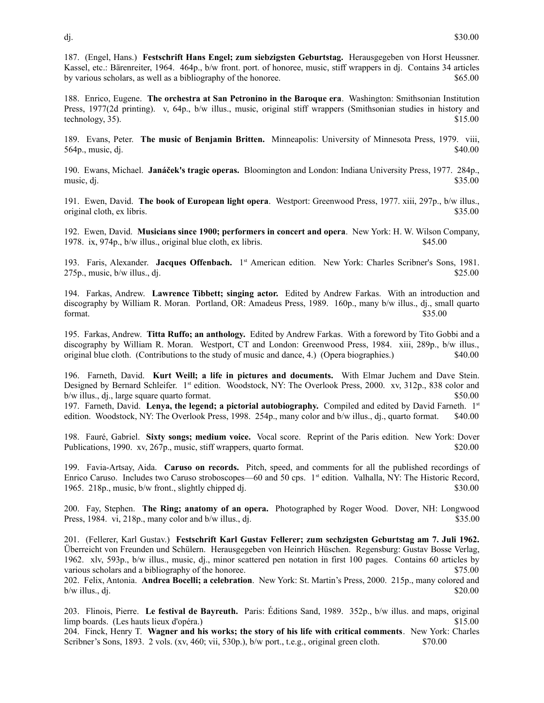187. (Engel, Hans.) **Festschrift Hans Engel; zum siebzigsten Geburtstag.** Herausgegeben von Horst Heussner. Kassel, etc.: Bärenreiter, 1964. 464p., b/w front. port. of honoree, music, stiff wrappers in dj. Contains 34 articles by various scholars, as well as a bibliography of the honoree. \$65.00

188. Enrico, Eugene. **The orchestra at San Petronino in the Baroque era**. Washington: Smithsonian Institution Press, 1977(2d printing). v, 64p., b/w illus., music, original stiff wrappers (Smithsonian studies in history and technology,  $35$ ).  $$15.00$ 

189. Evans, Peter. **The music of Benjamin Britten.** Minneapolis: University of Minnesota Press, 1979. viii, 564p., music, dj. \$40.00

190. Ewans, Michael. **Janáček's tragic operas.** Bloomington and London: Indiana University Press, 1977. 284p., music, dj.  $$35.00$ 

191. Ewen, David. **The book of European light opera**. Westport: Greenwood Press, 1977. xiii, 297p., b/w illus., original cloth, ex libris. \$35.00

192. Ewen, David. **Musicians since 1900; performers in concert and opera**. New York: H. W. Wilson Company, 1978. ix, 974p., b/w illus., original blue cloth, ex libris. \$45.00

193. Faris, Alexander. Jacques Offenbach. 1<sup>st</sup> American edition. New York: Charles Scribner's Sons, 1981.  $275p$ , music, b/w illus., dj.  $$25.00$ 

194. Farkas, Andrew. **Lawrence Tibbett; singing actor.** Edited by Andrew Farkas. With an introduction and discography by William R. Moran. Portland, OR: Amadeus Press, 1989. 160p., many b/w illus., dj., small quarto  $$35.00$ 

195. Farkas, Andrew. **Titta Ruffo; an anthology.** Edited by Andrew Farkas.With a foreword by Tito Gobbi and a discography by William R. Moran. Westport, CT and London: Greenwood Press, 1984. xiii, 289p., b/w illus., original blue cloth. (Contributions to the study of music and dance, 4.) (Opera biographies.) \$40.00

196. Farneth, David. **Kurt Weill; a life in pictures and documents.** With Elmar Juchem and Dave Stein. Designed by Bernard Schleifer. 1<sup>st</sup> edition. Woodstock, NY: The Overlook Press, 2000. xv, 312p., 838 color and b/w illus., dj., large square quarto format. \$50.00

197. Farneth, David. **Lenya, the legend; a pictorial autobiography.** Compiled and edited by David Farneth. 1st edition. Woodstock, NY: The Overlook Press, 1998. 254p., many color and b/w illus., dj., quarto format. \$40.00

198. Fauré, Gabriel. **Sixty songs; medium voice.** Vocal score. Reprint of the Paris edition. New York: Dover Publications, 1990. xv, 267p., music, stiff wrappers, quarto format. \$20.00

199. Favia-Artsay, Aida. **Caruso on records.** Pitch, speed, and comments for all the published recordings of Enrico Caruso. Includes two Caruso stroboscopes—60 and 50 cps. 1<sup>st</sup> edition. Valhalla, NY: The Historic Record, 1965. 218p., music, b/w front., slightly chipped dj. \$30.00

200. Fay, Stephen. **The Ring; anatomy of an opera.** Photographed by Roger Wood. Dover, NH: Longwood Press,  $1984.$  vi,  $218p$ , many color and  $b/w$  illus., dj.  $$35.00$ 

201. (Fellerer, Karl Gustav.) **Festschrift Karl Gustav Fellerer; zum sechzigsten Geburtstag am 7. Juli 1962.** Überreicht von Freunden und Schülern. Herausgegeben von Heinrich Hüschen. Regensburg: Gustav Bosse Verlag, 1962. xlv, 593p., b/w illus., music, dj., minor scattered pen notation in first 100 pages. Contains 60 articles by various scholars and a bibliography of the honoree. \$75.00

202. Felix, Antonia. **Andrea Bocelli; a celebration**. New York: St. Martin's Press, 2000. 215p., many colored and  $b/w$  illus., dj.  $$20.00$ 

203. Flinois, Pierre. **Le festival de Bayreuth.** Paris: Éditions Sand, 1989. 352p., b/w illus. and maps, original limp boards. (Les hauts lieux d'opéra.) \$15.00

204. Finck, Henry T. **Wagner and his works; the story of his life with critical comments**. New York: Charles Scribner's Sons, 1893. 2 vols. (xv, 460; vii, 530p.), b/w port., t.e.g., original green cloth. \$70.00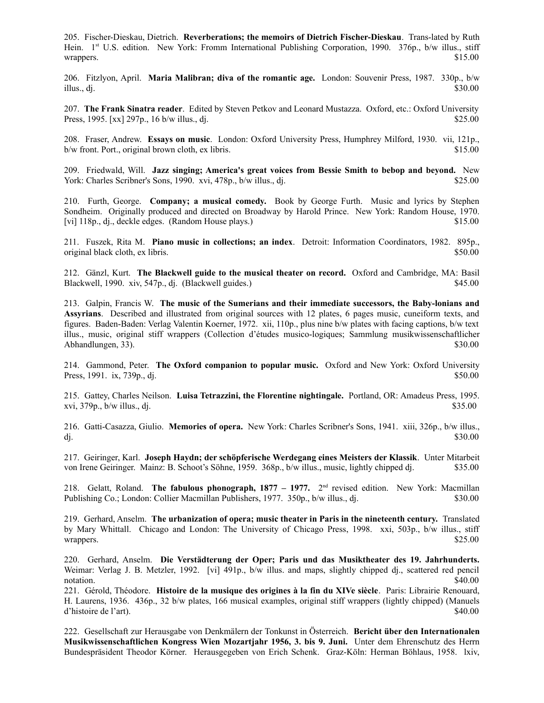205. Fischer-Dieskau, Dietrich. **Reverberations; the memoirs of Dietrich Fischer-Dieskau**. Trans-lated by Ruth Hein. 1st U.S. edition. New York: Fromm International Publishing Corporation, 1990. 376p., b/w illus., stiff wrappers. \$15.00

206. Fitzlyon, April. **Maria Malibran; diva of the romantic age.** London: Souvenir Press, 1987. 330p., b/w illus., dj.  $$30.00$ 

207. **The Frank Sinatra reader**. Edited by Steven Petkov and Leonard Mustazza. Oxford, etc.: Oxford University Press,  $1995.$  [xx]  $297p.$ ,  $16 \text{ b/w}$  illus., dj.  $$25.00$ 

208. Fraser, Andrew. **Essays on music**. London: Oxford University Press, Humphrey Milford, 1930. vii, 121p., b/w front. Port., original brown cloth, ex libris.  $$15.00$ 

209. Friedwald, Will. **Jazz singing; America's great voices from Bessie Smith to bebop and beyond.** New York: Charles Scribner's Sons, 1990. xvi, 478p., b/w illus., di.  $$25.00$ 

210. Furth, George. **Company; a musical comedy.** Book by George Furth. Music and lyrics by Stephen Sondheim. Originally produced and directed on Broadway by Harold Prince. New York: Random House, 1970. [vi] 118p., dj., deckle edges. (Random House plays.) \$15.00

211. Fuszek, Rita M. **Piano music in collections; an index**. Detroit: Information Coordinators, 1982. 895p., original black cloth, ex libris. \$50.00

212. Gänzl, Kurt. **The Blackwell guide to the musical theater on record.** Oxford and Cambridge, MA: Basil Blackwell, 1990. xiv, 547p., dj. (Blackwell guides.) \$45.00

213. Galpin, Francis W. **The music of the Sumerians and their immediate successors, the Baby-lonians and Assyrians**. Described and illustrated from original sources with 12 plates, 6 pages music, cuneiform texts, and figures. Baden-Baden: Verlag Valentin Koerner, 1972. xii, 110p., plus nine b/w plates with facing captions, b/w text illus., music, original stiff wrappers (Collection d'études musico-logiques; Sammlung musikwissenschaftlicher Abhandlungen, 33). \$30.00

214. Gammond, Peter. **The Oxford companion to popular music.** Oxford and New York: Oxford University Press, 1991. ix, 739p., dj. \$50.00

215. Gattey, Charles Neilson. **Luisa Tetrazzini, the Florentine nightingale.** Portland, OR: Amadeus Press, 1995.  $xvi, 379p., b/w$  illus., dj.  $$35.00$ 

216. Gatti-Casazza, Giulio. **Memories of opera.** New York: Charles Scribner's Sons, 1941. xiii, 326p., b/w illus., dj.  $$30.00$ 

217. Geiringer, Karl. **Joseph Haydn; der schöpferische Werdegang eines Meisters der Klassik**. Unter Mitarbeit von Irene Geiringer. Mainz: B. Schoot's Söhne, 1959. 368p., b/w illus., music, lightly chipped dj. \$35.00

218. Gelatt, Roland. The fabulous phonograph, 1877 – 1977. 2<sup>nd</sup> revised edition. New York: Macmillan Publishing Co.; London: Collier Macmillan Publishers, 1977. 350p., b/w illus., dj. \$30.00

219. Gerhard, Anselm. **The urbanization of opera; music theater in Paris in the nineteenth century.** Translated by Mary Whittall. Chicago and London: The University of Chicago Press, 1998. xxi, 503p., b/w illus., stiff wrappers. \$25.00

220. Gerhard, Anselm. **Die Verstädterung der Oper; Paris und das Musiktheater des 19. Jahrhunderts.** Weimar: Verlag J. B. Metzler, 1992. [vi] 491p., b/w illus. and maps, slightly chipped dj., scattered red pencil notation.  $\$40.00$ 

221. Gérold, Théodore. **Histoire de la musique des origines à la fin du XIVe siècle**. Paris: Librairie Renouard, H. Laurens, 1936. 436p., 32 b/w plates, 166 musical examples, original stiff wrappers (lightly chipped) (Manuels d'histoire de l'art). \$40.00

222. Gesellschaft zur Herausgabe von Denkmälern der Tonkunst in Österreich. **Bericht über den Internationalen Musikwissenschaftlichen Kongress Wien Mozartjahr 1956, 3. bis 9. Juni.** Unter dem Ehrenschutz des Herrn Bundespräsident Theodor Körner. Herausgegeben von Erich Schenk. Graz-Köln: Herman Böhlaus, 1958. lxiv,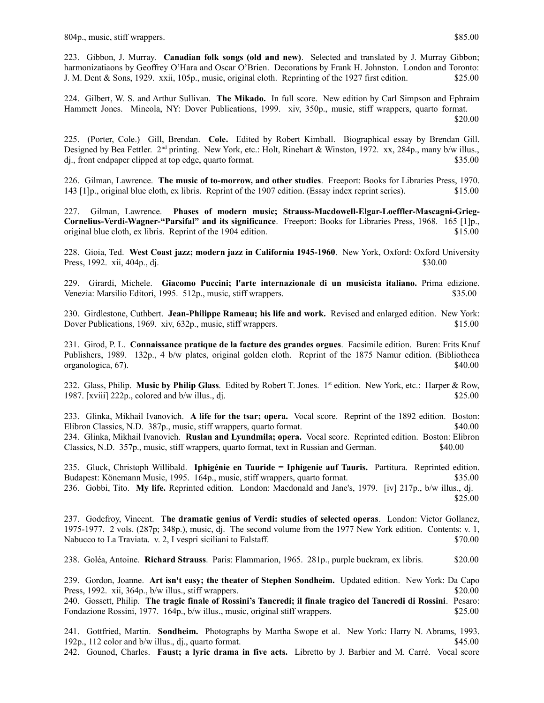223. Gibbon, J. Murray. **Canadian folk songs (old and new)**. Selected and translated by J. Murray Gibbon; harmonizatiaons by Geoffrey O'Hara and Oscar O'Brien. Decorations by Frank H. Johnston. London and Toronto: J. M. Dent & Sons, 1929. xxii, 105p., music, original cloth. Reprinting of the 1927 first edition. \$25.00

224. Gilbert, W. S. and Arthur Sullivan. **The Mikado.** In full score. New edition by Carl Simpson and Ephraim Hammett Jones. Mineola, NY: Dover Publications, 1999. xiv, 350p., music, stiff wrappers, quarto format. \$20.00

225. (Porter, Cole.) Gill, Brendan. **Cole.** Edited by Robert Kimball. Biographical essay by Brendan Gill. Designed by Bea Fettler.  $2<sup>nd</sup>$  printing. New York, etc.: Holt, Rinehart & Winston, 1972. xx, 284p., many b/w illus., dj., front endpaper clipped at top edge, quarto format. \$35.00

226. Gilman, Lawrence. **The music of to-morrow, and other studies**. Freeport: Books for Libraries Press, 1970. 143 [1]p., original blue cloth, ex libris. Reprint of the 1907 edition. (Essay index reprint series). \$15.00

227. Gilman, Lawrence. **Phases of modern music; Strauss-Macdowell-Elgar-Loeffler-Mascagni-Grieg-Cornelius-Verdi-Wagner-"Parsifal" and its significance**. Freeport: Books for Libraries Press, 1968. 165 [1]p., original blue cloth, ex libris. Reprint of the 1904 edition. \$15.00

228. Gioia, Ted. **West Coast jazz; modern jazz in California 1945-1960**. New York, Oxford: Oxford University Press, 1992. xii, 404p., dj. **\$30.00 \$30.00** 

229. Girardi, Michele. **Giacomo Puccini; l'arte internazionale di un musicista italiano.** Prima edizione. Venezia: Marsilio Editori, 1995. 512p., music, stiff wrappers. \$35.00

230. Girdlestone, Cuthbert. **Jean-Philippe Rameau; his life and work.** Revised and enlarged edition. New York: Dover Publications, 1969. xiv, 632p., music, stiff wrappers.  $$15.00$ 

231. Girod, P. L. **Connaissance pratique de la facture des grandes orgues**. Facsimile edition. Buren: Frits Knuf Publishers, 1989. 132p., 4 b/w plates, original golden cloth. Reprint of the 1875 Namur edition. (Bibliotheca organologica, 67). \$40.00

232. Glass, Philip. **Music by Philip Glass**. Edited by Robert T. Jones. 1st edition. New York, etc.: Harper & Row, 1987. [xviii]  $222p$ , colored and b/w illus., dj.  $$25.00$ 

233. Glinka, Mikhail Ivanovich. **A life for the tsar; opera.** Vocal score. Reprint of the 1892 edition. Boston: Elibron Classics, N.D. 387p., music, stiff wrappers, quarto format. \$40.00 234. Glinka, Mikhail Ivanovich. **Ruslan and Lyundmila; opera.** Vocal score. Reprinted edition. Boston: Elibron Classics, N.D. 357p., music, stiff wrappers, quarto format, text in Russian and German. \$40.00

235. Gluck, Christoph Willibald. **Iphigénie en Tauride = Iphigenie auf Tauris.** Partitura. Reprinted edition. Budapest: Könemann Music, 1995. 164p., music, stiff wrappers, quarto format. \$35.00 236. Gobbi, Tito. **My life.** Reprinted edition. London: Macdonald and Jane's, 1979. [iv] 217p., b/w illus., dj. \$25.00

237. Godefroy, Vincent. **The dramatic genius of Verdi: studies of selected operas**. London: Victor Gollancz, 1975-1977. 2 vols. (287p; 348p.), music, dj. The second volume from the 1977 New York edition. Contents: v. 1, Nabucco to La Traviata. v. 2, I vespri siciliani to Falstaff.  $$70.00$ 

238. Goléa, Antoine. **Richard Strauss**. Paris: Flammarion, 1965. 281p., purple buckram, ex libris. \$20.00

239. Gordon, Joanne. **Art isn't easy; the theater of Stephen Sondheim.** Updated edition. New York: Da Capo Press, 1992. xii, 364p., b/w illus., stiff wrappers. \$20.00

240. Gossett, Philip. **The tragic finale of Rossini's Tancredi; il finale tragico del Tancredi di Rossini**. Pesaro: Fondazione Rossini, 1977. 164p., b/w illus., music, original stiff wrappers. \$25.00

241. Gottfried, Martin. **Sondheim.** Photographs by Martha Swope et al. New York: Harry N. Abrams, 1993. 192p., 112 color and b/w illus., dj., quarto format. \$45.00 242. Gounod, Charles. **Faust; a lyric drama in five acts.** Libretto by J. Barbier and M. Carré. Vocal score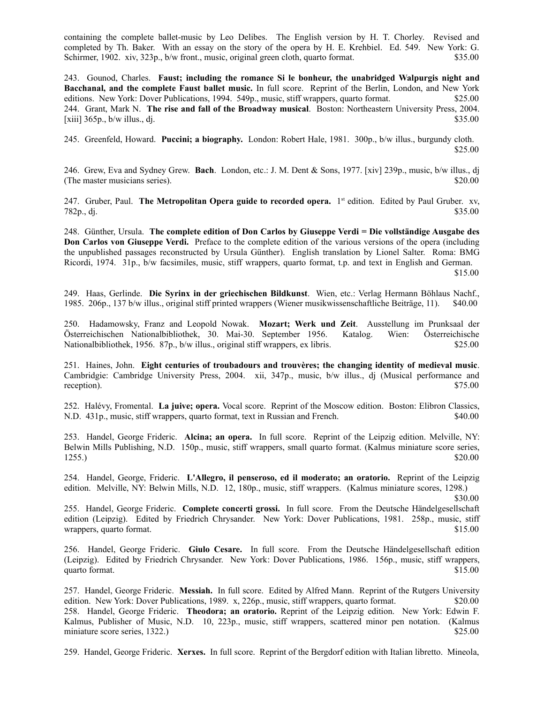containing the complete ballet-music by Leo Delibes. The English version by H. T. Chorley. Revised and completed by Th. Baker. With an essay on the story of the opera by H. E. Krehbiel. Ed. 549. New York: G. Schirmer, 1902. xiv, 323p., b/w front., music, original green cloth, quarto format. \$35.00

243. Gounod, Charles. **Faust; including the romance Si le bonheur, the unabridged Walpurgis night and Bacchanal, and the complete Faust ballet music.** In full score. Reprint of the Berlin, London, and New York editions. New York: Dover Publications, 1994. 549p., music, stiff wrappers, quarto format. \$25.00 244. Grant, Mark N. **The rise and fall of the Broadway musical**. Boston: Northeastern University Press, 2004.  $[xiii] 365p, b/w$  illus., dj.  $\frac{365p}{p}$ 

245. Greenfeld, Howard. **Puccini; a biography.** London: Robert Hale, 1981. 300p., b/w illus., burgundy cloth. \$25.00

246. Grew, Eva and Sydney Grew. **Bach**. London, etc.: J. M. Dent & Sons, 1977. [xiv] 239p., music, b/w illus., dj (The master musicians series).  $$20.00$ 

247. Gruber, Paul. The Metropolitan Opera guide to recorded opera. 1<sup>st</sup> edition. Edited by Paul Gruber. xv,  $782p$ ., dj.  $$35.00$ 

248. Günther, Ursula. **The complete edition of Don Carlos by Giuseppe Verdi = Die vollständige Ausgabe des Don Carlos von Giuseppe Verdi.** Preface to the complete edition of the various versions of the opera (including the unpublished passages reconstructed by Ursula Günther). English translation by Lionel Salter. Roma: BMG Ricordi, 1974. 31p., b/w facsimiles, music, stiff wrappers, quarto format, t.p. and text in English and German. \$15.00

249. Haas, Gerlinde. **Die Syrinx in der griechischen Bildkunst**. Wien, etc.: Verlag Hermann Böhlaus Nachf., 1985. 206p., 137 b/w illus., original stiff printed wrappers (Wiener musikwissenschaftliche Beiträge, 11). \$40.00

250. Hadamowsky, Franz and Leopold Nowak. **Mozart; Werk und Zeit**. Ausstellung im Prunksaal der Österreichischen Nationalbibliothek, 30. Mai-30. September 1956. Katalog. Wien: Österreichische Nationalbibliothek, 1956. 87p., b/w illus., original stiff wrappers, ex libris. \$25.00

251. Haines, John. **Eight centuries of troubadours and trouvères; the changing identity of medieval music**. Cambridgie: Cambridge University Press, 2004. xii, 347p., music, b/w illus., dj (Musical performance and reception). \$75.00

252. Halévy, Fromental. **La juive; opera.** Vocal score. Reprint of the Moscow edition. Boston: Elibron Classics, N.D. 431p., music, stiff wrappers, quarto format, text in Russian and French. \$40.00

253. Handel, George Frideric. **Alcina; an opera.** In full score. Reprint of the Leipzig edition. Melville, NY: Belwin Mills Publishing, N.D. 150p., music, stiff wrappers, small quarto format. (Kalmus miniature score series,  $1255.$ ) \$20.00

254. Handel, George, Frideric. **L'Allegro, il penseroso, ed il moderato; an oratorio.** Reprint of the Leipzig edition. Melville, NY: Belwin Mills, N.D. 12, 180p., music, stiff wrappers. (Kalmus miniature scores, 1298.)

\$30.00

255. Handel, George Frideric. **Complete concerti grossi.** In full score. From the Deutsche Händelgesellschaft edition (Leipzig). Edited by Friedrich Chrysander. New York: Dover Publications, 1981. 258p., music, stiff wrappers, quarto format.  $$15.00$ 

256. Handel, George Frideric. **Giulo Cesare.** In full score. From the Deutsche Händelgesellschaft edition (Leipzig). Edited by Friedrich Chrysander. New York: Dover Publications, 1986. 156p., music, stiff wrappers, quarto format. \$15.00

257. Handel, George Frideric. **Messiah.** In full score. Edited by Alfred Mann. Reprint of the Rutgers University edition. New York: Dover Publications, 1989. x, 226p., music, stiff wrappers, quarto format. \$20.00 258. Handel, George Frideric. **Theodora; an oratorio.** Reprint of the Leipzig edition. New York: Edwin F. Kalmus, Publisher of Music, N.D. 10, 223p., music, stiff wrappers, scattered minor pen notation. (Kalmus miniature score series, 1322.) \$25.00

259. Handel, George Frideric. **Xerxes.** In full score. Reprint of the Bergdorf edition with Italian libretto. Mineola,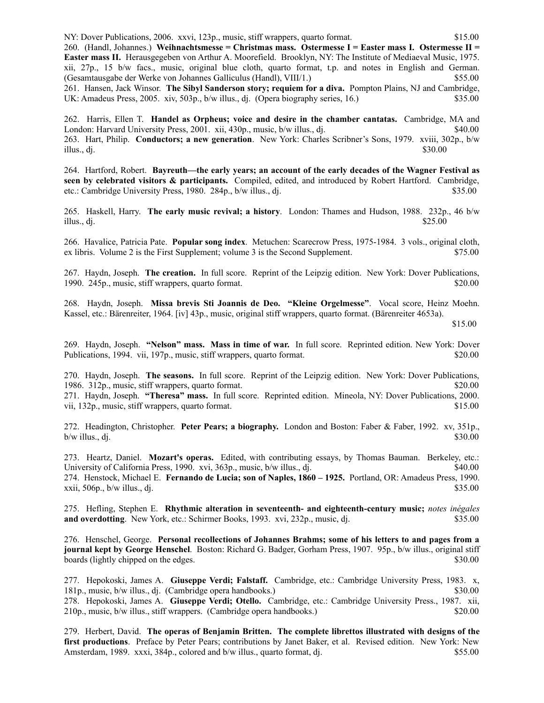NY: Dover Publications, 2006. xxvi, 123p., music, stiff wrappers, quarto format. \$15.00 260. (Handl, Johannes.) **Weihnachtsmesse = Christmas mass. Ostermesse I = Easter mass I. Ostermesse II = Easter mass II.** Herausgegeben von Arthur A. Moorefield. Brooklyn, NY: The Institute of Mediaeval Music, 1975. xii, 27p., 15 b/w facs., music, original blue cloth, quarto format, t.p. and notes in English and German. (Gesamtausgabe der Werke von Johannes Galliculus (Handl), VIII/1.) \$55.00 261. Hansen, Jack Winsor. **The Sibyl Sanderson story; requiem for a diva.** Pompton Plains, NJ and Cambridge, UK: Amadeus Press, 2005. xiv, 503p., b/w illus., dj. (Opera biography series, 16.) \$35.00

262. Harris, Ellen T. **Handel as Orpheus; voice and desire in the chamber cantatas.** Cambridge, MA and London: Harvard University Press, 2001. xii, 430p., music, b/w illus., dj. \$40.00 263. Hart, Philip. **Conductors; a new generation**. New York: Charles Scribner's Sons, 1979. xviii, 302p., b/w illus., dj.  $$30.00$ 

264. Hartford, Robert. **Bayreuth—the early years; an account of the early decades of the Wagner Festival as seen by celebrated visitors & participants.** Compiled, edited, and introduced by Robert Hartford. Cambridge, etc.: Cambridge University Press, 1980. 284p., b/w illus., dj.  $$35.00$ 

265. Haskell, Harry. **The early music revival; a history**. London: Thames and Hudson, 1988. 232p., 46 b/w illus., dj.  $$25.00$ 

266. Havalice, Patricia Pate. **Popular song index**. Metuchen: Scarecrow Press, 1975-1984. 3 vols., original cloth, ex libris. Volume 2 is the First Supplement; volume 3 is the Second Supplement. \$75.00

267. Haydn, Joseph. **The creation.** In full score. Reprint of the Leipzig edition. New York: Dover Publications, 1990. 245p., music, stiff wrappers, quarto format. \$20.00

268. Haydn, Joseph. **Missa brevis Sti Joannis de Deo. "Kleine Orgelmesse"**. Vocal score, Heinz Moehn. Kassel, etc.: Bärenreiter, 1964. [iv] 43p., music, original stiff wrappers, quarto format. (Bärenreiter 4653a).

\$15.00

269. Haydn, Joseph. **"Nelson" mass. Mass in time of war.** In full score. Reprinted edition. New York: Dover Publications, 1994. vii, 197p., music, stiff wrappers, quarto format. \$20.00

270. Haydn, Joseph. **The seasons.** In full score. Reprint of the Leipzig edition. New York: Dover Publications, 1986. 312p., music, stiff wrappers, quarto format. \$20.00

271. Haydn, Joseph. **"Theresa" mass.** In full score. Reprinted edition. Mineola, NY: Dover Publications, 2000. vii, 132p., music, stiff wrappers, quarto format.  $\frac{15.00}{2}$ 

272. Headington, Christopher. **Peter Pears; a biography.** London and Boston: Faber & Faber, 1992. xv, 351p.,  $b/w$  illus., dj.  $$30.00$ 

273. Heartz, Daniel. **Mozart's operas.** Edited, with contributing essays, by Thomas Bauman. Berkeley, etc.: University of California Press, 1990. xvi, 363p., music, b/w illus., dj.  $\qquad\qquad$  \$40.00 274. Henstock, Michael E. **Fernando de Lucia; son of Naples, 1860 – 1925.** Portland, OR: Amadeus Press, 1990. xxii, 506p., b/w illus., dj.  $\frac{1}{35.00}$ 

275. Hefling, Stephen E. **Rhythmic alteration in seventeenth- and eighteenth-century music;** *notes inégales* **and overdotting**. New York, etc.: Schirmer Books, 1993. xvi, 232p., music, dj.  $$35.00$ 

276. Henschel, George. **Personal recollections of Johannes Brahms; some of his letters to and pages from a journal kept by George Henschel**. Boston: Richard G. Badger, Gorham Press, 1907. 95p., b/w illus., original stiff boards (lightly chipped on the edges.  $\qquad$  \$30.000

277. Hepokoski, James A. **Giuseppe Verdi; Falstaff.** Cambridge, etc.: Cambridge University Press, 1983. x, 181p., music, b/w illus., dj. (Cambridge opera handbooks.) \$30.00 278. Hepokoski, James A. **Giuseppe Verdi; Otello.** Cambridge, etc.: Cambridge University Press., 1987. xii, 210p., music, b/w illus., stiff wrappers. (Cambridge opera handbooks.) \$20.00

279. Herbert, David. **The operas of Benjamin Britten. The complete librettos illustrated with designs of the first productions**. Preface by Peter Pears; contributions by Janet Baker, et al. Revised edition. New York: New Amsterdam, 1989. xxxi, 384p., colored and b/w illus., quarto format, dj. \$55.00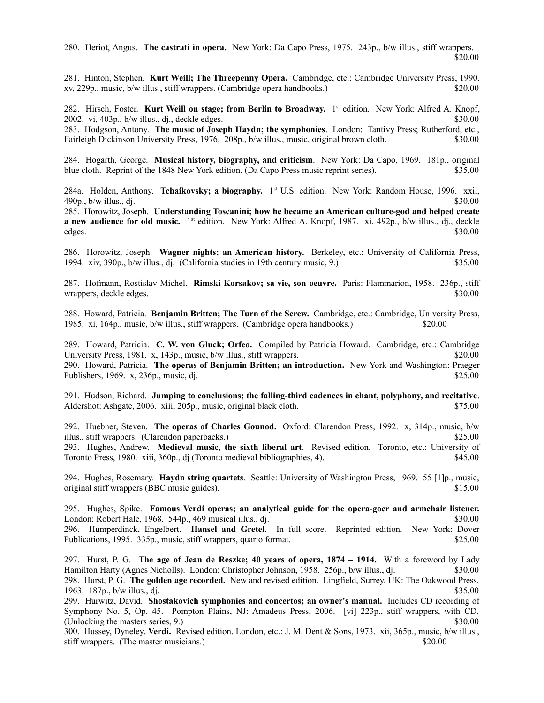280. Heriot, Angus. **The castrati in opera.** New York: Da Capo Press, 1975. 243p., b/w illus., stiff wrappers. \$20.00

281. Hinton, Stephen. **Kurt Weill; The Threepenny Opera.** Cambridge, etc.: Cambridge University Press, 1990. xv, 229p., music, b/w illus., stiff wrappers. (Cambridge opera handbooks.) \$20.00

282. Hirsch, Foster. Kurt Weill on stage; from Berlin to Broadway. 1<sup>st</sup> edition. New York: Alfred A. Knopf, 2002. vi,  $403p$ ,  $b/w$  illus., dj., deckle edges.  $$30.00$ 

283. Hodgson, Antony. **The music of Joseph Haydn; the symphonies**. London: Tantivy Press; Rutherford, etc., Fairleigh Dickinson University Press, 1976. 208p., b/w illus., music, original brown cloth. \$30.00

284. Hogarth, George. **Musical history, biography, and criticism**. New York: Da Capo, 1969. 181p., original blue cloth. Reprint of the 1848 New York edition. (Da Capo Press music reprint series). \$35.00

284a. Holden, Anthony. **Tchaikovsky; a biography.** 1 st U.S. edition.New York: Random House, 1996. xxii,  $490p$ , b/w illus., di.  $$30.00$ 

285. Horowitz, Joseph. **Understanding Toscanini; how he became an American culture-god and helped create a new audience for old music.** 1<sup>st</sup> edition. New York: Alfred A. Knopf, 1987. xi, 492p., b/w illus., dj., deckle edges. \$30.00

286. Horowitz, Joseph. **Wagner nights; an American history.** Berkeley, etc.: University of California Press, 1994. xiv, 390p., b/w illus., dj. (California studies in 19th century music, 9.) \$35.00

287. Hofmann, Rostislav-Michel. **Rimski Korsakov; sa vie, son oeuvre.** Paris: Flammarion, 1958. 236p., stiff wrappers, deckle edges.  $$30.00$ 

288. Howard, Patricia. **Benjamin Britten; The Turn of the Screw.** Cambridge, etc.: Cambridge, University Press, 1985. xi, 164p., music, b/w illus., stiff wrappers. (Cambridge opera handbooks.) \$20.00

289. Howard, Patricia. **C. W. von Gluck; Orfeo.** Compiled by Patricia Howard. Cambridge, etc.: Cambridge University Press, 1981. x, 143p., music, b/w illus., stiff wrappers. \$20.000 \$20.00 290. Howard, Patricia. **The operas of Benjamin Britten; an introduction.** New York and Washington: Praeger Publishers, 1969. x, 236p., music, dj.  $$25.00$ 

291. Hudson, Richard. **Jumping to conclusions; the falling-third cadences in chant, polyphony, and recitative**. Aldershot: Ashgate, 2006. xiii, 205p., music, original black cloth. \$75.00

292. Huebner, Steven. **The operas of Charles Gounod.** Oxford: Clarendon Press, 1992. x, 314p., music, b/w illus., stiff wrappers. (Clarendon paperbacks.) \$25.00 293. Hughes, Andrew. **Medieval music, the sixth liberal art**. Revised edition. Toronto, etc.: University of Toronto Press, 1980. xiii, 360p., dj (Toronto medieval bibliographies, 4). \$45.00

294. Hughes, Rosemary. **Haydn string quartets**. Seattle: University of Washington Press, 1969. 55 [1]p., music, original stiff wrappers (BBC music guides). \$15.00

295. Hughes, Spike. **Famous Verdi operas; an analytical guide for the opera-goer and armchair listener.** London: Robert Hale, 1968. 544p., 469 musical illus., dj. \$30.00 296. Humperdinck, Engelbert. **Hansel and Gretel.** In full score. Reprinted edition. New York: Dover Publications, 1995. 335p., music, stiff wrappers, quarto format. \$25.00

297. Hurst, P. G. **The age of Jean de Reszke; 40 years of opera, 1874 – 1914.** With a foreword by Lady Hamilton Harty (Agnes Nicholls). London: Christopher Johnson, 1958. 256p., b/w illus., dj. \$30.00 298. Hurst, P. G. **The golden age recorded.** New and revised edition. Lingfield, Surrey, UK: The Oakwood Press, 1963.  $187p_x$ , b/w illus., dj.  $$35.00$ 

299. Hurwitz, David. **Shostakovich symphonies and concertos; an owner's manual.** Includes CD recording of Symphony No. 5, Op. 45. Pompton Plains, NJ: Amadeus Press, 2006. [vi] 223p., stiff wrappers, with CD. (Unlocking the masters series, 9.)  $$30.00$ 

300. Hussey, Dyneley. **Verdi.** Revised edition. London, etc.: J. M. Dent & Sons, 1973. xii, 365p., music, b/w illus., stiff wrappers. (The master musicians.) \$20.00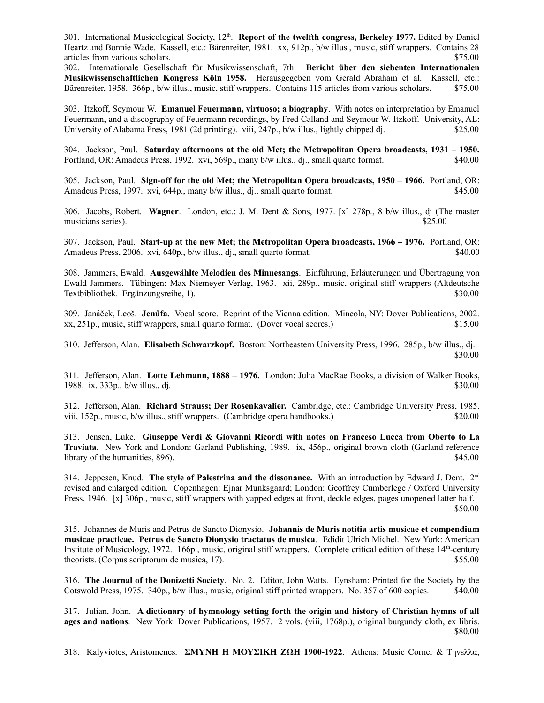301. International Musicological Society, 12<sup>th</sup>. Report of the twelfth congress, Berkeley 1977. Edited by Daniel Heartz and Bonnie Wade. Kassell, etc.: Bärenreiter, 1981. xx, 912p., b/w illus., music, stiff wrappers. Contains 28 articles from various scholars.  $$75.00$ 

302. Internationale Gesellschaft für Musikwissenschaft, 7th. **Bericht über den siebenten Internationalen Musikwissenschaftlichen Kongress Köln 1958.** Herausgegeben vom Gerald Abraham et al. Kassell, etc.: Bärenreiter, 1958. 366p., b/w illus., music, stiff wrappers. Contains 115 articles from various scholars. \$75.00

303. Itzkoff, Seymour W. **Emanuel Feuermann, virtuoso; a biography**. With notes on interpretation by Emanuel Feuermann, and a discography of Feuermann recordings, by Fred Calland and Seymour W. Itzkoff. University, AL: University of Alabama Press, 1981 (2d printing). viii, 247p., b/w illus., lightly chipped dj. \$25.00

304. Jackson, Paul. **Saturday afternoons at the old Met; the Metropolitan Opera broadcasts, 1931 – 1950.** Portland, OR: Amadeus Press, 1992. xvi, 569p., many b/w illus., dj., small quarto format. \$40.00

305. Jackson, Paul. **Sign-off for the old Met; the Metropolitan Opera broadcasts, 1950 – 1966.** Portland, OR: Amadeus Press, 1997. xvi, 644p., many b/w illus., dj., small quarto format. \$45.00

306. Jacobs, Robert. **Wagner**. London, etc.: J. M. Dent & Sons, 1977. [x] 278p., 8 b/w illus., dj (The master musicians series). \$25.00

307. Jackson, Paul. **Start-up at the new Met; the Metropolitan Opera broadcasts, 1966 – 1976.** Portland, OR: Amadeus Press, 2006. xvi, 640p., b/w illus., dj., small quarto format. \$40.00

308. Jammers, Ewald. **Ausgewählte Melodien des Minnesangs**. Einführung, Erläuterungen und Übertragung von Ewald Jammers. Tübingen: Max Niemeyer Verlag, 1963. xii, 289p., music, original stiff wrappers (Altdeutsche Textbibliothek. Ergänzungsreihe, 1). \$30.00

309. Janáček, Leoš. **Jenůfa.** Vocal score. Reprint of the Vienna edition. Mineola, NY: Dover Publications, 2002. xx, 251p., music, stiff wrappers, small quarto format. (Dover vocal scores.) \$15.00

310. Jefferson, Alan. **Elisabeth Schwarzkopf.** Boston: Northeastern University Press, 1996. 285p., b/w illus., dj. \$30.00

311. Jefferson, Alan. **Lotte Lehmann, 1888 – 1976.** London: Julia MacRae Books, a division of Walker Books, 1988. ix, 333p., b/w illus., dj.  $$30.00$ 

312. Jefferson, Alan. **Richard Strauss; Der Rosenkavalier.** Cambridge, etc.: Cambridge University Press, 1985. viii, 152p., music, b/w illus., stiff wrappers. (Cambridge opera handbooks.) \$20.00

313. Jensen, Luke. **Giuseppe Verdi & Giovanni Ricordi with notes on Franceso Lucca from Oberto to La Traviata**. New York and London: Garland Publishing, 1989. ix, 456p., original brown cloth (Garland reference library of the humanities,  $896$ .  $$45.00$ 

314. Jeppesen, Knud. **The style of Palestrina and the dissonance.** With an introduction by Edward J. Dent. 2nd revised and enlarged edition. Copenhagen: Ejnar Munksgaard; London: Geoffrey Cumberlege / Oxford University Press, 1946. [x] 306p., music, stiff wrappers with yapped edges at front, deckle edges, pages unopened latter half. \$50.00

315. Johannes de Muris and Petrus de Sancto Dionysio. **Johannis de Muris notitia artis musicae et compendium musicae practicae. Petrus de Sancto Dionysio tractatus de musica**. Edidit Ulrich Michel. New York: American Institute of Musicology, 1972. 166p., music, original stiff wrappers. Complete critical edition of these 14<sup>th</sup>-century theorists. (Corpus scriptorum de musica, 17).  $$55.00$ 

316. **The Journal of the Donizetti Society**. No. 2. Editor, John Watts. Eynsham: Printed for the Society by the Cotswold Press, 1975. 340p., b/w illus., music, original stiff printed wrappers. No. 357 of 600 copies. \$40.00

317. Julian, John. **A dictionary of hymnology setting forth the origin and history of Christian hymns of all ages and nations**. New York: Dover Publications, 1957. 2 vols. (viii, 1768p.), original burgundy cloth, ex libris. \$80.00

318. Kalyviotes, Aristomenes. **ΣΜΥΝΗ Η ΜΟΥΣΙΚΗ ΖΩΗ 1900-1922**. Athens: Music Corner & Τηνελλα,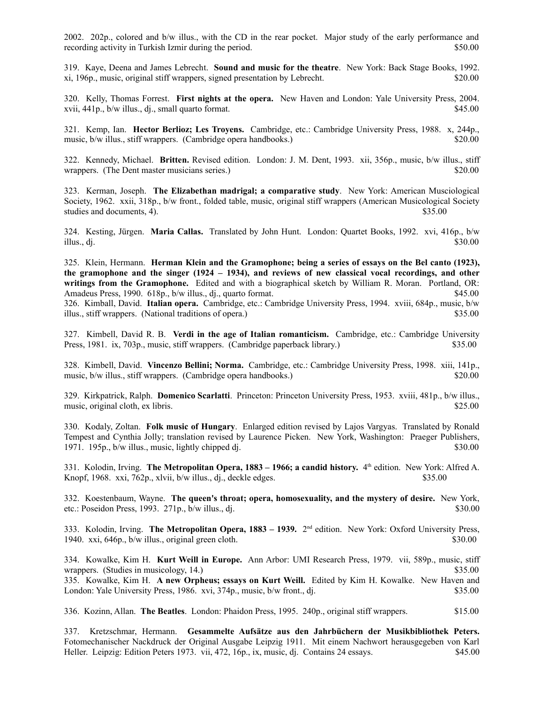2002. 202p., colored and b/w illus., with the CD in the rear pocket. Major study of the early performance and recording activity in Turkish Izmir during the period. \$50.00

319. Kaye, Deena and James Lebrecht. **Sound and music for the theatre**. New York: Back Stage Books, 1992. xi, 196p., music, original stiff wrappers, signed presentation by Lebrecht. \$20.00

320. Kelly, Thomas Forrest. **First nights at the opera.** New Haven and London: Yale University Press, 2004. xvii, 441p., b/w illus., dj., small quarto format. \$45.00

321. Kemp, Ian. **Hector Berlioz; Les Troyens.** Cambridge, etc.: Cambridge University Press, 1988. x, 244p., music, b/w illus., stiff wrappers. (Cambridge opera handbooks.) \$20.00

322. Kennedy, Michael. **Britten.** Revised edition.London: J. M. Dent, 1993. xii, 356p., music, b/w illus., stiff wrappers. (The Dent master musicians series.) \$20.00

323. Kerman, Joseph. **The Elizabethan madrigal; a comparative study**. New York: American Musciological Society, 1962. xxii, 318p., b/w front., folded table, music, original stiff wrappers (American Musicological Society studies and documents, 4).  $$35.00$ 

324. Kesting, Jürgen. **Maria Callas.** Translated by John Hunt. London: Quartet Books, 1992. xvi, 416p., b/w illus., dj.  $$30.00$ 

325. Klein, Hermann. **Herman Klein and the Gramophone; being a series of essays on the Bel canto (1923), the gramophone and the singer (1924 – 1934), and reviews of new classical vocal recordings, and other writings from the Gramophone.** Edited and with a biographical sketch by William R. Moran. Portland, OR: Amadeus Press, 1990. 618p., b/w illus., dj., quarto format. \$45.00 326. Kimball, David. **Italian opera.** Cambridge, etc.: Cambridge University Press, 1994. xviii, 684p., music, b/w illus., stiff wrappers. (National traditions of opera.) \$35.00

327. Kimbell, David R. B. **Verdi in the age of Italian romanticism.** Cambridge, etc.: Cambridge University Press, 1981. ix, 703p., music, stiff wrappers. (Cambridge paperback library.) \$35.00

328. Kimbell, David. **Vincenzo Bellini; Norma.** Cambridge, etc.: Cambridge University Press, 1998. xiii, 141p., music, b/w illus., stiff wrappers. (Cambridge opera handbooks.) \$20.00

329. Kirkpatrick, Ralph. **Domenico Scarlatti**. Princeton: Princeton University Press, 1953. xviii, 481p., b/w illus., music, original cloth, ex libris. \$25.00

330. Kodaly, Zoltan. **Folk music of Hungary**. Enlarged edition revised by Lajos Vargyas. Translated by Ronald Tempest and Cynthia Jolly; translation revised by Laurence Picken. New York, Washington: Praeger Publishers, 1971. 195p., b/w illus., music, lightly chipped dj.  $$30.00$ 

331. Kolodin, Irving. **The Metropolitan Opera, 1883 – 1966; a candid history.** 4 th edition.New York: Alfred A. Knopf, 1968. xxi, 762p., xlvii, b/w illus., dj., deckle edges. \$35.00

332. Koestenbaum, Wayne. **The queen's throat; opera, homosexuality, and the mystery of desire.** New York, etc.: Poseidon Press, 1993.  $271p$ , b/w illus., dj.  $\frac{1}{2}$  \$30.000 \$30.00

333. Kolodin, Irving. **The Metropolitan Opera, 1883 – 1939.** 2 nd edition.New York: Oxford University Press, 1940. xxi, 646p., b/w illus., original green cloth. \$30.00

334. Kowalke, Kim H. **Kurt Weill in Europe.** Ann Arbor: UMI Research Press, 1979. vii, 589p., music, stiff wrappers. (Studies in musicology, 14.) \$35.00 335. Kowalke, Kim H. **A new Orpheus; essays on Kurt Weill.** Edited by Kim H. Kowalke.New Haven and London: Yale University Press, 1986. xvi, 374p., music, b/w front., dj.  $$35.00$ 

336. Kozinn, Allan. **The Beatles**. London: Phaidon Press, 1995. 240p., original stiff wrappers. \$15.00

337. Kretzschmar, Hermann. **Gesammelte Aufsätze aus den Jahrbüchern der Musikbibliothek Peters.** Fotomechanischer Nackdruck der Original Ausgabe Leipzig 1911. Mit einem Nachwort herausgegeben von Karl Heller. Leipzig: Edition Peters 1973. vii, 472, 16p., ix, music, dj. Contains 24 essays. \$45.00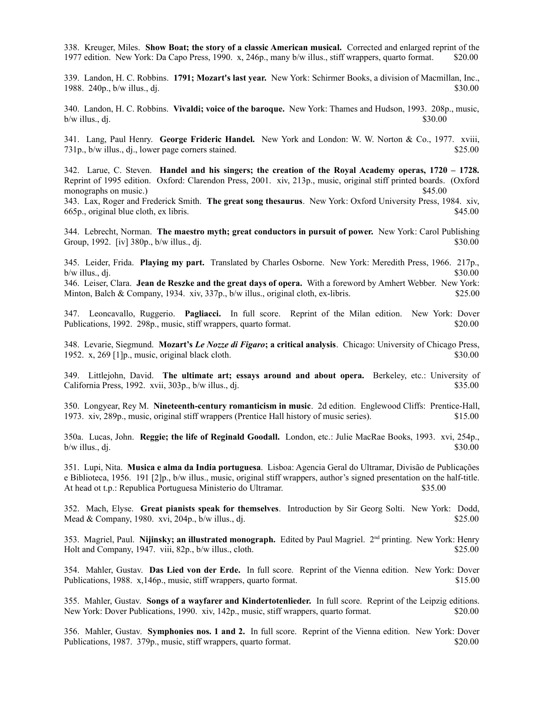338. Kreuger, Miles. **Show Boat; the story of a classic American musical.** Corrected and enlarged reprint of the 1977 edition. New York: Da Capo Press, 1990. x, 246p., many b/w illus., stiff wrappers, quarto format. \$20.00

339. Landon, H. C. Robbins. **1791; Mozart's last year.** New York: Schirmer Books, a division of Macmillan, Inc., 1988.  $240p$ ,  $b/w$  illus., dj.  $$30.00$ 

340. Landon, H. C. Robbins. **Vivaldi; voice of the baroque.** New York: Thames and Hudson, 1993. 208p., music,  $b/w$  illus., dj.  $$30.00$ 

341. Lang, Paul Henry. **George Frideric Handel.** New York and London: W. W. Norton & Co., 1977. xviii, 731p., b/w illus., dj., lower page corners stained. \$25.00

342. Larue, C. Steven. **Handel and his singers; the creation of the Royal Academy operas, 1720 – 1728.** Reprint of 1995 edition.Oxford: Clarendon Press, 2001. xiv, 213p., music, original stiff printed boards. (Oxford monographs on music.) \$45.00

343. Lax, Roger and Frederick Smith. **The great song thesaurus**. New York: Oxford University Press, 1984. xiv, 665p., original blue cloth, ex libris. \$45.00

344. Lebrecht, Norman. **The maestro myth; great conductors in pursuit of power.** New York: Carol Publishing Group, 1992. [iv] 380p., b/w illus., dj.  $\frac{1}{2}$  530.00

345. Leider, Frida. **Playing my part.** Translated by Charles Osborne. New York: Meredith Press, 1966. 217p.,  $b/w$  illus., dj.  $$30.00$ 

346. Leiser, Clara. **Jean de Reszke and the great days of opera.** With a foreword by Amhert Webber. New York: Minton, Balch & Company, 1934. xiv, 337p., b/w illus., original cloth, ex-libris. \$25.00

347. Leoncavallo, Ruggerio. **Pagliacci.** In full score. Reprint of the Milan edition. New York: Dover Publications, 1992. 298p., music, stiff wrappers, quarto format. \$20.00

348. Levarie, Siegmund. **Mozart's** *Le Nozze di Figaro***; a critical analysis**. Chicago: University of Chicago Press, 1952. x, 269 [1]p., music, original black cloth. \$30.00

349. Littlejohn, David. **The ultimate art; essays around and about opera.** Berkeley, etc.: University of California Press, 1992. xvii, 303p., b/w illus., dj. \$35.00

350. Longyear, Rey M. **Nineteenth-century romanticism in music**. 2d edition. Englewood Cliffs: Prentice-Hall, 1973. xiv, 289p., music, original stiff wrappers (Prentice Hall history of music series). \$15.00

350a. Lucas, John. **Reggie; the life of Reginald Goodall.** London, etc.: Julie MacRae Books, 1993. xvi, 254p.,  $b/w$  illus., dj.  $$30.00$ 

351. Lupi, Nita. **Musica e alma da India portuguesa**. Lisboa: Agencia Geral do Ultramar, Divisão de Publicações e Biblioteca, 1956. 191 [2]p., b/w illus., music, original stiff wrappers, author's signed presentation on the half-title. At head ot t.p.: Republica Portuguesa Ministerio do Ultramar. \$35.00

352. Mach, Elyse. **Great pianists speak for themselves**. Introduction by Sir Georg Solti. New York: Dodd, Mead & Company, 1980. xvi, 204p., b/w illus., dj.  $\frac{1}{25.00}$ 

353. Magriel, Paul. **Nijinsky; an illustrated monograph.** Edited by Paul Magriel. 2nd printing. New York: Henry Holt and Company, 1947. viii, 82p., b/w illus., cloth.  $$25.00$ 

354. Mahler, Gustav. **Das Lied von der Erde.** In full score. Reprint of the Vienna edition. New York: Dover Publications, 1988. x,146p., music, stiff wrappers, quarto format. \$15.00

355. Mahler, Gustav. **Songs of a wayfarer and Kindertotenlieder.** In full score. Reprint of the Leipzig editions. New York: Dover Publications, 1990. xiv, 142p., music, stiff wrappers, quarto format. \$20.00

356. Mahler, Gustav. **Symphonies nos. 1 and 2.** In full score. Reprint of the Vienna edition. New York: Dover Publications, 1987. 379p., music, stiff wrappers, quarto format. \$20.00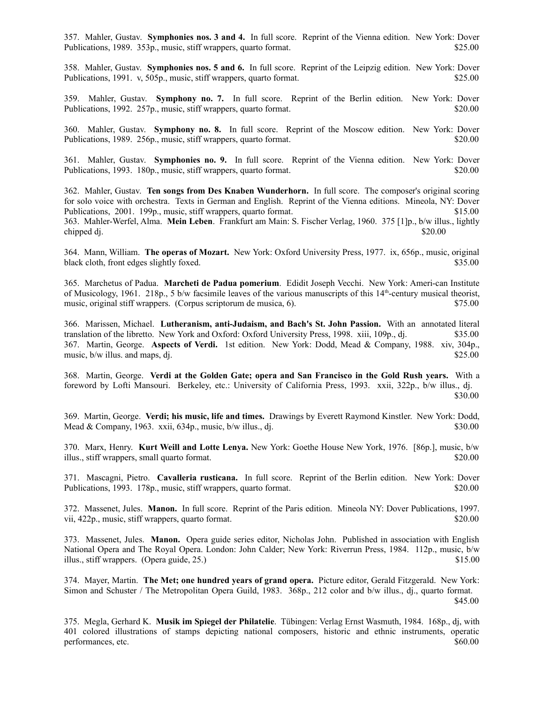357. Mahler, Gustav. **Symphonies nos. 3 and 4.** In full score. Reprint of the Vienna edition. New York: Dover Publications, 1989. 353p., music, stiff wrappers, quarto format. \$25.00

358. Mahler, Gustav. **Symphonies nos. 5 and 6.** In full score. Reprint of the Leipzig edition. New York: Dover Publications, 1991. v, 505p., music, stiff wrappers, quarto format. \$25.00

359. Mahler, Gustav. **Symphony no. 7.** In full score. Reprint of the Berlin edition. New York: Dover Publications, 1992. 257p., music, stiff wrappers, quarto format. \$20.00

360. Mahler, Gustav. **Symphony no. 8.** In full score. Reprint of the Moscow edition. New York: Dover Publications, 1989. 256p., music, stiff wrappers, quarto format. \$20.00

361. Mahler, Gustav. **Symphonies no. 9.** In full score. Reprint of the Vienna edition. New York: Dover Publications, 1993. 180p., music, stiff wrappers, quarto format. \$20.00

362. Mahler, Gustav. **Ten songs from Des Knaben Wunderhorn.** In full score. The composer's original scoring for solo voice with orchestra. Texts in German and English. Reprint of the Vienna editions. Mineola, NY: Dover Publications, 2001. 199p., music, stiff wrappers, quarto format. \$15.00 363. Mahler-Werfel, Alma. **Mein Leben**. Frankfurt am Main: S. Fischer Verlag, 1960. 375 [1]p., b/w illus., lightly chipped dj.  $$20.00$ 

364. Mann, William. **The operas of Mozart.** New York: Oxford University Press, 1977. ix, 656p., music, original black cloth, front edges slightly foxed.  $$35.00$ 

365. Marchetus of Padua. **Marcheti de Padua pomerium**. Edidit Joseph Vecchi. New York: Ameri-can Institute of Musicology, 1961. 218p., 5 b/w facsimile leaves of the various manuscripts of this  $14<sup>th</sup>$ -century musical theorist, music, original stiff wrappers. (Corpus scriptorum de musica, 6).  $$75.00$ 

366. Marissen, Michael. **Lutheranism, anti-Judaism, and Bach's St. John Passion.** With an annotated literal translation of the libretto. New York and Oxford: Oxford University Press, 1998. xiii, 109p., dj. \$35.00 367. Martin, George. **Aspects of Verdi.** 1st edition.New York: Dodd, Mead & Company, 1988. xiv, 304p., music, b/w illus. and maps, dj.  $$25.00$ 

368. Martin, George. **Verdi at the Golden Gate; opera and San Francisco in the Gold Rush years.** With a foreword by Lofti Mansouri. Berkeley, etc.: University of California Press, 1993. xxii, 322p., b/w illus., dj. \$30.00

369. Martin, George. **Verdi; his music, life and times.** Drawings by Everett Raymond Kinstler. New York: Dodd, Mead & Company, 1963. xxii, 634p., music, b/w illus., dj.  $\frac{1}{2}$  \$30.000 \$30.00

370. Marx, Henry. **Kurt Weill and Lotte Lenya.** New York: Goethe House New York, 1976. [86p.], music, b/w illus., stiff wrappers, small quarto format. \$20.00

371. Mascagni, Pietro. **Cavalleria rusticana.** In full score. Reprint of the Berlin edition. New York: Dover Publications, 1993. 178p., music, stiff wrappers, quarto format. \$20.00

372. Massenet, Jules. **Manon.** In full score. Reprint of the Paris edition. Mineola NY: Dover Publications, 1997. vii, 422p., music, stiff wrappers, quarto format.  $\qquad$  \$20.000

373. Massenet, Jules. **Manon.** Opera guide series editor, Nicholas John. Published in association with English National Opera and The Royal Opera. London: John Calder; New York: Riverrun Press, 1984. 112p., music, b/w illus., stiff wrappers. (Opera guide,  $25.$ )  $$15.00$ 

374. Mayer, Martin. **The Met; one hundred years of grand opera.** Picture editor, Gerald Fitzgerald. New York: Simon and Schuster / The Metropolitan Opera Guild, 1983. 368p., 212 color and b/w illus., dj., quarto format. \$45.00

375. Megla, Gerhard K. **Musik im Spiegel der Philatelie**. Tübingen: Verlag Ernst Wasmuth, 1984. 168p., dj, with 401 colored illustrations of stamps depicting national composers, historic and ethnic instruments, operatic performances, etc.  $$60.00$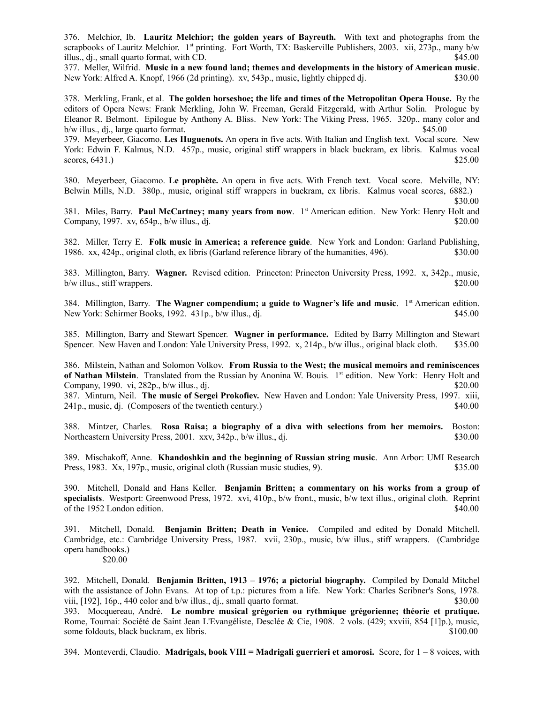376. Melchior, Ib. **Lauritz Melchior; the golden years of Bayreuth.** With text and photographs from the scrapbooks of Lauritz Melchior. 1<sup>st</sup> printing. Fort Worth, TX: Baskerville Publishers, 2003. xii, 273p., many b/w illus., dj., small quarto format, with CD.  $\$45.00$ 

377. Meller, Wilfrid. **Music in a new found land; themes and developments in the history of American music**. New York: Alfred A. Knopf, 1966 (2d printing). xv, 543p., music, lightly chipped dj. \$30.00

378. Merkling, Frank, et al. **The golden horseshoe; the life and times of the Metropolitan Opera House.** By the editors of Opera News: Frank Merkling, John W. Freeman, Gerald Fitzgerald, with Arthur Solin. Prologue by Eleanor R. Belmont. Epilogue by Anthony A. Bliss. New York: The Viking Press, 1965. 320p., many color and  $b/w$  illus., dj., large quarto format.  $$45.00$ 

379. Meyerbeer, Giacomo. **Les Huguenots.** An opera in five acts. With Italian and English text. Vocal score. New York: Edwin F. Kalmus, N.D. 457p., music, original stiff wrappers in black buckram, ex libris. Kalmus vocal  $s$  scores, 6431.)  $$25.00$ 

380. Meyerbeer, Giacomo. **Le prophète.** An opera in five acts. With French text. Vocal score. Melville, NY: Belwin Mills, N.D. 380p., music, original stiff wrappers in buckram, ex libris. Kalmus vocal scores, 6882.)

\$30.00

381. Miles, Barry. **Paul McCartney; many years from now**. 1st American edition. New York: Henry Holt and Company, 1997. xv, 654p., b/w illus., dj.  $\frac{1}{2}$  and  $\frac{1}{2}$  and  $\frac{1}{2}$  and  $\frac{1}{2}$  and  $\frac{1}{2}$  and  $\frac{1}{2}$  and  $\frac{1}{2}$  and  $\frac{1}{2}$  and  $\frac{1}{2}$  and  $\frac{1}{2}$  and  $\frac{1}{2}$  and  $\frac{1}{2}$  and  $\frac{1}{2}$  an

382. Miller, Terry E. **Folk music in America; a reference guide**. New York and London: Garland Publishing, 1986. xx, 424p., original cloth, ex libris (Garland reference library of the humanities, 496). \$30.00

383. Millington, Barry. **Wagner.** Revised edition. Princeton: Princeton University Press, 1992. x, 342p., music, b/w illus., stiff wrappers.  $\frac{1}{20.00}$ 

384. Millington, Barry. **The Wagner compendium; a guide to Wagner's life and music**. 1st American edition. New York: Schirmer Books, 1992. 431p., b/w illus., di.  $\frac{1}{2}$  \$45.00

385. Millington, Barry and Stewart Spencer. **Wagner in performance.** Edited by Barry Millington and Stewart Spencer. New Haven and London: Yale University Press, 1992. x, 214p., b/w illus., original black cloth. \$35.00

386. Milstein, Nathan and Solomon Volkov. **From Russia to the West; the musical memoirs and reminiscences of Nathan Milstein**. Translated from the Russian by Anonina W. Bouis. 1<sup>st</sup> edition. New York: Henry Holt and Company, 1990. vi, 282p., b/w illus., dj.  $\qquad$  820.00

387. Minturn, Neil. **The music of Sergei Prokofiev.** New Haven and London: Yale University Press, 1997. xiii, 241p., music, dj. (Composers of the twentieth century.) \$40.00

388. Mintzer, Charles. **Rosa Raisa; a biography of a diva with selections from her memoirs.** Boston: Northeastern University Press, 2001. xxv, 342p., b/w illus., dj.  $\qquad$  \$30.00

389. Mischakoff, Anne. **Khandoshkin and the beginning of Russian string music**. Ann Arbor: UMI Research Press, 1983. Xx, 197p., music, original cloth (Russian music studies, 9). \$35.00

390. Mitchell, Donald and Hans Keller. **Benjamin Britten; a commentary on his works from a group of specialists**. Westport: Greenwood Press, 1972. xvi, 410p., b/w front., music, b/w text illus., original cloth. Reprint of the 1952 London edition. \$40.00

391. Mitchell, Donald. **Benjamin Britten; Death in Venice.** Compiled and edited by Donald Mitchell. Cambridge, etc.: Cambridge University Press, 1987. xvii, 230p., music, b/w illus., stiff wrappers. (Cambridge opera handbooks.)

\$20.00

392. Mitchell, Donald. **Benjamin Britten, 1913 – 1976; a pictorial biography.** Compiled by Donald Mitchel with the assistance of John Evans. At top of t.p.: pictures from a life. New York: Charles Scribner's Sons, 1978. viii, [192], 16p., 440 color and b/w illus., dj., small quarto format. \$30.00 393. Mocquereau, André. **Le nombre musical grégorien ou rythmique grégorienne; théorie et pratique.** Rome, Tournai: Société de Saint Jean L'Evangéliste, Desclée & Cie, 1908. 2 vols. (429; xxviii, 854 [1]p.), music, some foldouts, black buckram, ex libris.  $$100.00$ 

394. Monteverdi, Claudio. **Madrigals, book VIII = Madrigali guerrieri et amorosi.** Score, for 1 – 8 voices, with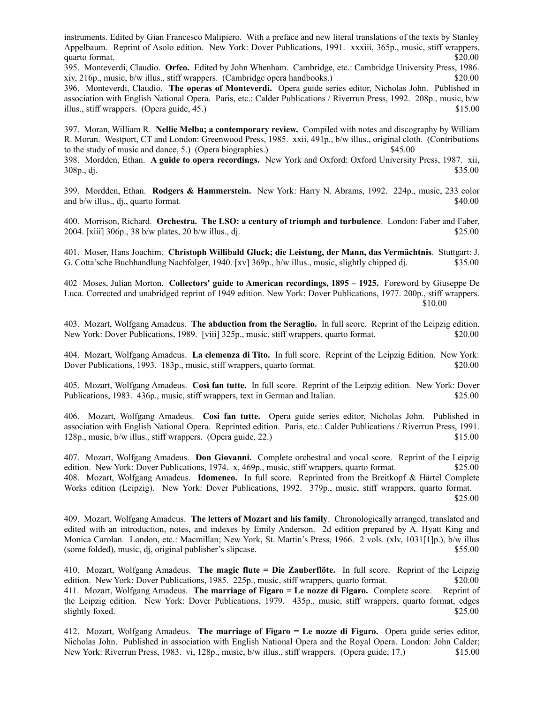instruments. Edited by Gian Francesco Malipiero. With a preface and new literal translations of the texts by Stanley Appelbaum. Reprint of Asolo edition. New York: Dover Publications, 1991. xxxiii, 365p., music, stiff wrappers, quarto format. \$20.00

395. Monteverdi, Claudio. **Orfeo.** Edited by John Whenham. Cambridge, etc.: Cambridge University Press, 1986. xiv, 216p., music, b/w illus., stiff wrappers. (Cambridge opera handbooks.) \$20.00

396. Monteverdi, Claudio. **The operas of Monteverdi.** Opera guide series editor, Nicholas John. Published in association with English National Opera. Paris, etc.: Calder Publications / Riverrun Press, 1992. 208p., music, b/w illus., stiff wrappers. (Opera guide, 45.) \$15.00

397. Moran, William R. **Nellie Melba; a contemporary review.** Compiled with notes and discography by William R. Moran. Westport, CT and London: Greenwood Press, 1985. xxii, 491p., b/w illus., original cloth. (Contributions to the study of music and dance, 5.) (Opera biographies.) \$45.00

398. Mordden, Ethan. **A guide to opera recordings.** New York and Oxford: Oxford University Press, 1987. xii,  $308p_1$ , dj.  $$35.00$ 

399. Mordden, Ethan. **Rodgers & Hammerstein.** New York: Harry N. Abrams, 1992. 224p., music, 233 color and b/w illus., dj., quarto format. \$40.00

400. Morrison, Richard. **Orchestra. The LSO: a century of triumph and turbulence**. London: Faber and Faber, 2004. [xiii] 306p., 38 b/w plates, 20 b/w illus., dj. \$25.00

401. Moser, Hans Joachim. **Christoph Willibald Gluck; die Leistung, der Mann, das Vermächtnis**. Stuttgart: J. G. Cotta'sche Buchhandlung Nachfolger, 1940. [xv] 369p., b/w illus., music, slightly chipped dj. \$35.00

402 Moses, Julian Morton. **Collectors' guide to American recordings, 1895 – 1925.** Foreword by Giuseppe De Luca. Corrected and unabridged reprint of 1949 edition. New York: Dover Publications, 1977. 200p., stiff wrappers. \$10.00

403. Mozart, Wolfgang Amadeus. **The abduction from the Seraglio.** In full score. Reprint of the Leipzig edition. New York: Dover Publications, 1989. [viii] 325p., music, stiff wrappers, quarto format. \$20.00

404. Mozart, Wolfgang Amadeus. **La clemenza di Tito.** In full score. Reprint of the Leipzig Edition. New York: Dover Publications, 1993. 183p., music, stiff wrappers, quarto format. \$20.00

405. Mozart, Wolfgang Amadeus. **Così fan tutte.** In full score. Reprint of the Leipzig edition. New York: Dover Publications, 1983. 436p., music, stiff wrappers, text in German and Italian. \$25.00

406. Mozart, Wolfgang Amadeus. **Cosi fan tutte.** Opera guide series editor, Nicholas John. Published in association with English National Opera. Reprinted edition. Paris, etc.: Calder Publications / Riverrun Press, 1991. 128p., music, b/w illus., stiff wrappers. (Opera guide, 22.) \$15.00

407. Mozart, Wolfgang Amadeus. **Don Giovanni.** Complete orchestral and vocal score. Reprint of the Leipzig edition. New York: Dover Publications, 1974. x, 469p., music, stiff wrappers, quarto format. \$25.00 408. Mozart, Wolfgang Amadeus. **Idomeneo.** In full score. Reprinted from the Breitkopf & Härtel Complete Works edition (Leipzig). New York: Dover Publications, 1992. 379p., music, stiff wrappers, quarto format. \$25.00

409. Mozart, Wolfgang Amadeus. **The letters of Mozart and his family**. Chronologically arranged, translated and edited with an introduction, notes, and indexes by Emily Anderson. 2d edition prepared by A. Hyatt King and Monica Carolan. London, etc.: Macmillan; New York, St. Martin's Press, 1966. 2 vols. (xlv, 1031[1]p.), b/w illus (some folded), music, dj, original publisher's slipcase. \$55.00

410. Mozart, Wolfgang Amadeus. **The magic flute = Die Zauberflöte.** In full score. Reprint of the Leipzig edition. New York: Dover Publications, 1985. 225p., music, stiff wrappers, quarto format. \$20.00 411. Mozart, Wolfgang Amadeus. **The marriage of Figaro = Le nozze di Figaro.** Complete score. Reprint of the Leipzig edition. New York: Dover Publications, 1979. 435p., music, stiff wrappers, quarto format, edges slightly foxed. \$25.00

412. Mozart, Wolfgang Amadeus. **The marriage of Figaro = Le nozze di Figaro.** Opera guide series editor, Nicholas John. Published in association with English National Opera and the Royal Opera. London: John Calder; New York: Riverrun Press, 1983. vi, 128p., music, b/w illus., stiff wrappers. (Opera guide, 17.) \$15.00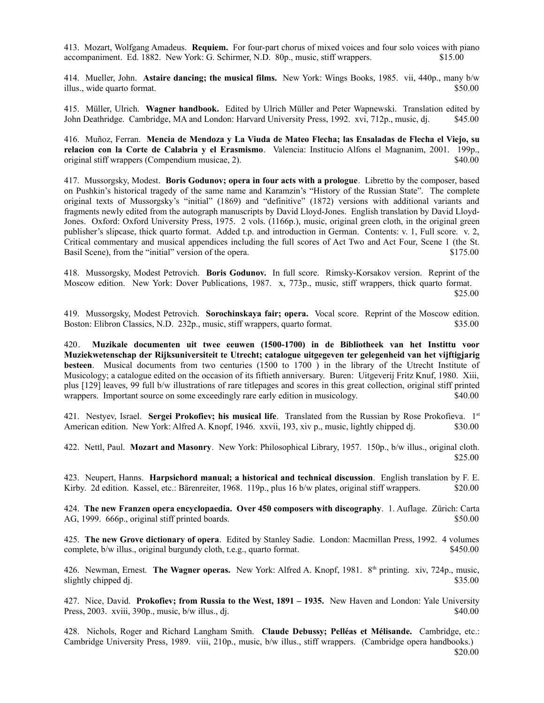413. Mozart, Wolfgang Amadeus. **Requiem.** For four-part chorus of mixed voices and four solo voices with piano accompaniment. Ed. 1882. New York: G. Schirmer, N.D. 80p., music, stiff wrappers. \$15.00

414. Mueller, John. **Astaire dancing; the musical films.** New York: Wings Books, 1985. vii, 440p., many b/w illus., wide quarto format.  $$50.00$ 

415. Müller, Ulrich. **Wagner handbook.** Edited by Ulrich Müller and Peter Wapnewski. Translation edited by John Deathridge. Cambridge, MA and London: Harvard University Press, 1992. xvi, 712p., music, dj. \$45.00

416. Muñoz, Ferran. **Mencia de Mendoza y La Viuda de Mateo Flecha; las Ensaladas de Flecha el Viejo, su relacion con la Corte de Calabria y el Erasmismo**. Valencia: Institucio Alfons el Magnanim, 2001. 199p., original stiff wrappers (Compendium musicae, 2). \$40.00

417. Mussorgsky, Modest. **Boris Godunov; opera in four acts with a prologue**. Libretto by the composer, based on Pushkin's historical tragedy of the same name and Karamzin's "History of the Russian State". The complete original texts of Mussorgsky's "initial" (1869) and "definitive" (1872) versions with additional variants and fragments newly edited from the autograph manuscripts by David Lloyd-Jones. English translation by David Lloyd-Jones. Oxford: Oxford University Press, 1975. 2 vols. (1166p.), music, original green cloth, in the original green publisher's slipcase, thick quarto format. Added t.p. and introduction in German. Contents: v. 1, Full score. v. 2, Critical commentary and musical appendices including the full scores of Act Two and Act Four, Scene 1 (the St. Basil Scene), from the "initial" version of the opera. \$175.00

418. Mussorgsky, Modest Petrovich. **Boris Godunov.** In full score. Rimsky-Korsakov version. Reprint of the Moscow edition. New York: Dover Publications, 1987. x, 773p., music, stiff wrappers, thick quarto format. \$25.00

419. Mussorgsky, Modest Petrovich. **Sorochinskaya fair; opera.** Vocal score. Reprint of the Moscow edition. Boston: Elibron Classics, N.D. 232p., music, stiff wrappers, quarto format. \$35.00

420. **Muzikale documenten uit twee eeuwen (1500-1700) in de Bibliotheek van het Instittu voor Muziekwetenschap der Rijksuniversiteit te Utrecht; catalogue uitgegeven ter gelegenheid van het vijftigjarig besteen**. Musical documents from two centuries (1500 to 1700) in the library of the Utrecht Institute of Musicology; a catalogue edited on the occasion of its fiftieth anniversary. Buren: Uitgeverij Fritz Knuf, 1980. Xiii, plus [129] leaves, 99 full b/w illustrations of rare titlepages and scores in this great collection, original stiff printed wrappers. Important source on some exceedingly rare early edition in musicology. \$40.00

421. Nestyev, Israel. **Sergei Prokofiev; his musical life**. Translated from the Russian by Rose Prokofieva. 1st American edition. New York: Alfred A. Knopf, 1946. xxvii, 193, xiv p., music, lightly chipped dj. \$30.00

422. Nettl, Paul. **Mozart and Masonry**. New York: Philosophical Library, 1957. 150p., b/w illus., original cloth. \$25.00

423. Neupert, Hanns. **Harpsichord manual; a historical and technical discussion**. English translation by F. E. Kirby. 2d edition. Kassel, etc.: Bärenreiter, 1968. 119p., plus 16 b/w plates, original stiff wrappers. \$20.00

424. **The new Franzen opera encyclopaedia. Over 450 composers with discography**. 1. Auflage. Zürich: Carta AG, 1999. 666p., original stiff printed boards. \$50.00

425. **The new Grove dictionary of opera**. Edited by Stanley Sadie. London: Macmillan Press, 1992. 4 volumes complete, b/w illus., original burgundy cloth, t.e.g., quarto format. \$450.00

426. Newman, Ernest. **The Wagner operas.** New York: Alfred A. Knopf, 1981. 8th printing. xiv, 724p., music, slightly chipped dj.  $$35.00$ 

427. Nice, David. **Prokofiev; from Russia to the West, 1891 – 1935.** New Haven and London: Yale University Press, 2003. xviii, 390p., music, b/w illus., di.  $\frac{1}{2}$  and  $\frac{1}{2}$  and  $\frac{1}{2}$  and  $\frac{1}{2}$  and  $\frac{1}{2}$  and  $\frac{1}{2}$  and  $\frac{1}{2}$  and  $\frac{1}{2}$  and  $\frac{1}{2}$  and  $\frac{1}{2}$  and  $\frac{1}{2}$  and  $\frac{1}{2}$  and  $\frac{$ 

428. Nichols, Roger and Richard Langham Smith. **Claude Debussy; Pelléas et Mélisande.** Cambridge, etc.: Cambridge University Press, 1989. viii, 210p., music, b/w illus., stiff wrappers. (Cambridge opera handbooks.) \$20.00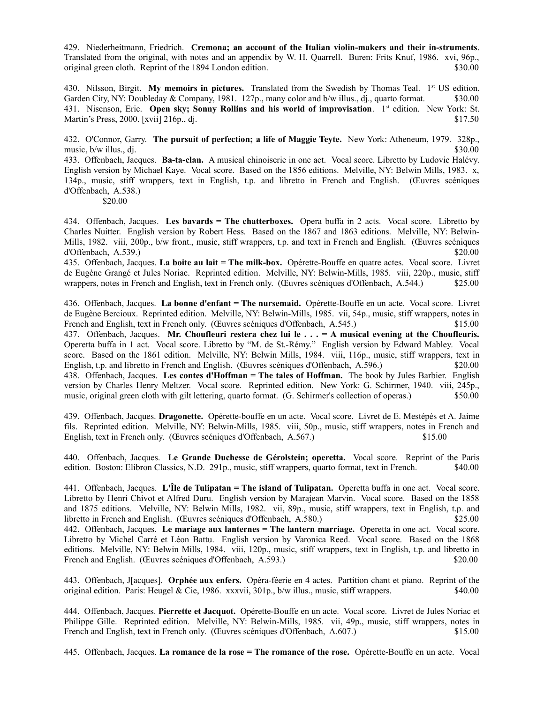429. Niederheitmann, Friedrich. **Cremona; an account of the Italian violin-makers and their in-struments**. Translated from the original, with notes and an appendix by W. H. Quarrell. Buren: Frits Knuf, 1986. xvi, 96p., original green cloth. Reprint of the 1894 London edition. \$30.00

430. Nilsson, Birgit. My memoirs in pictures. Translated from the Swedish by Thomas Teal. 1<sup>st</sup> US edition. Garden City, NY: Doubleday & Company, 1981. 127p., many color and b/w illus., dj., quarto format. \$30.00 431. Nisenson, Eric. **Open sky; Sonny Rollins and his world of improvisation**. 1st edition. New York: St. Martin's Press, 2000. [xvii] 216p., dj.  $$17.50$ 

432. O'Connor, Garry. **The pursuit of perfection; a life of Maggie Teyte.** New York: Atheneum, 1979. 328p., music,  $b/w$  illus., di.  $$30.00$ 

433. Offenbach, Jacques. **Ba-ta-clan.** A musical chinoiserie in one act.Vocal score. Libretto by Ludovic Halévy. English version by Michael Kaye. Vocal score. Based on the 1856 editions. Melville, NY: Belwin Mills, 1983. x, 134p., music, stiff wrappers, text in English, t.p. and libretto in French and English. (Œuvres scéniques d'Offenbach, A.538.)

\$20.00

434. Offenbach, Jacques. **Les bavards = The chatterboxes.** Opera buffa in 2 acts. Vocal score. Libretto by Charles Nuitter. English version by Robert Hess. Based on the 1867 and 1863 editions. Melville, NY: Belwin-Mills, 1982. viii, 200p., b/w front., music, stiff wrappers, t.p. and text in French and English. (Œuvres scéniques d'Offenbach, A.539.) \$20.00

435. Offenbach, Jacques. **La boite au lait = The milk-box.** Opérette-Bouffe en quatre actes. Vocal score. Livret de Eugène Grangé et Jules Noriac. Reprinted edition. Melville, NY: Belwin-Mills, 1985. viii, 220p., music, stiff wrappers, notes in French and English, text in French only. (Œuvres scéniques d'Offenbach, A.544.) \$25.00

436. Offenbach, Jacques. **La bonne d'enfant = The nursemaid.** Opérette-Bouffe en un acte. Vocal score. Livret de Eugène Bercioux. Reprinted edition. Melville, NY: Belwin-Mills, 1985. vii, 54p., music, stiff wrappers, notes in French and English, text in French only. (Œuvres scéniques d'Offenbach, A.545.) \$15.00 437. Offenbach, Jacques. **Mr. Choufleuri restera chez lui le . . . = A musical evening at the Choufleuris.** Operetta buffa in 1 act.Vocal score. Libretto by "M. de St.-Rémy." English version by Edward Mabley. Vocal score. Based on the 1861 edition. Melville, NY: Belwin Mills, 1984. viii, 116p., music, stiff wrappers, text in English, t.p. and libretto in French and English. (Œuvres scéniques d'Offenbach, A.596.) \$20.00 438. Offenbach, Jacques. **Les contes d'Hoffman = The tales of Hoffman.** The book by Jules Barbier. English version by Charles Henry Meltzer. Vocal score. Reprinted edition. New York: G. Schirmer, 1940. viii, 245p., music, original green cloth with gilt lettering, quarto format. (G. Schirmer's collection of operas.) \$50.00

439. Offenbach, Jacques. **Dragonette.** Opérette-bouffe en un acte. Vocal score. Livret de E. Mestépès et A. Jaime fils. Reprinted edition. Melville, NY: Belwin-Mills, 1985. viii, 50p., music, stiff wrappers, notes in French and English, text in French only. (Œuvres scéniques d'Offenbach, A.567.) \$15.00

440. Offenbach, Jacques. **Le Grande Duchesse de Gérolstein; operetta.** Vocal score. Reprint of the Paris edition. Boston: Elibron Classics, N.D. 291p., music, stiff wrappers, quarto format, text in French. \$40.00

441. Offenbach, Jacques. **L'Île de Tulipatan = The island of Tulipatan.** Operetta buffa in one act.Vocal score. Libretto by Henri Chivot et Alfred Duru. English version by Marajean Marvin. Vocal score. Based on the 1858 and 1875 editions. Melville, NY: Belwin Mills, 1982. vii, 89p., music, stiff wrappers, text in English, t.p. and libretto in French and English. (Œuvres scéniques d'Offenbach, A.580.) \$25.00 442. Offenbach, Jacques. **Le mariage aux lanternes = The lantern marriage.** Operetta in one act.Vocal score. Libretto by Michel Carré et Léon Battu. English version by Varonica Reed. Vocal score. Based on the 1868 editions. Melville, NY: Belwin Mills, 1984. viii, 120p., music, stiff wrappers, text in English, t.p. and libretto in French and English. (Œuvres scéniques d'Offenbach, A.593.) \$20.00

443. Offenbach, J[acques]. **Orphée aux enfers.** Opéra-féerie en 4 actes. Partition chant et piano. Reprint of the original edition. Paris: Heugel & Cie, 1986. xxxvii, 301p., b/w illus., music, stiff wrappers. \$40.00

444. Offenbach, Jacques. **Pierrette et Jacquot.** Opérette-Bouffe en un acte. Vocal score. Livret de Jules Noriac et Philippe Gille. Reprinted edition. Melville, NY: Belwin-Mills, 1985. vii, 49p., music, stiff wrappers, notes in French and English, text in French only. (Œuvres scéniques d'Offenbach, A.607.) \$15.00

445. Offenbach, Jacques. **La romance de la rose = The romance of the rose.** Opérette-Bouffe en un acte. Vocal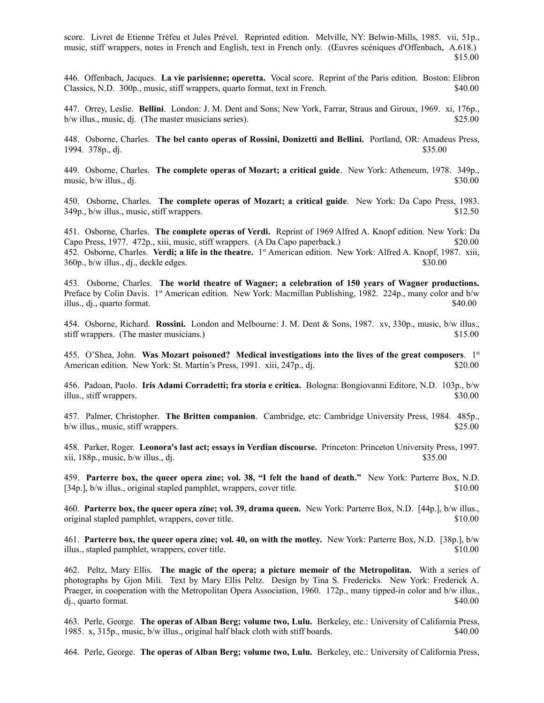score. Livret de Etienne Tréfeu et Jules Prével. Reprinted edition. Melville, NY: Belwin-Mills, 1985. vii, 51p., music, stiff wrappers, notes in French and English, text in French only. (Œuvres scéniques d'Offenbach, A.618.) \$15.00

446. Offenbach, Jacques. **La vie parisienne; operetta.** Vocal score. Reprint of the Paris edition. Boston: Elibron Classics, N.D. 300p., music, stiff wrappers, quarto format, text in French. \$40.00

447. Orrey, Leslie. **Bellini**. London: J. M. Dent and Sons; New York, Farrar, Straus and Giroux, 1969. xi, 176p., b/w illus., music, dj. (The master musicians series). \$25.00

448. Osborne, Charles. **The bel canto operas of Rossini, Donizetti and Bellini.** Portland, OR: Amadeus Press, 1994. 378p., di. \$35.00

449. Osborne, Charles. **The complete operas of Mozart; a critical guide**. New York: Atheneum, 1978. 349p., music,  $b/w$  illus., dj.  $$30.00$ 

450. Osborne, Charles. **The complete operas of Mozart; a critical guide**. New York: Da Capo Press, 1983. 349p., b/w illus., music, stiff wrappers. \$12.50

451. Osborne, Charles. **The complete operas of Verdi.** Reprint of 1969 Alfred A. Knopf edition. New York: Da Capo Press, 1977. 472p., xiii, music, stiff wrappers. (A Da Capo paperback.) \$20.00 452. Osborne, Charles. Verdi; a life in the theatre. 1<sup>st</sup> American edition. New York: Alfred A. Knopf, 1987. xiii, 360p., b/w illus., dj., deckle edges. \$30.00

453. Osborne, Charles. **The world theatre of Wagner; a celebration of 150 years of Wagner productions.** Preface by Colin Davis. 1<sup>st</sup> American edition. New York: Macmillan Publishing, 1982. 224p., many color and b/w illus., dj., quarto format.  $\$40.00$ 

454. Osborne, Richard. **Rossini.** London and Melbourne: J. M. Dent & Sons, 1987. xv, 330p., music, b/w illus., stiff wrappers. (The master musicians.)  $$15.00$ 

455. O'Shea, John. **Was Mozart poisoned? Medical investigations into the lives of the great composers**. 1st American edition. New York: St. Martin's Press, 1991. xiii, 247p., dj.  $$20.00$ 

456. Padoan, Paolo. **Iris Adami Corradetti; fra storia e critica.** Bologna: Bongiovanni Editore, N.D. 103p., b/w illus., stiff wrappers. \$30.00

457. Palmer, Christopher. **The Britten companion**. Cambridge, etc: Cambridge University Press, 1984. 485p., b/w illus., music, stiff wrappers.  $\frac{1}{25.00}$ 

458. Parker, Roger. **Leonora's last act; essays in Verdian discourse.** Princeton: Princeton University Press, 1997. xii, 188p., music, b/w illus., dj. \$35.00

459. **Parterre box, the queer opera zine; vol. 38, "I felt the hand of death."** New York: Parterre Box, N.D. [34p.], b/w illus., original stapled pamphlet, wrappers, cover title. \$10.00

460. **Parterre box, the queer opera zine; vol. 39, drama queen.** New York: Parterre Box, N.D. [44p.], b/w illus., original stapled pamphlet, wrappers, cover title. \$10.00

461. **Parterre box, the queer opera zine; vol. 40, on with the motley.** New York: Parterre Box, N.D. [38p.], b/w illus., stapled pamphlet, wrappers, cover title.  $$10.00$ 

462. Peltz, Mary Ellis. **The magic of the opera; a picture memoir of the Metropolitan.** With a series of photographs by Gjon Mili. Text by Mary Ellis Peltz. Design by Tina S. Fredericks. New York: Frederick A. Praeger, in cooperation with the Metropolitan Opera Association, 1960. 172p., many tipped-in color and b/w illus., dj., quarto format. \$40.00

463. Perle, George. **The operas of Alban Berg; volume two, Lulu.** Berkeley, etc.: University of California Press, 1985. x, 315p., music, b/w illus., original half black cloth with stiff boards. \$40.00

464. Perle, George. **The operas of Alban Berg; volume two, Lulu.** Berkeley, etc.: University of California Press,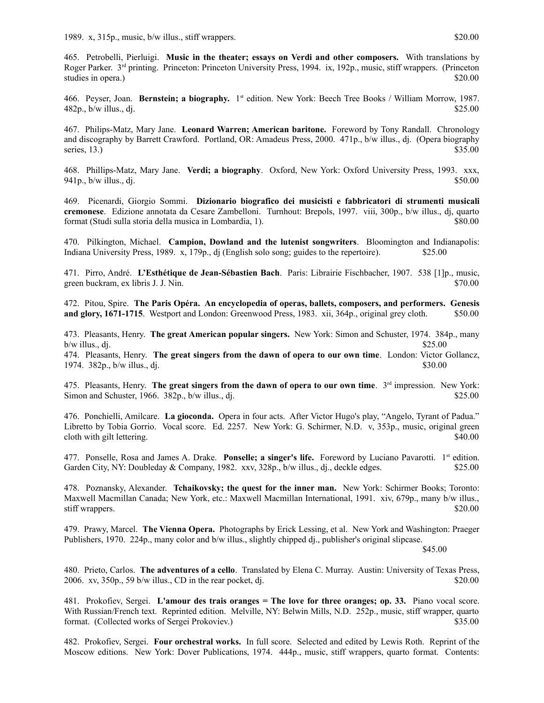465. Petrobelli, Pierluigi. **Music in the theater; essays on Verdi and other composers.** With translations by Roger Parker. 3rd printing. Princeton: Princeton University Press, 1994. ix, 192p., music, stiff wrappers. (Princeton studies in opera.) \$20.00

466. Peyser, Joan. **Bernstein; a biography.** 1 st edition. New York: Beech Tree Books / William Morrow, 1987.  $482p$ , b/w illus., dj.  $$25.00$ 

467. Philips-Matz, Mary Jane. **Leonard Warren; American baritone.** Foreword by Tony Randall. Chronology and discography by Barrett Crawford. Portland, OR: Amadeus Press, 2000. 471p., b/w illus., dj. (Opera biography series, 13.)  $$35.00$ 

468. Phillips-Matz, Mary Jane. **Verdi; a biography**. Oxford, New York: Oxford University Press, 1993. xxx, 941p.,  $b/w$  illus., di.  $$50.00$ 

469. Picenardi, Giorgio Sommi. **Dizionario biografico dei musicisti e fabbricatori di strumenti musicali cremonese**. Edizione annotata da Cesare Zambelloni. Turnhout: Brepols, 1997. viii, 300p., b/w illus., dj, quarto format (Studi sulla storia della musica in Lombardia, 1). \$80.00

470. Pilkington, Michael. **Campion, Dowland and the lutenist songwriters**. Bloomington and Indianapolis: Indiana University Press, 1989. x, 179p., dj (English solo song; guides to the repertoire). \$25.00

471. Pirro, André. **L'Esthétique de Jean-Sébastien Bach**. Paris: Librairie Fischbacher, 1907. 538 [1]p., music, green buckram, ex libris J. J. Nin.  $$70.00$ 

472. Pitou, Spire. **The Paris Opéra. An encyclopedia of operas, ballets, composers, and performers. Genesis and glory, 1671-1715**. Westport and London: Greenwood Press, 1983. xii, 364p., original grey cloth. \$50.00

473. Pleasants, Henry. **The great American popular singers.** New York: Simon and Schuster, 1974. 384p., many  $b/w$  illus., dj.  $$25.00$ 

474. Pleasants, Henry. **The great singers from the dawn of opera to our own time**. London: Victor Gollancz, 1974.  $382p$ ., b/w illus., dj.  $$30.00$ 

475. Pleasants, Henry. **The great singers from the dawn of opera to our own time**. 3rd impression. New York: Simon and Schuster, 1966.  $382p$ , b/w illus., dj.  $$25.00$ 

476. Ponchielli, Amilcare. **La gioconda.** Opera in four acts. After Victor Hugo's play, "Angelo, Tyrant of Padua." Libretto by Tobia Gorrio. Vocal score. Ed. 2257. New York: G. Schirmer, N.D. v, 353p., music, original green cloth with gilt lettering. \$40.00

477. Ponselle, Rosa and James A. Drake. **Ponselle; a singer's life.** Foreword by Luciano Pavarotti. 1st edition. Garden City, NY: Doubleday & Company, 1982. xxv, 328p., b/w illus., dj., deckle edges. \$25.00

478. Poznansky, Alexander. **Tchaikovsky; the quest for the inner man.** New York: Schirmer Books; Toronto: Maxwell Macmillan Canada; New York, etc.: Maxwell Macmillan International, 1991. xiv, 679p., many b/w illus., stiff wrappers. \$20.00

479. Prawy, Marcel. **The Vienna Opera.** Photographs by Erick Lessing, et al.New York and Washington: Praeger Publishers, 1970. 224p., many color and b/w illus., slightly chipped dj., publisher's original slipcase.

\$45.00

480. Prieto, Carlos. **The adventures of a cello**. Translated by Elena C. Murray. Austin: University of Texas Press, 2006. xv,  $350p$ ,  $59 b/w$  illus., CD in the rear pocket, dj.  $$20.00$ 

481. Prokofiev, Sergei. **L'amour des trais oranges = The love for three oranges; op. 33.** Piano vocal score. With Russian/French text. Reprinted edition. Melville, NY: Belwin Mills, N.D. 252p., music, stiff wrapper, quarto format. (Collected works of Sergei Prokoviev.) \$35.00

482. Prokofiev, Sergei. **Four orchestral works.** In full score. Selected and edited by Lewis Roth. Reprint of the Moscow editions. New York: Dover Publications, 1974. 444p., music, stiff wrappers, quarto format. Contents: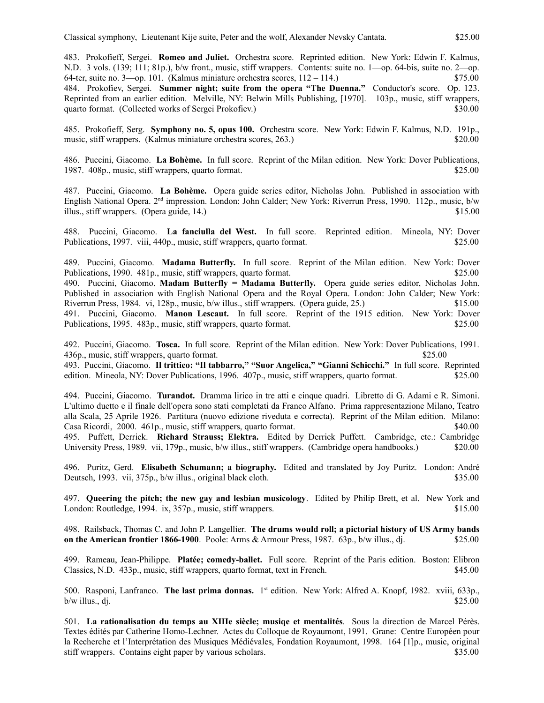483. Prokofieff, Sergei. **Romeo and Juliet.** Orchestra score. Reprinted edition. New York: Edwin F. Kalmus, N.D. 3 vols. (139; 111; 81p.), b/w front., music, stiff wrappers. Contents: suite no. 1—op. 64-bis, suite no. 2—op. 64-ter, suite no.  $3$ —op. 101. (Kalmus miniature orchestra scores,  $112 - 114$ .) \$75.00 484. Prokofiev, Sergei. **Summer night; suite from the opera "The Duenna."** Conductor's score. Op. 123. Reprinted from an earlier edition. Melville, NY: Belwin Mills Publishing, [1970]. 103p., music, stiff wrappers, quarto format. (Collected works of Sergei Prokofiev.) \$30.00

485. Prokofieff, Serg. **Symphony no. 5, opus 100.** Orchestra score. New York: Edwin F. Kalmus, N.D. 191p., music, stiff wrappers. (Kalmus miniature orchestra scores, 263.) \$20.00

486. Puccini, Giacomo. **La Bohème.** In full score. Reprint of the Milan edition. New York: Dover Publications, 1987. 408p., music, stiff wrappers, quarto format. \$25.00

487. Puccini, Giacomo. **La Bohème.** Opera guide series editor, Nicholas John. Published in association with English National Opera. 2<sup>nd</sup> impression. London: John Calder; New York: Riverrun Press, 1990. 112p., music, b/w illus., stiff wrappers. (Opera guide, 14.) \$15.00

488. Puccini, Giacomo. **La fanciulla del West.** In full score. Reprinted edition. Mineola, NY: Dover Publications, 1997. viii, 440p., music, stiff wrappers, quarto format. \$25.00

489. Puccini, Giacomo. **Madama Butterfly.** In full score. Reprint of the Milan edition. New York: Dover Publications, 1990. 481p., music, stiff wrappers, quarto format. \$25.00 490. Puccini, Giacomo. **Madam Butterfly = Madama Butterfly.** Opera guide series editor, Nicholas John. Published in association with English National Opera and the Royal Opera. London: John Calder; New York: Riverrun Press, 1984. vi, 128p., music, b/w illus., stiff wrappers. (Opera guide, 25.) \$15.00 491. Puccini, Giacomo. **Manon Lescaut.** In full score. Reprint of the 1915 edition. New York: Dover Publications, 1995. 483p., music, stiff wrappers, quarto format. \$25.00

492. Puccini, Giacomo. **Tosca.** In full score. Reprint of the Milan edition. New York: Dover Publications, 1991. 436p., music, stiff wrappers, quarto format. \$25.00

493. Puccini, Giacomo. **Il trittico: "Il tabbarro," "Suor Angelica," "Gianni Schicchi."** In full score. Reprinted edition. Mineola, NY: Dover Publications, 1996. 407p., music, stiff wrappers, quarto format. \$25.00

494. Puccini, Giacomo. **Turandot.** Dramma lirico in tre atti e cinque quadri. Libretto di G. Adami e R. Simoni. L'ultimo duetto e il finale dell'opera sono stati completati da Franco Alfano. Prima rappresentazione Milano, Teatro alla Scala, 25 Aprile 1926. Partitura (nuovo edizione riveduta e correcta). Reprint of the Milan edition. Milano: Casa Ricordi, 2000. 461p., music, stiff wrappers, quarto format. \$40.00 495. Puffett, Derrick. **Richard Strauss; Elektra.** Edited by Derrick Puffett. Cambridge, etc.: Cambridge University Press, 1989. vii, 179p., music, b/w illus., stiff wrappers. (Cambridge opera handbooks.) \$20.00

496. Puritz, Gerd. **Elisabeth Schumann; a biography.** Edited and translated by Joy Puritz. London: André Deutsch, 1993. vii, 375p., b/w illus., original black cloth. \$35.00

497. **Queering the pitch; the new gay and lesbian musicology**. Edited by Philip Brett, et al. New York and London: Routledge, 1994. ix, 357p., music, stiff wrappers.  $$15.00$ 

498. Railsback, Thomas C. and John P. Langellier. **The drums would roll; a pictorial history of US Army bands on the American frontier 1866-1900**. Poole: Arms & Armour Press, 1987. 63p., b/w illus., dj.  $$25.00$ 

499. Rameau, Jean-Philippe. **Platée; comedy-ballet.** Full score. Reprint of the Paris edition. Boston: Elibron Classics, N.D. 433p., music, stiff wrappers, quarto format, text in French. \$45.00

500. Rasponi, Lanfranco. The last prima donnas. 1<sup>st</sup> edition. New York: Alfred A. Knopf, 1982. xviii, 633p.,  $b/w$  illus., dj.  $$25.00$ 

501. **La rationalisation du temps au XIIIe siècle; musiqe et mentalités**. Sous la direction de Marcel Pérès. Textes édités par Catherine Homo-Lechner. Actes du Colloque de Royaumont, 1991. Grane: Centre Européen pour la Recherche et l'Interprétation des Musiques Médiévales, Fondation Royaumont, 1998. 164 [1]p., music, original stiff wrappers. Contains eight paper by various scholars. \$35.00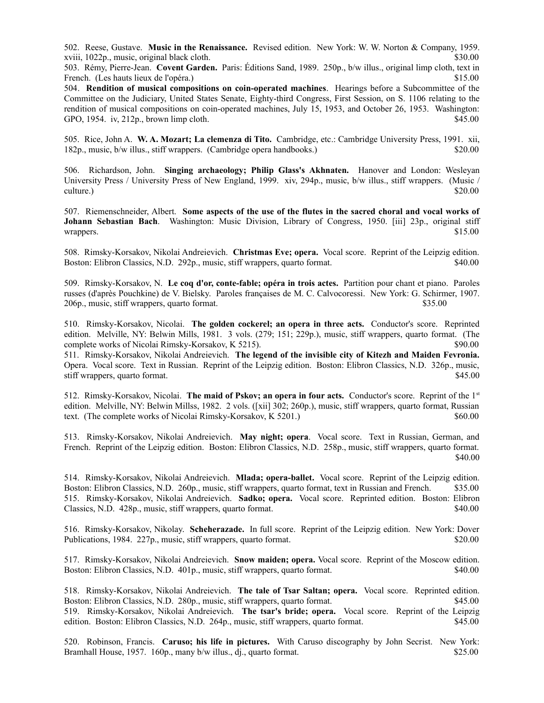502. Reese, Gustave. **Music in the Renaissance.** Revised edition. New York: W. W. Norton & Company, 1959. xviii, 1022p., music, original black cloth. \$30.00

503. Rémy, Pierre-Jean. **Covent Garden.** Paris: Éditions Sand, 1989. 250p., b/w illus., original limp cloth, text in French. (Les hauts lieux de l'opéra.)  $$15.00$ 

504. **Rendition of musical compositions on coin-operated machines**. Hearings before a Subcommittee of the Committee on the Judiciary, United States Senate, Eighty-third Congress, First Session, on S. 1106 relating to the rendition of musical compositions on coin-operated machines, July 15, 1953, and October 26, 1953. Washington: GPO, 1954. iv, 212p., brown limp cloth. \$45.00

505. Rice, John A. **W. A. Mozart; La clemenza di Tito.** Cambridge, etc.: Cambridge University Press, 1991. xii, 182p., music, b/w illus., stiff wrappers. (Cambridge opera handbooks.) \$20.00

506. Richardson, John. **Singing archaeology; Philip Glass's Akhnaten.** Hanover and London: Wesleyan University Press / University Press of New England, 1999. xiv, 294p., music, b/w illus., stiff wrappers. (Music / culture.) \$20.00

507. Riemenschneider, Albert. **Some aspects of the use of the flutes in the sacred choral and vocal works of Johann Sebastian Bach**. Washington: Music Division, Library of Congress, 1950. [iii] 23p., original stiff wrappers. \$15.00

508. Rimsky-Korsakov, Nikolai Andreievich. **Christmas Eve; opera.** Vocal score. Reprint of the Leipzig edition. Boston: Elibron Classics, N.D. 292p., music, stiff wrappers, quarto format. \$40.00

509. Rimsky-Korsakov, N. **Le coq d'or, conte-fable; opéra in trois actes.** Partition pour chant et piano. Paroles russes (d'après Pouchkine) de V. Bielsky. Paroles françaises de M. C. Calvocoressi. New York: G. Schirmer, 1907. 206p., music, stiff wrappers, quarto format. \$35.00

510. Rimsky-Korsakov, Nicolai. **The golden cockerel; an opera in three acts.** Conductor's score. Reprinted edition. Melville, NY: Belwin Mills, 1981. 3 vols. (279; 151; 229p.), music, stiff wrappers, quarto format. (The complete works of Nicolai Rimsky-Korsakov, K 5215). \$90.00

511. Rimsky-Korsakov, Nikolai Andreievich. **The legend of the invisible city of Kitezh and Maiden Fevronia.** Opera. Vocal score. Text in Russian. Reprint of the Leipzig edition. Boston: Elibron Classics, N.D. 326p., music, stiff wrappers, quarto format.  $\$45.00$ 

512. Rimsky-Korsakov, Nicolai. **The maid of Pskov; an opera in four acts.** Conductor's score. Reprint of the 1st edition. Melville, NY: Belwin Millss, 1982. 2 vols. ([xii] 302; 260p.), music, stiff wrappers, quarto format, Russian text. (The complete works of Nicolai Rimsky-Korsakov, K 5201.) \$60.00

513. Rimsky-Korsakov, Nikolai Andreievich. **May night; opera**. Vocal score. Text in Russian, German, and French. Reprint of the Leipzig edition. Boston: Elibron Classics, N.D. 258p., music, stiff wrappers, quarto format.  $$40.00$ 

514. Rimsky-Korsakov, Nikolai Andreievich. **Mlada; opera-ballet.** Vocal score. Reprint of the Leipzig edition. Boston: Elibron Classics, N.D. 260p., music, stiff wrappers, quarto format, text in Russian and French. \$35.00 515. Rimsky-Korsakov, Nikolai Andreievich. **Sadko; opera.** Vocal score. Reprinted edition. Boston: Elibron Classics, N.D. 428p., music, stiff wrappers, quarto format. \$40.00

516. Rimsky-Korsakov, Nikolay. **Scheherazade.** In full score. Reprint of the Leipzig edition. New York: Dover Publications, 1984. 227p., music, stiff wrappers, quarto format. \$20.00

517. Rimsky-Korsakov, Nikolai Andreievich. **Snow maiden; opera.** Vocal score. Reprint of the Moscow edition. Boston: Elibron Classics, N.D. 401p., music, stiff wrappers, quarto format. \$40.00

518. Rimsky-Korsakov, Nikolai Andreievich. **The tale of Tsar Saltan; opera.** Vocal score. Reprinted edition. Boston: Elibron Classics, N.D. 280p., music, stiff wrappers, quarto format. \$45.00 519. Rimsky-Korsakov, Nikolai Andreievich. **The tsar's bride; opera.** Vocal score. Reprint of the Leipzig edition. Boston: Elibron Classics, N.D. 264p., music, stiff wrappers, quarto format. \$45.00

520. Robinson, Francis. **Caruso; his life in pictures.** With Caruso discography by John Secrist. New York: Bramhall House, 1957. 160p., many b/w illus., dj., quarto format. \$25.00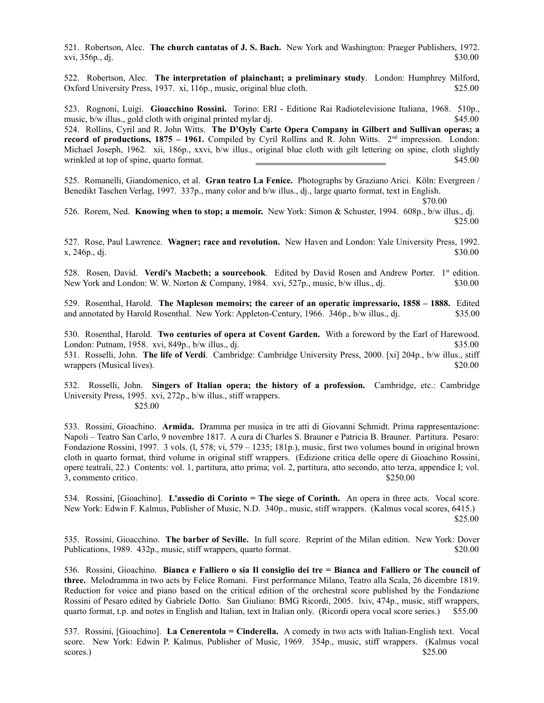521. Robertson, Alec. **The church cantatas of J. S. Bach.** New York and Washington: Praeger Publishers, 1972. xvi, 356p., dj. \$30.00

522. Robertson, Alec. **The interpretation of plainchant; a preliminary study**. London: Humphrey Milford, Oxford University Press, 1937. xi, 116p., music, original blue cloth. \$25.00

523. Rognoni, Luigi. **Gioacchino Rossini.** Torino: ERI - Editione Rai Radiotelevisione Italiana, 1968. 510p., music, b/w illus., gold cloth with original printed mylar dj. \$45.00

524. Rollins, Cyril and R. John Witts. **The D'Oyly Carte Opera Company in Gilbert and Sullivan operas; a record of productions, 1875 – 1961.** Compiled by Cyril Rollins and R. John Witts.  $2^{nd}$  impression. London: Michael Joseph, 1962. xii, 186p., xxvi, b/w illus., original blue cloth with gilt lettering on spine, cloth slightly wrinkled at top of spine, quarto format.  $\overline{\phantom{a}}$  \$45.00

525. Romanelli, Giandomenico, et al. **Gran teatro La Fenice.** Photographs by Graziano Arici. Köln: Evergreen / Benedikt Taschen Verlag, 1997. 337p., many color and b/w illus., dj., large quarto format, text in English.

\$70.00

526. Rorem, Ned. **Knowing when to stop; a memoir.** New York: Simon & Schuster, 1994. 608p., b/w illus., dj. \$25.00

527. Rose, Paul Lawrence. **Wagner; race and revolution.** New Haven and London: Yale University Press, 1992.  $x, 246p, d$ j.  $$30.00$ 

528. Rosen, David. **Verdi's Macbeth; a sourcebook**. Edited by David Rosen and Andrew Porter. 1st edition. New York and London: W. W. Norton & Company, 1984. xvi, 527p., music, b/w illus., dj. \$30.00

529. Rosenthal, Harold. **The Mapleson memoirs; the career of an operatic impressario, 1858 – 1888.** Edited and annotated by Harold Rosenthal. New York: Appleton-Century, 1966. 346p., b/w illus., dj. \$35.00

530. Rosenthal, Harold. **Two centuries of opera at Covent Garden.** With a foreword by the Earl of Harewood. London: Putnam, 1958. xvi, 849p., b/w illus., dj.  $\frac{1}{2}$  by the state of the state of the state state state state state state state state state state state state state state state state state state state state state sta 531. Rosselli, John. **The life of Verdi**. Cambridge: Cambridge University Press, 2000. [xi] 204p., b/w illus., stiff wrappers (Musical lives).  $$20.00$ 

532. Rosselli, John. **Singers of Italian opera; the history of a profession.** Cambridge, etc.: Cambridge University Press, 1995. xvi, 272p., b/w illus., stiff wrappers. \$25.00

533. Rossini, Gioachino. **Armida.** Dramma per musica in tre atti di Giovanni Schmidt. Prima rappresentazione: Napoli – Teatro San Carlo, 9 novembre 1817. A cura di Charles S. Brauner e Patricia B. Brauner. Partitura. Pesaro: Fondazione Rossini, 1997. 3 vols. (l, 578; vi, 579 – 1235; 181p.), music, first two volumes bound in original brown cloth in quarto format, third volume in original stiff wrappers. (Edizione critica delle opere di Gioachino Rossini, opere teatrali, 22.) Contents: vol. 1, partitura, atto prima; vol. 2, partitura, atto secondo, atto terza, appendice I; vol. 3, commento critico. \$250.00

534. Rossini, [Gioachino]. **L'assedio di Corinto = The siege of Corinth.** An opera in three acts. Vocal score. New York: Edwin F. Kalmus, Publisher of Music, N.D. 340p., music, stiff wrappers. (Kalmus vocal scores, 6415.) \$25.00

535. Rossini, Gioacchino. **The barber of Seville.** In full score. Reprint of the Milan edition. New York: Dover Publications, 1989. 432p., music, stiff wrappers, quarto format. \$20.00

536. Rossini, Gioachino. **Bianca e Falliero o sia Il consiglio dei tre = Bianca and Falliero or The council of three.** Melodramma in two acts by Felice Romani. First performance Milano, Teatro alla Scala, 26 dicembre 1819. Reduction for voice and piano based on the critical edition of the orchestral score published by the Fondazione Rossini of Pesaro edited by Gabriele Dotto. San Giuliano: BMG Ricordi, 2005. lxiv, 474p., music, stiff wrappers, quarto format, t.p. and notes in English and Italian, text in Italian only. (Ricordi opera vocal score series.) \$55.00

537. Rossini, [Gioachino]. **La Cenerentola = Cinderella.** A comedy in two acts with Italian-English text. Vocal score. New York: Edwin P. Kalmus, Publisher of Music, 1969. 354p., music, stiff wrappers. (Kalmus vocal  $$25.00$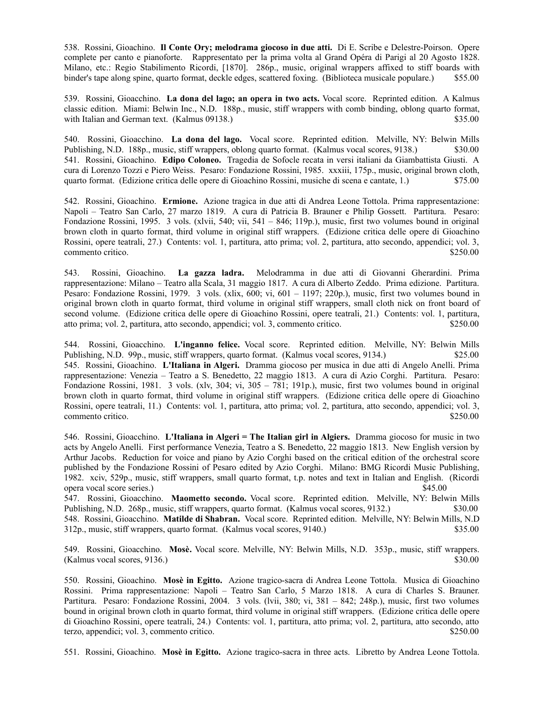538. Rossini, Gioachino. **Il Conte Ory; melodrama giocoso in due atti.** Di E. Scribe e Delestre-Poirson. Opere complete per canto e pianoforte. Rappresentato per la prima volta al Grand Opéra di Parigi al 20 Agosto 1828. Milano, etc.: Regio Stabilimento Ricordi, [1870]. 286p., music, original wrappers affixed to stiff boards with binder's tape along spine, quarto format, deckle edges, scattered foxing. (Biblioteca musicale populare.) \$55.00

539. Rossini, Gioacchino. **La dona del lago; an opera in two acts.** Vocal score. Reprinted edition. A Kalmus classic edition. Miami: Belwin Inc., N.D. 188p., music, stiff wrappers with comb binding, oblong quarto format, with Italian and German text. (Kalmus 09138.) \$35.00

540. Rossini, Gioacchino. **La dona del lago.** Vocal score. Reprinted edition. Melville, NY: Belwin Mills Publishing, N.D. 188p., music, stiff wrappers, oblong quarto format. (Kalmus vocal scores, 9138.) \$30.00 541. Rossini, Gioachino. **Edipo Coloneo.** Tragedia de Sofocle recata in versi italiani da Giambattista Giusti. A cura di Lorenzo Tozzi e Piero Weiss. Pesaro: Fondazione Rossini, 1985. xxxiii, 175p., music, original brown cloth, quarto format. (Edizione critica delle opere di Gioachino Rossini, musiche di scena e cantate, 1.) \$75.00

542. Rossini, Gioachino. **Ermione.** Azione tragica in due atti di Andrea Leone Tottola. Prima rappresentazione: Napoli – Teatro San Carlo, 27 marzo 1819. A cura di Patricia B. Brauner e Philip Gossett. Partitura. Pesaro: Fondazione Rossini, 1995. 3 vols. (xlvii, 540; vii, 541 – 846; 119p.), music, first two volumes bound in original brown cloth in quarto format, third volume in original stiff wrappers. (Edizione critica delle opere di Gioachino Rossini, opere teatrali, 27.) Contents: vol. 1, partitura, atto prima; vol. 2, partitura, atto secondo, appendici; vol. 3, commento critico.  $$250.00$ 

543. Rossini, Gioachino. **La gazza ladra.** Melodramma in due atti di Giovanni Gherardini. Prima rappresentazione: Milano – Teatro alla Scala, 31 maggio 1817. A cura di Alberto Zeddo. Prima edizione. Partitura. Pesaro: Fondazione Rossini, 1979. 3 vols. (xlix, 600; vi, 601 – 1197; 220p.), music, first two volumes bound in original brown cloth in quarto format, third volume in original stiff wrappers, small cloth nick on front board of second volume. (Edizione critica delle opere di Gioachino Rossini, opere teatrali, 21.) Contents: vol. 1, partitura, atto prima; vol. 2, partitura, atto secondo, appendici; vol. 3, commento critico. \$250.00

544. Rossini, Gioacchino. **L'inganno felice.** Vocal score. Reprinted edition. Melville, NY: Belwin Mills Publishing, N.D. 99p., music, stiff wrappers, quarto format. (Kalmus vocal scores, 9134.) \$25.00 545. Rossini, Gioachino. **L'Italiana in Algeri.** Dramma giocoso per musica in due atti di Angelo Anelli. Prima rappresentazione: Venezia – Teatro a S. Benedetto, 22 maggio 1813. A cura di Azio Corghi. Partitura. Pesaro: Fondazione Rossini, 1981. 3 vols. (xlv, 304; vi, 305 – 781; 191p.), music, first two volumes bound in original brown cloth in quarto format, third volume in original stiff wrappers. (Edizione critica delle opere di Gioachino Rossini, opere teatrali, 11.) Contents: vol. 1, partitura, atto prima; vol. 2, partitura, atto secondo, appendici; vol. 3, commento critico.  $$250.00$ 

546. Rossini, Gioacchino. **L'Italiana in Algeri = The Italian girl in Algiers.** Dramma giocoso for music in two acts by Angelo Anelli. First performance Venezia, Teatro a S. Benedetto, 22 maggio 1813. New English version by Arthur Jacobs. Reduction for voice and piano by Azio Corghi based on the critical edition of the orchestral score published by the Fondazione Rossini of Pesaro edited by Azio Corghi. Milano: BMG Ricordi Music Publishing, 1982. xciv, 529p., music, stiff wrappers, small quarto format, t.p. notes and text in Italian and English. (Ricordi opera vocal score series.) \$45.00

547. Rossini, Gioacchino. **Maometto secondo.** Vocal score. Reprinted edition. Melville, NY: Belwin Mills Publishing, N.D. 268p., music, stiff wrappers, quarto format. (Kalmus vocal scores, 9132.) \$30.00 548. Rossini, Gioacchino. **Matilde di Shabran.** Vocal score. Reprinted edition. Melville, NY: Belwin Mills, N.D 312p., music, stiff wrappers, quarto format. (Kalmus vocal scores, 9140.) \$35.00

549. Rossini, Gioacchino. **Mosè.** Vocal score. Melville, NY: Belwin Mills, N.D. 353p., music, stiff wrappers.  $(K\text{almus vocal scores}, 9136.)$  \$30.00

550. Rossini, Gioachino. **Mosè in Egitto.** Azione tragico-sacra di Andrea Leone Tottola. Musica di Gioachino Rossini. Prima rappresentazione: Napoli – Teatro San Carlo, 5 Marzo 1818. A cura di Charles S. Brauner. Partitura. Pesaro: Fondazione Rossini, 2004. 3 vols. (lvii, 380; vi, 381 – 842; 248p.), music, first two volumes bound in original brown cloth in quarto format, third volume in original stiff wrappers. (Edizione critica delle opere di Gioachino Rossini, opere teatrali, 24.) Contents: vol. 1, partitura, atto prima; vol. 2, partitura, atto secondo, atto terzo, appendici; vol. 3, commento critico. \$250.00

551. Rossini, Gioachino. **Mosè in Egitto.** Azione tragico-sacra in three acts. Libretto by Andrea Leone Tottola.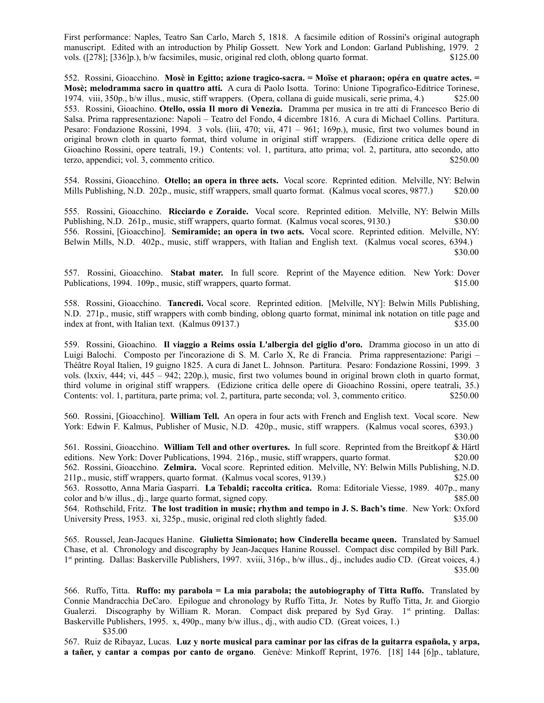First performance: Naples, Teatro San Carlo, March 5, 1818. A facsimile edition of Rossini's original autograph manuscript. Edited with an introduction by Philip Gossett. New York and London: Garland Publishing, 1979. 2 vols. ([278]; [336]p.), b/w facsimiles, music, original red cloth, oblong quarto format. \$125.00

552. Rossini, Gioacchino. **Mosè in Egitto; azione tragico-sacra. = Moïse et pharaon; opéra en quatre actes. = Mosè; melodramma sacro in quattro atti.** A cura di Paolo Isotta. Torino: Unione Tipografico-Editrice Torinese, 1974. viii, 350p., b/w illus., music, stiff wrappers. (Opera, collana di guide musicali, serie prima, 4.) \$25.00 553. Rossini, Gioachino. **Otello, ossia Il moro di Venezia.** Dramma per musica in tre atti di Francesco Berio di Salsa. Prima rappresentazione: Napoli – Teatro del Fondo, 4 dicembre 1816. A cura di Michael Collins. Partitura. Pesaro: Fondazione Rossini, 1994. 3 vols. (liii, 470; vii, 471 – 961; 169p.), music, first two volumes bound in original brown cloth in quarto format, third volume in original stiff wrappers. (Edizione critica delle opere di Gioachino Rossini, opere teatrali, 19.) Contents: vol. 1, partitura, atto prima; vol. 2, partitura, atto secondo, atto terzo, appendici; vol. 3, commento critico. \$250.00

554. Rossini, Gioacchino. **Otello; an opera in three acts.** Vocal score.Reprinted edition. Melville, NY: Belwin Mills Publishing, N.D. 202p., music, stiff wrappers, small quarto format. (Kalmus vocal scores, 9877.) \$20.00

555. Rossini, Gioacchino. **Ricciardo e Zoraide.** Vocal score. Reprinted edition. Melville, NY: Belwin Mills Publishing, N.D. 261p., music, stiff wrappers, quarto format. (Kalmus vocal scores, 9130.) \$30.00 556. Rossini, [Gioacchino]. **Semiramide; an opera in two acts.** Vocal score. Reprinted edition. Melville, NY: Belwin Mills, N.D. 402p., music, stiff wrappers, with Italian and English text. (Kalmus vocal scores, 6394.) \$30.00

557. Rossini, Gioacchino. **Stabat mater.** In full score. Reprint of the Mayence edition. New York: Dover Publications, 1994. 109p., music, stiff wrappers, quarto format. \$15.00

558. Rossini, Gioacchino. **Tancredi.** Vocal score. Reprinted edition. [Melville, NY]: Belwin Mills Publishing, N.D. 271p., music, stiff wrappers with comb binding, oblong quarto format, minimal ink notation on title page and index at front, with Italian text. (Kalmus 09137.) \$35.00

559. Rossini, Gioachino. **Il viaggio a Reims ossia L'albergia del giglio d'oro.** Dramma giocoso in un atto di Luigi Balochi. Composto per l'incorazione di S. M. Carlo X, Re di Francia. Prima rappresentazione: Parigi – Théâtre Royal Italien, 19 guigno 1825. A cura di Janet L. Johnson. Partitura. Pesaro: Fondazione Rossini, 1999. 3 vols. (lxxiv, 444; vi, 445 – 942; 220p.), music, first two volumes bound in original brown cloth in quarto format, third volume in original stiff wrappers. (Edizione critica delle opere di Gioachino Rossini, opere teatrali, 35.) Contents: vol. 1, partitura, parte prima; vol. 2, partitura, parte seconda; vol. 3, commento critico. \$250.00

560. Rossini, [Gioacchino]. **William Tell.** An opera in four acts with French and English text. Vocal score. New York: Edwin F. Kalmus, Publisher of Music, N.D. 420p., music, stiff wrappers. (Kalmus vocal scores, 6393.)

561. Rossini, Gioacchino. **William Tell and other overtures.** In full score. Reprinted from the Breitkopf & Härtl editions. New York: Dover Publications, 1994. 216p., music, stiff wrappers, quarto format. \$20.00 562. Rossini, Gioacchino. **Zelmira.** Vocal score. Reprinted edition. Melville, NY: Belwin Mills Publishing, N.D. 211p., music, stiff wrappers, quarto format. (Kalmus vocal scores, 9139.) \$25.00 563. Rossotto, Anna Maria Gasparri. **La Tebaldi; raccolta critica.** Roma: Editoriale Viesse, 1989. 407p., many

color and b/w illus., dj., large quarto format, signed copy. \$85.00 564. Rothschild, Fritz. **The lost tradition in music; rhythm and tempo in J. S. Bach's time**. New York: Oxford

University Press, 1953. xi, 325p., music, original red cloth slightly faded. \$35.00

565. Roussel, Jean-Jacques Hanine. **Giulietta Simionato; how Cinderella became queen.** Translated by Samuel Chase, et al. Chronology and discography by Jean-Jacques Hanine Roussel. Compact disc compiled by Bill Park. 1 st printing. Dallas: Baskerville Publishers, 1997. xviii, 316p., b/w illus., dj., includes audio CD. (Great voices, 4.) \$35.00

566. Ruffo, Titta. **Ruffo: my parabola = La mia parabola; the autobiography of Titta Ruffo.** Translated by Connie Mandracchia DeCaro. Epilogue and chronology by Ruffo Titta, Jr. Notes by Ruffo Titta, Jr. and Giorgio Gualerzi. Discography by William R. Moran. Compact disk prepared by Syd Gray. 1<sup>st</sup> printing. Dallas: Baskerville Publishers, 1995. x, 490p., many b/w illus., dj., with audio CD. (Great voices, 1.)

\$35.00

567. Ruiz de Ribayaz, Lucas. **Luz y norte musical para caminar por las cifras de la guitarra española, y arpa, a tañer, y cantar a compas por canto de organo**. Genève: Minkoff Reprint, 1976. [18] 144 [6]p., tablature,

 <sup>\$30.00</sup>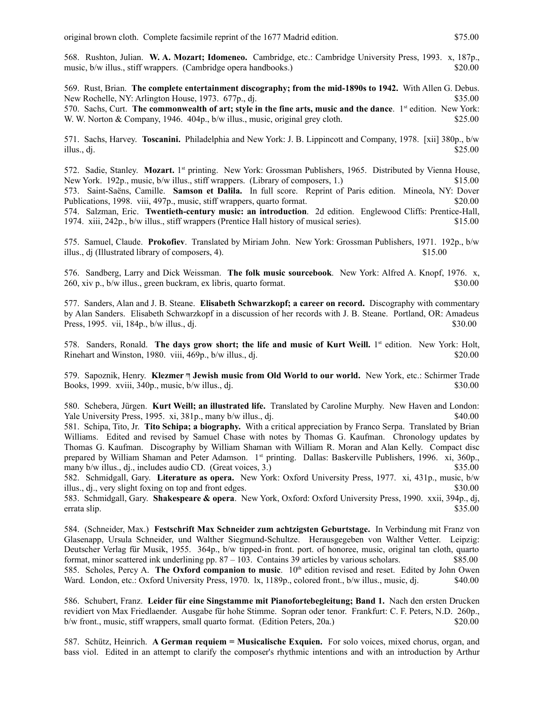568. Rushton, Julian. **W. A. Mozart; Idomeneo.** Cambridge, etc.: Cambridge University Press, 1993. x, 187p., music, b/w illus., stiff wrappers. (Cambridge opera handbooks.) \$20.00

569. Rust, Brian. **The complete entertainment discography; from the mid-1890s to 1942.** With Allen G. Debus. New Rochelle, NY: Arlington House, 1973. 677p., di.  $\frac{1}{2}$  \$35.00 570. Sachs, Curt. **The commonwealth of art; style in the fine arts, music and the dance**. 1st edition. New York: W. W. Norton & Company, 1946. 404p., b/w illus., music, original grey cloth. \$25.00

571. Sachs, Harvey. **Toscanini.** Philadelphia and New York: J. B. Lippincott and Company, 1978. [xii] 380p., b/w illus., dj.  $$25.00$ 

572. Sadie, Stanley. Mozart. 1st printing. New York: Grossman Publishers, 1965. Distributed by Vienna House, New York. 192p., music, b/w illus., stiff wrappers. (Library of composers, 1.) \$15.00 573. Saint-Saëns, Camille. **Samson et Dalila.** In full score. Reprint of Paris edition. Mineola, NY: Dover Publications, 1998. viii, 497p., music, stiff wrappers, quarto format. \$20.00 574. Salzman, Eric. **Twentieth-century music: an introduction**. 2d edition. Englewood Cliffs: Prentice-Hall, 1974. xiii, 242p., b/w illus., stiff wrappers (Prentice Hall history of musical series). \$15.00

575. Samuel, Claude. **Prokofiev**. Translated by Miriam John. New York: Grossman Publishers, 1971. 192p., b/w illus., dj (Illustrated library of composers, 4). \$15.00

576. Sandberg, Larry and Dick Weissman. **The folk music sourcebook**. New York: Alfred A. Knopf, 1976. x, 260, xiv p., b/w illus., green buckram, ex libris, quarto format. \$30.00

577. Sanders, Alan and J. B. Steane. **Elisabeth Schwarzkopf; a career on record.** Discography with commentary by Alan Sanders. Elisabeth Schwarzkopf in a discussion of her records with J. B. Steane. Portland, OR: Amadeus Press, 1995. vii,  $184p$ ,  $b/w$  illus., dj.  $$30.00$ 

578. Sanders, Ronald. The days grow short; the life and music of Kurt Weill. 1<sup>st</sup> edition. New York: Holt, Rinehart and Winston, 1980. viii, 469p., b/w illus., dj. \$20.00

579. Sapoznik, Henry. **Klezmer** ཀ **Jewish music from Old World to our world.** New York, etc.: Schirmer Trade Books, 1999. xviii, 340p., music,  $b/w$  illus., dj.

580. Schebera, Jürgen. **Kurt Weill; an illustrated life.** Translated by Caroline Murphy. New Haven and London: Yale University Press, 1995. xi, 381p., many b/w illus., dj. \$40.00

581. Schipa, Tito, Jr. **Tito Schipa; a biography.** With a critical appreciation by Franco Serpa. Translated by Brian Williams. Edited and revised by Samuel Chase with notes by Thomas G. Kaufman. Chronology updates by Thomas G. Kaufman. Discography by William Shaman with William R. Moran and Alan Kelly. Compact disc prepared by William Shaman and Peter Adamson. 1<sup>st</sup> printing. Dallas: Baskerville Publishers, 1996. xi, 360p., many b/w illus., dj., includes audio CD. (Great voices, 3.) \$35.00

582. Schmidgall, Gary. **Literature as opera.** New York: Oxford University Press, 1977. xi, 431p., music, b/w illus., dj., very slight foxing on top and front edges. \$30.000 \$30.000 \$30.000 \$30.000 \$30.000 \$30.000 \$30.00

583. Schmidgall, Gary. **Shakespeare & opera**. New York, Oxford: Oxford University Press, 1990. xxii, 394p., dj, errata slip. \$35.00

584. (Schneider, Max.) **Festschrift Max Schneider zum achtzigsten Geburtstage.** In Verbindung mit Franz von Glasenapp, Ursula Schneider, und Walther Siegmund-Schultze. Herausgegeben von Walther Vetter. Leipzig: Deutscher Verlag für Musik, 1955. 364p., b/w tipped-in front. port. of honoree, music, original tan cloth, quarto format, minor scattered ink underlining pp.  $87 - 103$ . Contains 39 articles by various scholars. \$85.00 585. Scholes, Percy A. **The Oxford companion to music**. 10<sup>th</sup> edition revised and reset. Edited by John Owen Ward. London, etc.: Oxford University Press, 1970. lx, 1189p., colored front., b/w illus., music, dj.  $$40.00$ 

586. Schubert, Franz. **Leider für eine Singstamme mit Pianofortebegleitung; Band 1.** Nach den ersten Drucken revidiert von Max Friedlaender. Ausgabe für hohe Stimme. Sopran oder tenor. Frankfurt: C. F. Peters, N.D. 260p., b/w front., music, stiff wrappers, small quarto format. (Edition Peters, 20a.) \$20.00

587. Schütz, Heinrich. **A German requiem = Musicalische Exquien.** For solo voices, mixed chorus, organ, and bass viol. Edited in an attempt to clarify the composer's rhythmic intentions and with an introduction by Arthur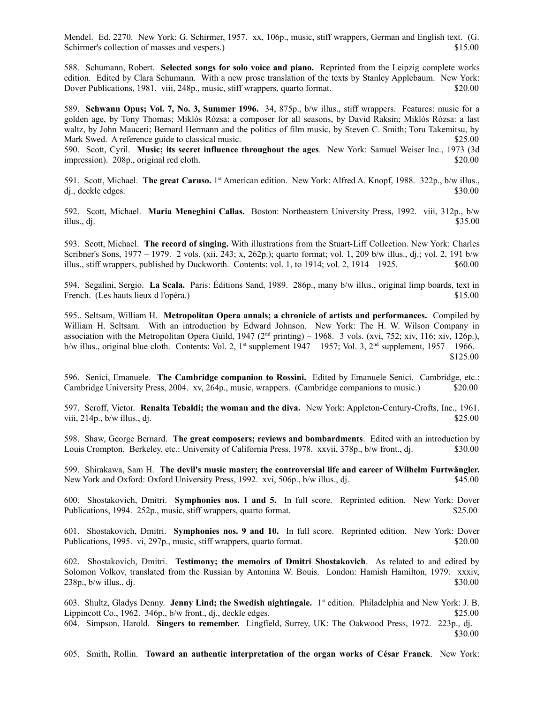Mendel. Ed. 2270. New York: G. Schirmer, 1957. xx, 106p., music, stiff wrappers, German and English text. (G. Schirmer's collection of masses and vespers.)  $$15.00$ 

588. Schumann, Robert. **Selected songs for solo voice and piano.** Reprinted from the Leipzig complete works edition. Edited by Clara Schumann. With a new prose translation of the texts by Stanley Applebaum. New York: Dover Publications, 1981. viii, 248p., music, stiff wrappers, quarto format. \$20.00

589. **Schwann Opus; Vol. 7, No. 3, Summer 1996.** 34, 875p., b/w illus., stiff wrappers. Features: music for a golden age, by Tony Thomas; Miklós Rózsa: a composer for all seasons, by David Raksin; Miklós Rózsa: a last waltz, by John Mauceri; Bernard Hermann and the politics of film music, by Steven C. Smith; Toru Takemitsu, by Mark Swed. A reference guide to classical music. \$25.00

590. Scott, Cyril. **Music; its secret influence throughout the ages**. New York: Samuel Weiser Inc., 1973 (3d impression). 208p., original red cloth. \$20.00

591. Scott, Michael. The great Caruso. 1<sup>st</sup> American edition. New York: Alfred A. Knopf, 1988. 322p., b/w illus., dj., deckle edges. \$30.00

592. Scott, Michael. **Maria Meneghini Callas.** Boston: Northeastern University Press, 1992. viii, 312p., b/w illus., dj.  $$35.00$ 

593. Scott, Michael. **The record of singing.** With illustrations from the Stuart-Liff Collection. New York: Charles Scribner's Sons, 1977 – 1979. 2 vols. (xii, 243; x, 262p.); quarto format; vol. 1, 209 b/w illus., dj.; vol. 2, 191 b/w illus., stiff wrappers, published by Duckworth. Contents: vol. 1, to  $1914$ ; vol. 2,  $1914 - 1925$ . \$60.00

594. Segalini, Sergio. **La Scala.** Paris: Éditions Sand, 1989. 286p., many b/w illus., original limp boards, text in French. (Les hauts lieux d l'opéra.)\$15.00

595.. Seltsam, William H. **Metropolitan Opera annals; a chronicle of artists and performances.** Compiled by William H. Seltsam. With an introduction by Edward Johnson. New York: The H. W. Wilson Company in association with the Metropolitan Opera Guild, 1947 ( $2<sup>nd</sup>$  printing) – 1968. 3 vols. (xvi, 752; xiv, 116; xiv, 126p.), b/w illus., original blue cloth. Contents: Vol. 2, 1<sup>st</sup> supplement  $1947 - 1957$ ; Vol. 3, 2<sup>nd</sup> supplement, 1957 – 1966. \$125.00

596. Senici, Emanuele. **The Cambridge companion to Rossini.** Edited by Emanuele Senici. Cambridge, etc.: Cambridge University Press, 2004. xv, 264p., music, wrappers. (Cambridge companions to music.) \$20.00

597. Seroff, Victor. **Renalta Tebaldi; the woman and the diva.** New York: Appleton-Century-Crofts, Inc., 1961. viii,  $214p$ , b/w illus., dj.  $$25.00$ 

598. Shaw, George Bernard. **The great composers; reviews and bombardments**. Edited with an introduction by Louis Crompton. Berkeley, etc.: University of California Press, 1978. xxvii, 378p., b/w front., dj.  $\qquad$  \$30.00

599. Shirakawa, Sam H. **The devil's music master; the controversial life and career of Wilhelm Furtwängler.** New York and Oxford: Oxford University Press, 1992. xvi, 506p., b/w illus., dj. \$45.00

600. Shostakovich, Dmitri. **Symphonies nos. 1 and 5.** In full score. Reprinted edition. New York: Dover Publications, 1994. 252p., music, stiff wrappers, quarto format.  $$25.00$ 

601. Shostakovich, Dmitri. **Symphonies nos. 9 and 10.** In full score. Reprinted edition. New York: Dover Publications, 1995. vi, 297p., music, stiff wrappers, quarto format. \$20.00

602. Shostakovich, Dmitri. **Testimony; the memoirs of Dmitri Shostakovich**. As related to and edited by Solomon Volkov, translated from the Russian by Antonina W. Bouis. London: Hamish Hamilton, 1979. xxxiv,  $238p_{1}$ , b/w illus., dj.  $$30.00$ 

603. Shultz, Gladys Denny. **Jenny Lind; the Swedish nightingale.** 1 st edition.Philadelphia and New York: J. B. Lippincott Co., 1962.  $346p$ , b/w front., dj., deckle edges.  $$25.00$ 

604. Simpson, Harold. **Singers to remember.** Lingfield, Surrey, UK: The Oakwood Press, 1972. 223p., dj. \$30.00

605. Smith, Rollin. **Toward an authentic interpretation of the organ works of César Franck**. New York: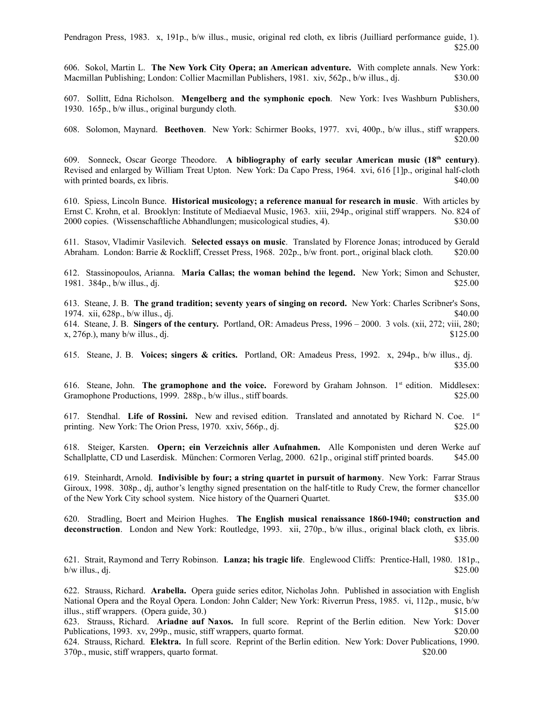Pendragon Press, 1983. x, 191p., b/w illus., music, original red cloth, ex libris (Juilliard performance guide, 1).  $$25.00$ 

606. Sokol, Martin L. **The New York City Opera; an American adventure.** With complete annals. New York: Macmillan Publishing; London: Collier Macmillan Publishers, 1981. xiv, 562p., b/w illus., dj. \$30.00

607. Sollitt, Edna Richolson. **Mengelberg and the symphonic epoch**. New York: Ives Washburn Publishers, 1930. 165p., b/w illus., original burgundy cloth. \$30.00

608. Solomon, Maynard. **Beethoven**. New York: Schirmer Books, 1977. xvi, 400p., b/w illus., stiff wrappers. \$20.00

609. Sonneck, Oscar George Theodore. **A bibliography of early secular American music (18th century)**. Revised and enlarged by William Treat Upton. New York: Da Capo Press, 1964. xvi, 616 [1]p., original half-cloth with printed boards, ex libris.  $\frac{1}{2}$  subsets and the set of the set of the set of the set of the set of the set of the set of the set of the set of the set of the set of the set of the set of the set of the set of the

610. Spiess, Lincoln Bunce. **Historical musicology; a reference manual for research in music**. With articles by Ernst C. Krohn, et al. Brooklyn: Institute of Mediaeval Music, 1963. xiii, 294p., original stiff wrappers. No. 824 of 2000 copies. (Wissenschaftliche Abhandlungen; musicological studies, 4). \$30.00

611. Stasov, Vladimir Vasilevich. **Selected essays on music**. Translated by Florence Jonas; introduced by Gerald Abraham. London: Barrie & Rockliff, Cresset Press, 1968. 202p., b/w front. port., original black cloth. \$20.00

612. Stassinopoulos, Arianna. **Maria Callas; the woman behind the legend.** New York; Simon and Schuster, 1981.  $384p$ ,  $b/w$  illus., dj.  $$25.00$ 

613. Steane, J. B. **The grand tradition; seventy years of singing on record.** New York: Charles Scribner's Sons, 1974. xii, 628p., b/w illus., dj. \$40.00 614. Steane, J. B. **Singers of the century.** Portland, OR: Amadeus Press, 1996 – 2000. 3 vols. (xii, 272; viii, 280; x,  $276p$ .), many b/w illus., dj.  $$125.00$ 

615. Steane, J. B. **Voices; singers & critics.** Portland, OR: Amadeus Press, 1992. x, 294p., b/w illus., dj. \$35.00

616. Steane, John. **The gramophone and the voice.** Foreword by Graham Johnson. 1st edition. Middlesex: Gramophone Productions, 1999. 288p., b/w illus., stiff boards. \$25.00

617. Stendhal. **Life of Rossini.** New and revised edition. Translated and annotated by Richard N. Coe. 1st printing. New York: The Orion Press, 1970. xxiv, 566p., dj.  $$25.00$ 

618. Steiger, Karsten. **Opern; ein Verzeichnis aller Aufnahmen.** Alle Komponisten und deren Werke auf Schallplatte, CD und Laserdisk. München: Cormoren Verlag, 2000. 621p., original stiff printed boards. \$45.00

619. Steinhardt, Arnold. **Indivisible by four; a string quartet in pursuit of harmony**. New York: Farrar Straus Giroux, 1998. 308p., dj, author's lengthy signed presentation on the half-title to Rudy Crew, the former chancellor of the New York City school system. Nice history of the Quarneri Quartet. \$35.00

620. Stradling, Boert and Meirion Hughes. **The English musical renaissance 1860-1940; construction and deconstruction**. London and New York: Routledge, 1993. xii, 270p., b/w illus., original black cloth, ex libris. \$35.00

621. Strait, Raymond and Terry Robinson. **Lanza; his tragic life**. Englewood Cliffs: Prentice-Hall, 1980. 181p.,  $b/w$  illus., dj.  $$25.00$ 

622. Strauss, Richard. **Arabella.** Opera guide series editor, Nicholas John. Published in association with English National Opera and the Royal Opera. London: John Calder; New York: Riverrun Press, 1985. vi, 112p., music, b/w illus., stiff wrappers. (Opera guide, 30.) \$15.00

623. Strauss, Richard. **Ariadne auf Naxos.** In full score. Reprint of the Berlin edition. New York: Dover Publications, 1993. xv, 299p., music, stiff wrappers, quarto format. \$20.00

624. Strauss, Richard. **Elektra.** In full score. Reprint of the Berlin edition. New York: Dover Publications, 1990. 370p., music, stiff wrappers, quarto format. \$20.00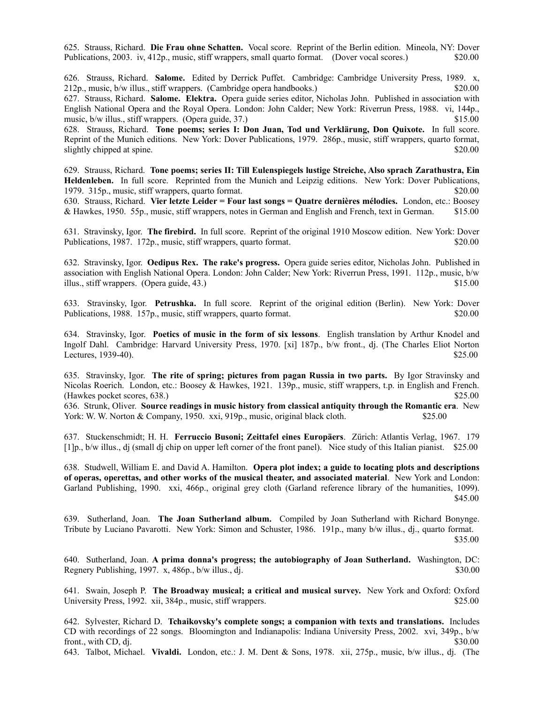625. Strauss, Richard. **Die Frau ohne Schatten.** Vocal score. Reprint of the Berlin edition. Mineola, NY: Dover Publications, 2003. iv, 412p., music, stiff wrappers, small quarto format. (Dover vocal scores.) \$20.00

626. Strauss, Richard. **Salome.** Edited by Derrick Puffet. Cambridge: Cambridge University Press, 1989. x, 212p., music, b/w illus., stiff wrappers. (Cambridge opera handbooks.) \$20.00 627. Strauss, Richard. **Salome. Elektra.** Opera guide series editor, Nicholas John. Published in association with English National Opera and the Royal Opera. London: John Calder; New York: Riverrun Press, 1988. vi, 144p., music, b/w illus., stiff wrappers. (Opera guide, 37.) \$15.00 628. Strauss, Richard. **Tone poems; series I: Don Juan, Tod und Verklärung, Don Quixote.** In full score.

Reprint of the Munich editions. New York: Dover Publications, 1979. 286p., music, stiff wrappers, quarto format, slightly chipped at spine. \$20.00

629. Strauss, Richard. **Tone poems; series II: Till Eulenspiegels lustige Streiche, Also sprach Zarathustra, Ein Heldenleben.** In full score. Reprinted from the Munich and Leipzig editions. New York: Dover Publications, 1979. 315p., music, stiff wrappers, quarto format. \$20.00

630. Strauss, Richard. **Vier letzte Leider = Four last songs = Quatre dernières mélodies.** London, etc.: Boosey & Hawkes, 1950. 55p., music, stiff wrappers, notes in German and English and French, text in German. \$15.00

631. Stravinsky, Igor. **The firebird.** In full score. Reprint of the original 1910 Moscow edition. New York: Dover Publications, 1987. 172p., music, stiff wrappers, quarto format. \$20.00

632. Stravinsky, Igor. **Oedipus Rex. The rake's progress.** Opera guide series editor, Nicholas John. Published in association with English National Opera. London: John Calder; New York: Riverrun Press, 1991. 112p., music, b/w illus., stiff wrappers. (Opera guide, 43.) \$15.00

633. Stravinsky, Igor. **Petrushka.** In full score. Reprint of the original edition (Berlin). New York: Dover Publications, 1988. 157p., music, stiff wrappers, quarto format. \$20.00

634. Stravinsky, Igor. **Poetics of music in the form of six lessons**. English translation by Arthur Knodel and Ingolf Dahl. Cambridge: Harvard University Press, 1970. [xi] 187p., b/w front., dj. (The Charles Eliot Norton Lectures, 1939-40). \$25.00

635. Stravinsky, Igor. **The rite of spring; pictures from pagan Russia in two parts.** By Igor Stravinsky and Nicolas Roerich. London, etc.: Boosey & Hawkes, 1921. 139p., music, stiff wrappers, t.p. in English and French. (Hawkes pocket scores, 638.)  $$25.00$ 

636. Strunk, Oliver. **Source readings in music history from classical antiquity through the Romantic era**. New York: W. W. Norton & Company, 1950. xxi, 919p., music, original black cloth. \$25.00

637. Stuckenschmidt; H. H. **Ferruccio Busoni; Zeittafel eines Europäers**. Zürich: Atlantis Verlag, 1967. 179 [1]p., b/w illus., dj (small dj chip on upper left corner of the front panel). Nice study of this Italian pianist. \$25.00

638. Studwell, William E. and David A. Hamilton. **Opera plot index; a guide to locating plots and descriptions of operas, operettas, and other works of the musical theater, and associated material**. New York and London: Garland Publishing, 1990. xxi, 466p., original grey cloth (Garland reference library of the humanities, 1099). \$45.00

639. Sutherland, Joan. **The Joan Sutherland album.** Compiled by Joan Sutherland with Richard Bonynge. Tribute by Luciano Pavarotti. New York: Simon and Schuster, 1986. 191p., many b/w illus., dj., quarto format. \$35.00

640. Sutherland, Joan. **A prima donna's progress; the autobiography of Joan Sutherland.** Washington, DC: Regnery Publishing, 1997.  $x$ , 486p., b/w illus., dj.  $$30.00$ 

641. Swain, Joseph P. **The Broadway musical; a critical and musical survey.** New York and Oxford: Oxford University Press, 1992. xii, 384p., music, stiff wrappers. \$25.00

642. Sylvester, Richard D. **Tchaikovsky's complete songs; a companion with texts and translations.** Includes CD with recordings of 22 songs. Bloomington and Indianapolis: Indiana University Press, 2002. xvi, 349p., b/w front., with CD, dj.  $$30.00$ 

643. Talbot, Michael. **Vivaldi.** London, etc.: J. M. Dent & Sons, 1978. xii, 275p., music, b/w illus., dj. (The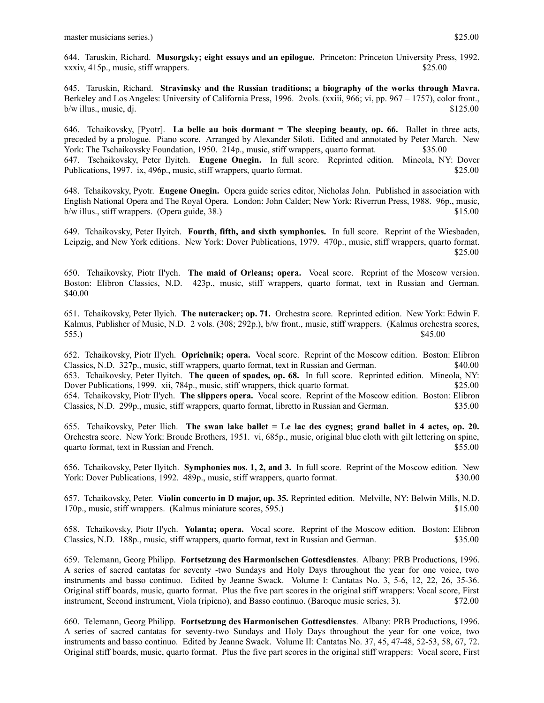645. Taruskin, Richard. **Stravinsky and the Russian traditions; a biography of the works through Mavra.** Berkeley and Los Angeles: University of California Press, 1996. 2vols. (xxiii, 966; vi, pp. 967 – 1757), color front.,  $b/w$  illus., music, dj.  $$125.00$ 

646. Tchaikovsky, [Pyotr]. **La belle au bois dormant = The sleeping beauty, op. 66.** Ballet in three acts, preceded by a prologue. Piano score. Arranged by Alexander Siloti. Edited and annotated by Peter March. New York: The Tschaikovsky Foundation, 1950. 214p., music, stiff wrappers, quarto format. \$35.00 647. Tschaikovsky, Peter Ilyitch. **Eugene Onegin.** In full score. Reprinted edition. Mineola, NY: Dover Publications, 1997. ix, 496p., music, stiff wrappers, quarto format. \$25.00

648. Tchaikovsky, Pyotr. **Eugene Onegin.** Opera guide series editor, Nicholas John. Published in association with English National Opera and The Royal Opera. London: John Calder; New York: Riverrun Press, 1988. 96p., music,  $b/w$  illus., stiff wrappers. (Opera guide, 38.)  $$15.00$ 

649. Tchaikovsky, Peter Ilyitch. **Fourth, fifth, and sixth symphonies.** In full score. Reprint of the Wiesbaden, Leipzig, and New York editions. New York: Dover Publications, 1979. 470p., music, stiff wrappers, quarto format. \$25.00

650. Tchaikovsky, Piotr Il'ych. **The maid of Orleans; opera.** Vocal score. Reprint of the Moscow version. Boston: Elibron Classics, N.D. 423p., music, stiff wrappers, quarto format, text in Russian and German. \$40.00

651. Tchaikovsky, Peter Ilyich. **The nutcracker; op. 71.** Orchestra score. Reprinted edition. New York: Edwin F. Kalmus, Publisher of Music, N.D. 2 vols. (308; 292p.), b/w front., music, stiff wrappers. (Kalmus orchestra scores, 555.)  $$45.00$ 

652. Tchaikovsky, Piotr Il'ych. **Oprichnik; opera.** Vocal score. Reprint of the Moscow edition. Boston: Elibron Classics, N.D. 327p., music, stiff wrappers, quarto format, text in Russian and German. \$40.00 653. Tchaikovsky, Peter Ilyitch. **The queen of spades, op. 68.** In full score. Reprinted edition. Mineola, NY: Dover Publications, 1999. xii, 784p., music, stiff wrappers, thick quarto format. \$25.00 654. Tchaikovsky, Piotr Il'ych. **The slippers opera.** Vocal score. Reprint of the Moscow edition. Boston: Elibron Classics, N.D. 299p., music, stiff wrappers, quarto format, libretto in Russian and German. \$35.00

655. Tchaikovsky, Peter Ilich. **The swan lake ballet = Le lac des cygnes; grand ballet in 4 actes, op. 20.** Orchestra score. New York: Broude Brothers, 1951. vi, 685p., music, original blue cloth with gilt lettering on spine, quarto format, text in Russian and French.  $$55.00$ 

656. Tchaikovsky, Peter Ilyitch. **Symphonies nos. 1, 2, and 3.** In full score. Reprint of the Moscow edition. New York: Dover Publications, 1992. 489p., music, stiff wrappers, quarto format. \$30.00

657. Tchaikovsky, Peter. **Violin concerto in D major, op. 35.** Reprinted edition.Melville, NY: Belwin Mills, N.D. 170p., music, stiff wrappers. (Kalmus miniature scores, 595.) \$15.00

658. Tchaikovsky, Piotr Il'ych. **Yolanta; opera.** Vocal score. Reprint of the Moscow edition. Boston: Elibron Classics, N.D. 188p., music, stiff wrappers, quarto format, text in Russian and German. \$35.00

659. Telemann, Georg Philipp. **Fortsetzung des Harmonischen Gottesdienstes**. Albany: PRB Productions, 1996. A series of sacred cantatas for seventy -two Sundays and Holy Days throughout the year for one voice, two instruments and basso continuo. Edited by Jeanne Swack. Volume I: Cantatas No. 3, 5-6, 12, 22, 26, 35-36. Original stiff boards, music, quarto format. Plus the five part scores in the original stiff wrappers: Vocal score, First instrument, Second instrument, Viola (ripieno), and Basso continuo. (Baroque music series, 3). \$72.00

660. Telemann, Georg Philipp. **Fortsetzung des Harmonischen Gottesdienstes**. Albany: PRB Productions, 1996. A series of sacred cantatas for seventy-two Sundays and Holy Days throughout the year for one voice, two instruments and basso continuo. Edited by Jeanne Swack. Volume II: Cantatas No. 37, 45, 47-48, 52-53, 58, 67, 72. Original stiff boards, music, quarto format. Plus the five part scores in the original stiff wrappers: Vocal score, First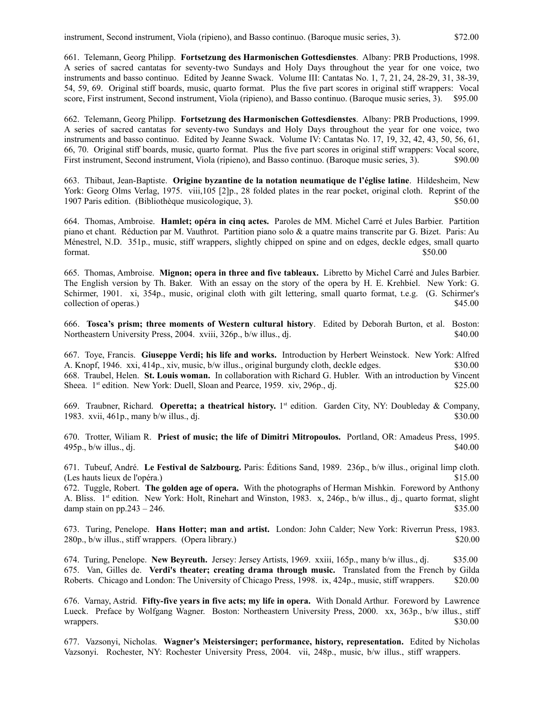661. Telemann, Georg Philipp. **Fortsetzung des Harmonischen Gottesdienstes**. Albany: PRB Productions, 1998. A series of sacred cantatas for seventy-two Sundays and Holy Days throughout the year for one voice, two instruments and basso continuo. Edited by Jeanne Swack. Volume III: Cantatas No. 1, 7, 21, 24, 28-29, 31, 38-39, 54, 59, 69. Original stiff boards, music, quarto format. Plus the five part scores in original stiff wrappers: Vocal score, First instrument, Second instrument, Viola (ripieno), and Basso continuo. (Baroque music series, 3). \$95.00

662. Telemann, Georg Philipp. **Fortsetzung des Harmonischen Gottesdienstes**. Albany: PRB Productions, 1999. A series of sacred cantatas for seventy-two Sundays and Holy Days throughout the year for one voice, two instruments and basso continuo. Edited by Jeanne Swack. Volume IV: Cantatas No. 17, 19, 32, 42, 43, 50, 56, 61, 66, 70. Original stiff boards, music, quarto format. Plus the five part scores in original stiff wrappers: Vocal score, First instrument, Second instrument, Viola (ripieno), and Basso continuo. (Baroque music series, 3). \$90.00

663. Thibaut, Jean-Baptiste. **Origine byzantine de la notation neumatique de l'église latine**. Hildesheim, New York: Georg Olms Verlag, 1975. viii,105 [2]p., 28 folded plates in the rear pocket, original cloth. Reprint of the 1907 Paris edition. (Bibliothèque musicologique, 3). \$50.00

664. Thomas, Ambroise. **Hamlet; opéra in cinq actes.** Paroles de MM. Michel Carré et Jules Barbier. Partition piano et chant. Réduction par M. Vauthrot. Partition piano solo & a quatre mains transcrite par G. Bizet. Paris: Au Ménestrel, N.D. 351p., music, stiff wrappers, slightly chipped on spine and on edges, deckle edges, small quarto format. S50.00

665. Thomas, Ambroise. **Mignon; opera in three and five tableaux.** Libretto by Michel Carré and Jules Barbier. The English version by Th. Baker. With an essay on the story of the opera by H. E. Krehbiel. New York: G. Schirmer, 1901. xi, 354p., music, original cloth with gilt lettering, small quarto format, t.e.g. (G. Schirmer's collection of operas.) \$45.00

666. **Tosca's prism; three moments of Western cultural history**. Edited by Deborah Burton, et al. Boston: Northeastern University Press, 2004. xviii, 326p., b/w illus., dj.  $$40.00$ 

667. Toye, Francis. **Giuseppe Verdi; his life and works.** Introduction by Herbert Weinstock. New York: Alfred A. Knopf, 1946. xxi, 414p., xiv, music, b/w illus., original burgundy cloth, deckle edges. \$30.00 668. Traubel, Helen. **St. Louis woman.** In collaboration with Richard G. Hubler. With an introduction by Vincent Sheea. 1<sup>st</sup> edition. New York: Duell, Sloan and Pearce, 1959. xiv, 296p., dj. \$25.00

669. Traubner, Richard. **Operetta; a theatrical history.** 1 st edition.Garden City, NY: Doubleday & Company, 1983. xvii, 461p., many b/w illus., dj.  $\frac{1}{2}$   $\frac{1}{2}$   $\frac{1}{2}$   $\frac{30.00}{2}$ 

670. Trotter, Wiliam R. **Priest of music; the life of Dimitri Mitropoulos.** Portland, OR: Amadeus Press, 1995.  $495p$ , b/w illus., dj.  $$40.00$ 

671. Tubeuf, André. **Le Festival de Salzbourg.** Paris: Éditions Sand, 1989. 236p., b/w illus., original limp cloth. (Les hauts lieux de l'opéra.) \$15.00

672. Tuggle, Robert. **The golden age of opera.** With the photographs of Herman Mishkin. Foreword by Anthony A. Bliss. 1st edition. New York: Holt, Rinehart and Winston, 1983. x, 246p., b/w illus., dj., quarto format, slight damp stain on pp.243 – 246.  $$35.00$ 

673. Turing, Penelope. **Hans Hotter; man and artist.** London: John Calder; New York: Riverrun Press, 1983. 280p., b/w illus., stiff wrappers. (Opera library.) \$20.00

674. Turing, Penelope. **New Beyreuth.** Jersey: Jersey Artists, 1969. xxiii, 165p., many b/w illus., dj. \$35.00 675. Van, Gilles de. **Verdi's theater; creating drama through music.** Translated from the French by Gilda Roberts. Chicago and London: The University of Chicago Press, 1998. ix, 424p., music, stiff wrappers. \$20.00

676. Varnay, Astrid. **Fifty-five years in five acts; my life in opera.** With Donald Arthur. Foreword by Lawrence Lueck. Preface by Wolfgang Wagner. Boston: Northeastern University Press, 2000. xx, 363p., b/w illus., stiff wrappers. \$30.00

677. Vazsonyi, Nicholas. **Wagner's Meistersinger; performance, history, representation.** Edited by Nicholas Vazsonyi. Rochester, NY: Rochester University Press, 2004. vii, 248p., music, b/w illus., stiff wrappers.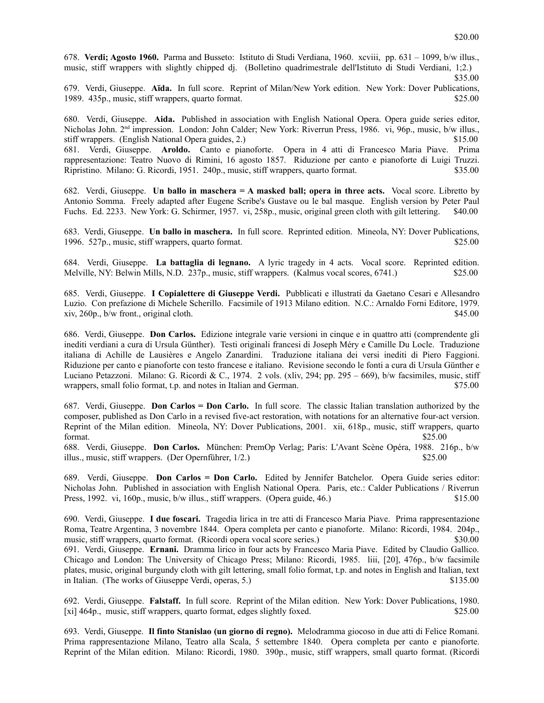678. **Verdi; Agosto 1960.** Parma and Busseto: Istituto di Studi Verdiana, 1960. xcviii, pp. 631 – 1099, b/w illus., music, stiff wrappers with slightly chipped dj. (Bolletino quadrimestrale dell'Istituto di Studi Verdiani, 1;2.)

\$35.00

679. Verdi, Giuseppe. **Aïda.** In full score. Reprint of Milan/New York edition. New York: Dover Publications, 1989. 435p., music, stiff wrappers, quarto format. \$25.00

680. Verdi, Giuseppe. **Aida.** Published in association with English National Opera. Opera guide series editor, Nicholas John. 2<sup>nd</sup> impression. London: John Calder; New York: Riverrun Press, 1986. vi, 96p., music, b/w illus., stiff wrappers. (English National Opera guides, 2.) \$15.00

681. Verdi, Giuseppe. **Aroldo.** Canto e pianoforte. Opera in 4 atti di Francesco Maria Piave. Prima rappresentazione: Teatro Nuovo di Rimini, 16 agosto 1857. Riduzione per canto e pianoforte di Luigi Truzzi. Ripristino. Milano: G. Ricordi, 1951. 240p., music, stiff wrappers, quarto format. \$35.00

682. Verdi, Giuseppe. **Un ballo in maschera = A masked ball; opera in three acts.** Vocal score. Libretto by Antonio Somma. Freely adapted after Eugene Scribe's Gustave ou le bal masque. English version by Peter Paul Fuchs. Ed. 2233. New York: G. Schirmer, 1957. vi, 258p., music, original green cloth with gilt lettering. \$40.00

683. Verdi, Giuseppe. **Un ballo in maschera.** In full score. Reprinted edition. Mineola, NY: Dover Publications, 1996. 527p., music, stiff wrappers, quarto format. \$25.00

684. Verdi, Giuseppe. **La battaglia di legnano.** A lyric tragedy in 4 acts. Vocal score. Reprinted edition. Melville, NY: Belwin Mills, N.D. 237p., music, stiff wrappers. (Kalmus vocal scores, 6741.) \$25.00

685. Verdi, Giuseppe. **I Copialettere di Giuseppe Verdi.** Pubblicati e illustrati da Gaetano Cesari e Allesandro Luzio. Con prefazione di Michele Scherillo. Facsimile of 1913 Milano edition. N.C.: Arnaldo Forni Editore, 1979.  $xiv, 260p, b/w$  front., original cloth.  $$45.00$ 

686. Verdi, Giuseppe. **Don Carlos.** Edizione integrale varie versioni in cinque e in quattro atti (comprendente gli inediti verdiani a cura di Ursula Günther). Testi originali francesi di Joseph Méry e Camille Du Locle. Traduzione italiana di Achille de Lausières e Angelo Zanardini. Traduzione italiana dei versi inediti di Piero Faggioni. Riduzione per canto e pianoforte con testo francese e italiano. Revisione secondo le fonti a cura di Ursula Günther e Luciano Petazzoni. Milano: G. Ricordi & C., 1974. 2 vols. (xliv, 294; pp. 295 – 669), b/w facsimiles, music, stiff wrappers, small folio format, t.p. and notes in Italian and German.  $$75.00$ 

687. Verdi, Giuseppe. **Don Carlos = Don Carlo.** In full score. The classic Italian translation authorized by the composer, published as Don Carlo in a revised five-act restoration, with notations for an alternative four-act version. Reprint of the Milan edition. Mineola, NY: Dover Publications, 2001. xii, 618p., music, stiff wrappers, quarto  $$25.00$ 

688. Verdi, Giuseppe. **Don Carlos.** München: PremOp Verlag; Paris: L'Avant Scène Opéra, 1988. 216p., b/w illus., music, stiff wrappers. (Der Opernführer, 1/2.) \$25.00

689. Verdi, Giuseppe. **Don Carlos = Don Carlo.** Edited by Jennifer Batchelor. Opera Guide series editor: Nicholas John. Published in association with English National Opera. Paris, etc.: Calder Publications / Riverrun Press, 1992. vi, 160p., music, b/w illus., stiff wrappers. (Opera guide, 46.) \$15.00

690. Verdi, Giuseppe. **I due foscari.** Tragedia lirica in tre atti di Francesco Maria Piave. Prima rappresentazione Roma, Teatre Argentina, 3 novembre 1844. Opera completa per canto e pianoforte. Milano: Ricordi, 1984. 204p., music, stiff wrappers, quarto format. (Ricordi opera vocal score series.) \$30.00 691. Verdi, Giuseppe. **Ernani.** Dramma lirico in four acts by Francesco Maria Piave. Edited by Claudio Gallico. Chicago and London: The University of Chicago Press; Milano: Ricordi, 1985. liii, [20], 476p., b/w facsimile plates, music, original burgundy cloth with gilt lettering, small folio format, t.p. and notes in English and Italian, text in Italian. (The works of Giuseppe Verdi, operas, 5.) \$135.00

692. Verdi, Giuseppe. **Falstaff.** In full score. Reprint of the Milan edition. New York: Dover Publications, 1980. [xi] 464p., music, stiff wrappers, quarto format, edges slightly foxed. \$25.00

693. Verdi, Giuseppe. **Il finto Stanislao (un giorno di regno).** Melodramma giocoso in due atti di Felice Romani. Prima rappresentazione Milano, Teatro alla Scala, 5 settembre 1840. Opera completa per canto e pianoforte. Reprint of the Milan edition. Milano: Ricordi, 1980. 390p., music, stiff wrappers, small quarto format. (Ricordi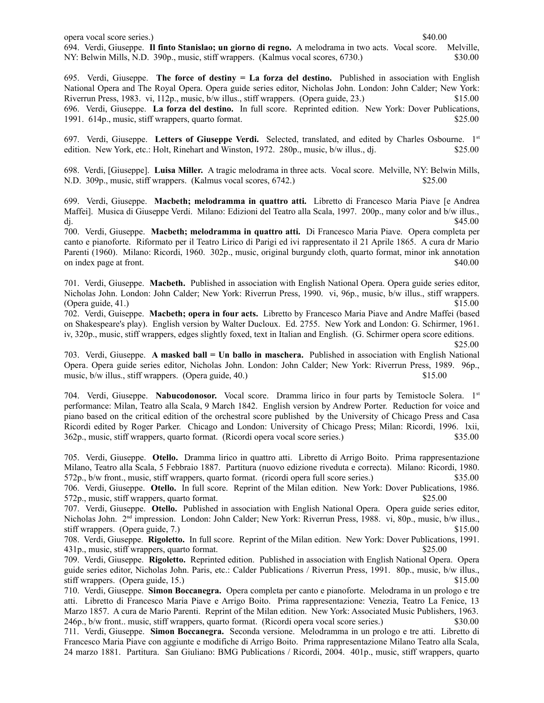opera vocal score series.) \$40.00 694. Verdi, Giuseppe. **Il finto Stanislao; un giorno di regno.** A melodrama in two acts. Vocal score. Melville, NY: Belwin Mills, N.D. 390p., music, stiff wrappers. (Kalmus vocal scores, 6730.) \$30.00

695. Verdi, Giuseppe. **The force of destiny = La forza del destino.** Published in association with English National Opera and The Royal Opera. Opera guide series editor, Nicholas John. London: John Calder; New York: Riverrun Press, 1983. vi, 112p., music, b/w illus., stiff wrappers. (Opera guide, 23.) \$15.00 696. Verdi, Giuseppe. **La forza del destino.** In full score. Reprinted edition. New York: Dover Publications, 1991. 614p., music, stiff wrappers, quarto format. \$25.00

697. Verdi, Giuseppe. **Letters of Giuseppe Verdi.** Selected, translated, and edited by Charles Osbourne. 1st edition. New York, etc.: Holt, Rinehart and Winston, 1972. 280p., music, b/w illus., di.  $$25.00$ 

698. Verdi, [Giuseppe]. **Luisa Miller.** A tragic melodrama in three acts. Vocal score. Melville, NY: Belwin Mills, N.D. 309p., music, stiff wrappers. (Kalmus vocal scores, 6742.) \$25.00

699. Verdi, Giuseppe. **Macbeth; melodramma in quattro atti.** Libretto di Francesco Maria Piave [e Andrea Maffei]. Musica di Giuseppe Verdi. Milano: Edizioni del Teatro alla Scala, 1997. 200p., many color and b/w illus., dj.  $\frac{1}{2}$  S45.00

700. Verdi, Giuseppe. **Macbeth; melodramma in quattro atti.** Di Francesco Maria Piave. Opera completa per canto e pianoforte. Riformato per il Teatro Lirico di Parigi ed ivi rappresentato il 21 Aprile 1865. A cura dr Mario Parenti (1960). Milano: Ricordi, 1960. 302p., music, original burgundy cloth, quarto format, minor ink annotation on index page at front. \$40.00

701. Verdi, Giuseppe. **Macbeth.** Published in association with English National Opera. Opera guide series editor, Nicholas John. London: John Calder; New York: Riverrun Press, 1990. vi, 96p., music, b/w illus., stiff wrappers. (Opera guide,  $41.$ )  $$15.00$ 

702. Verdi, Guiseppe. **Macbeth; opera in four acts.** Libretto by Francesco Maria Piave and Andre Maffei (based on Shakespeare's play). English version by Walter Ducloux. Ed. 2755. New York and London: G. Schirmer, 1961. iv, 320p., music, stiff wrappers, edges slightly foxed, text in Italian and English. (G. Schirmer opera score editions.

\$25.00

703. Verdi, Giuseppe. **A masked ball = Un ballo in maschera.** Published in association with English National Opera. Opera guide series editor, Nicholas John. London: John Calder; New York: Riverrun Press, 1989. 96p., music, b/w illus., stiff wrappers. (Opera guide, 40.) \$15.00

704. Verdi, Giuseppe. **Nabucodonosor.** Vocal score. Dramma lirico in four parts by Temistocle Solera. 1st performance: Milan, Teatro alla Scala, 9 March 1842. English version by Andrew Porter. Reduction for voice and piano based on the critical edition of the orchestral score published by the University of Chicago Press and Casa Ricordi edited by Roger Parker. Chicago and London: University of Chicago Press; Milan: Ricordi, 1996. lxii, 362p., music, stiff wrappers, quarto format. (Ricordi opera vocal score series.) \$35.00

705. Verdi, Giuseppe. **Otello.** Dramma lirico in quattro atti. Libretto di Arrigo Boito. Prima rappresentazione Milano, Teatro alla Scala, 5 Febbraio 1887. Partitura (nuovo edizione riveduta e correcta). Milano: Ricordi, 1980. 572p., b/w front., music, stiff wrappers, quarto format. (ricordi opera full score series.) \$35.00

706. Verdi, Giuseppe. **Otello.** In full score. Reprint of the Milan edition. New York: Dover Publications, 1986. 572p., music, stiff wrappers, quarto format. \$25.00

707. Verdi, Giuseppe. **Otello.** Published in association with English National Opera. Opera guide series editor, Nicholas John. 2nd impression. London: John Calder; New York: Riverrun Press, 1988. vi, 80p., music, b/w illus., stiff wrappers. (Opera guide, 7.) \$15.00

708. Verdi, Giuseppe. **Rigoletto.** In full score. Reprint of the Milan edition. New York: Dover Publications, 1991. 431p., music, stiff wrappers, quarto format. \$25.00

709. Verdi, Giuseppe. **Rigoletto.** Reprinted edition.Published in association with English National Opera. Opera guide series editor, Nicholas John. Paris, etc.: Calder Publications / Riverrun Press, 1991. 80p., music, b/w illus., stiff wrappers. (Opera guide, 15.) \$15.00

710. Verdi, Giuseppe. **Simon Boccanegra.** Opera completa per canto e pianoforte. Melodrama in un prologo e tre atti. Libretto di Francesco Maria Piave e Arrigo Boito. Prima rappresentazione: Venezia, Teatro La Fenice, 13 Marzo 1857. A cura de Mario Parenti. Reprint of the Milan edition. New York: Associated Music Publishers, 1963. 246p., b/w front.. music, stiff wrappers, quarto format. (Ricordi opera vocal score series.) \$30.00

711. Verdi, Giuseppe. **Simon Boccanegra.** Seconda versione. Melodramma in un prologo e tre atti. Libretto di Francesco Maria Piave con aggiunte e modifiche di Arrigo Boito. Prima rappresentazione Milano Teatro alla Scala, 24 marzo 1881. Partitura. San Giuliano: BMG Publications / Ricordi, 2004. 401p., music, stiff wrappers, quarto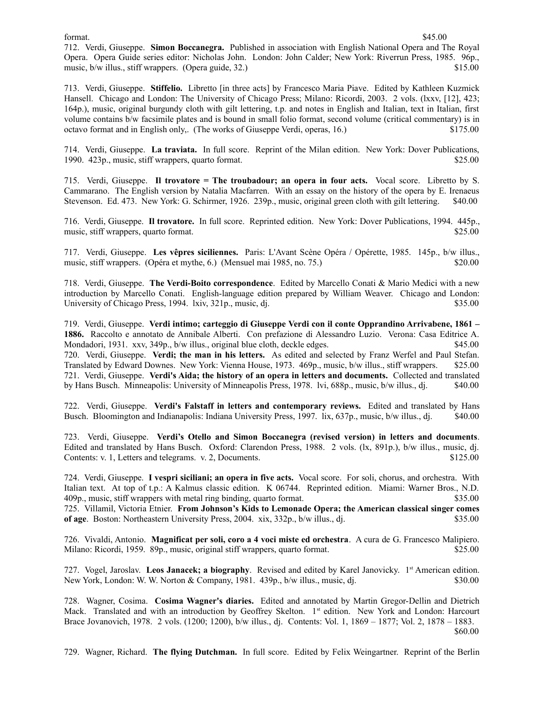712. Verdi, Giuseppe. **Simon Boccanegra.** Published in association with English National Opera and The Royal Opera. Opera Guide series editor: Nicholas John. London: John Calder; New York: Riverrun Press, 1985. 96p., music, b/w illus., stiff wrappers. (Opera guide, 32.) \$15.00

713. Verdi, Giuseppe. **Stiffelio.** Libretto [in three acts] by Francesco Maria Piave. Edited by Kathleen Kuzmick Hansell. Chicago and London: The University of Chicago Press; Milano: Ricordi, 2003. 2 vols. (lxxv, [12], 423; 164p.), music, original burgundy cloth with gilt lettering, t.p. and notes in English and Italian, text in Italian, first volume contains b/w facsimile plates and is bound in small folio format, second volume (critical commentary) is in octavo format and in English only,. (The works of Giuseppe Verdi, operas, 16.) \$175.00

714. Verdi, Giuseppe. **La traviata.** In full score. Reprint of the Milan edition. New York: Dover Publications, 1990. 423p., music, stiff wrappers, quarto format. \$25.00

715. Verdi, Giuseppe. **Il trovatore = The troubadour; an opera in four acts.** Vocal score. Libretto by S. Cammarano. The English version by Natalia Macfarren. With an essay on the history of the opera by E. Irenaeus Stevenson. Ed. 473. New York: G. Schirmer, 1926. 239p., music, original green cloth with gilt lettering. \$40.00

716. Verdi, Giuseppe. **Il trovatore.** In full score. Reprinted edition. New York: Dover Publications, 1994. 445p., music, stiff wrappers, quarto format.  $$25.00$ 

717. Verdi, Giuseppe. **Les vêpres siciliennes.** Paris: L'Avant Scène Opéra / Opérette, 1985. 145p., b/w illus., music, stiff wrappers. (Opéra et mythe, 6.) (Mensuel mai 1985, no. 75.) \$20.00

718. Verdi, Giuseppe. **The Verdi-Boito correspondence**. Edited by Marcello Conati & Mario Medici with a new introduction by Marcello Conati. English-language edition prepared by William Weaver. Chicago and London: University of Chicago Press, 1994. lxiv, 321p., music, dj.  $$35.00$ 

719. Verdi, Giuseppe. **Verdi intimo; carteggio di Giuseppe Verdi con il conte Opprandino Arrivabene, 1861 – 1886.** Raccolto e annotato de Annibale Alberti. Con prefazione di Alessandro Luzio. Verona: Casa Editrice A. Mondadori, 1931. xxv, 349p., b/w illus., original blue cloth, deckle edges. \$45.00 720. Verdi, Giuseppe. **Verdi; the man in his letters.** As edited and selected by Franz Werfel and Paul Stefan. Translated by Edward Downes. New York: Vienna House, 1973. 469p., music, b/w illus., stiff wrappers. \$25.00 721. Verdi, Giuseppe. **Verdi's Aida; the history of an opera in letters and documents.** Collected and translated by Hans Busch. Minneapolis: University of Minneapolis Press, 1978. lvi, 688p., music, b/w illus., dj. \$40.00

722. Verdi, Giuseppe. **Verdi's Falstaff in letters and contemporary reviews.** Edited and translated by Hans Busch. Bloomington and Indianapolis: Indiana University Press, 1997. lix, 637p., music, b/w illus., dj. \$40.00

723. Verdi, Giuseppe. **Verdi's Otello and Simon Boccanegra (revised version) in letters and documents**. Edited and translated by Hans Busch. Oxford: Clarendon Press, 1988. 2 vols. (lx, 891p.), b/w illus., music, dj. Contents: v. 1, Letters and telegrams. v. 2, Documents. \$125.00

724. Verdi, Giuseppe. **I vespri siciliani; an opera in five acts.** Vocal score. For soli, chorus, and orchestra. With Italian text. At top of t.p.: A Kalmus classic edition. K 06744. Reprinted edition. Miami: Warner Bros., N.D. 409p., music, stiff wrappers with metal ring binding, quarto format. \$35.00

725. Villamil, Victoria Etnier. **From Johnson's Kids to Lemonade Opera; the American classical singer comes of age**. Boston: Northeastern University Press, 2004. xix, 332p., b/w illus., dj.  $\frac{1}{2}$  \$35.00

726. Vivaldi, Antonio. **Magnificat per soli, coro a 4 voci miste ed orchestra**. A cura de G. Francesco Malipiero. Milano: Ricordi, 1959. 89p., music, original stiff wrappers, quarto format. \$25.00

727. Vogel, Jaroslav. **Leos Janacek; a biography**. Revised and edited by Karel Janovicky. 1st American edition. New York, London: W. W. Norton & Company, 1981. 439p., b/w illus., music, dj. \$30.00

728. Wagner, Cosima. **Cosima Wagner's diaries.** Edited and annotated by Martin Gregor-Dellin and Dietrich Mack. Translated and with an introduction by Geoffrey Skelton. 1<sup>st</sup> edition. New York and London: Harcourt Brace Jovanovich, 1978. 2 vols. (1200; 1200), b/w illus., dj. Contents: Vol. 1, 1869 – 1877; Vol. 2, 1878 – 1883. \$60.00

729. Wagner, Richard. **The flying Dutchman.** In full score. Edited by Felix Weingartner. Reprint of the Berlin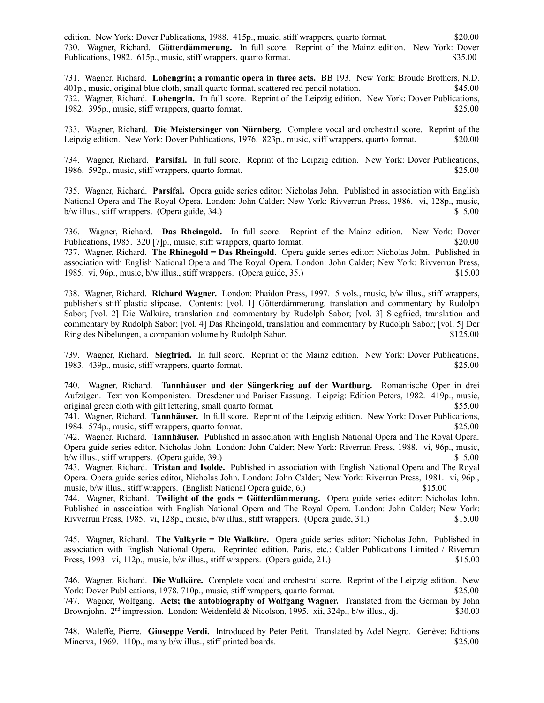edition. New York: Dover Publications, 1988. 415p., music, stiff wrappers, quarto format. \$20.00 730. Wagner, Richard. **Götterdämmerung.** In full score. Reprint of the Mainz edition. New York: Dover Publications, 1982. 615p., music, stiff wrappers, quarto format. \$35.00

731. Wagner, Richard. **Lohengrin; a romantic opera in three acts.** BB 193. New York: Broude Brothers, N.D. 401p., music, original blue cloth, small quarto format, scattered red pencil notation. \$45.00 732. Wagner, Richard. **Lohengrin.** In full score. Reprint of the Leipzig edition. New York: Dover Publications, 1982. 395p., music, stiff wrappers, quarto format. \$25.00

733. Wagner, Richard. **Die Meistersinger von Nürnberg.** Complete vocal and orchestral score. Reprint of the Leipzig edition. New York: Dover Publications, 1976. 823p., music, stiff wrappers, quarto format. \$20.00

734. Wagner, Richard. **Parsifal.** In full score. Reprint of the Leipzig edition. New York: Dover Publications, 1986. 592p., music, stiff wrappers, quarto format. \$25.00

735. Wagner, Richard. **Parsifal.** Opera guide series editor: Nicholas John. Published in association with English National Opera and The Royal Opera. London: John Calder; New York: Rivverrun Press, 1986. vi, 128p., music,  $b/w$  illus., stiff wrappers. (Opera guide, 34.)  $$15.00$ 

736. Wagner, Richard. **Das Rheingold.** In full score. Reprint of the Mainz edition. New York: Dover Publications, 1985. 320 [7]p., music, stiff wrappers, quarto format. \$20.00 737. Wagner, Richard. **The Rhinegold = Das Rheingold.** Opera guide series editor: Nicholas John. Published in association with English National Opera and The Royal Opera. London: John Calder; New York: Rivverrun Press, 1985. vi, 96p., music, b/w illus., stiff wrappers. (Opera guide, 35.) \$15.00

738. Wagner, Richard. **Richard Wagner.** London: Phaidon Press, 1997. 5 vols., music, b/w illus., stiff wrappers, publisher's stiff plastic slipcase. Contents: [vol. 1] Götterdämmerung, translation and commentary by Rudolph Sabor; [vol. 2] Die Walküre, translation and commentary by Rudolph Sabor; [vol. 3] Siegfried, translation and commentary by Rudolph Sabor; [vol. 4] Das Rheingold, translation and commentary by Rudolph Sabor; [vol. 5] Der Ring des Nibelungen, a companion volume by Rudolph Sabor. \$125.00

739. Wagner, Richard. **Siegfried.** In full score. Reprint of the Mainz edition. New York: Dover Publications, 1983. 439p., music, stiff wrappers, quarto format. \$25.00

740. Wagner, Richard. **Tannhäuser und der Sängerkrieg auf der Wartburg.** Romantische Oper in drei Aufzügen. Text von Komponisten. Dresdener und Pariser Fassung. Leipzig: Edition Peters, 1982. 419p., music, original green cloth with gilt lettering, small quarto format. \$55.00

741. Wagner, Richard. **Tannhäuser.** In full score. Reprint of the Leipzig edition. New York: Dover Publications, 1984. 574p., music, stiff wrappers, quarto format. \$25.00

742. Wagner, Richard. **Tannhäuser.** Published in association with English National Opera and The Royal Opera. Opera guide series editor, Nicholas John. London: John Calder; New York: Riverrun Press, 1988. vi, 96p., music, b/w illus., stiff wrappers. (Opera guide, 39.) \$15.00

743. Wagner, Richard. **Tristan and Isolde.** Published in association with English National Opera and The Royal Opera. Opera guide series editor, Nicholas John. London: John Calder; New York: Riverrun Press, 1981. vi, 96p., music, b/w illus., stiff wrappers. (English National Opera guide, 6.) \$15.00

744. Wagner, Richard. **Twilight of the gods = Götterdämmerung.** Opera guide series editor: Nicholas John. Published in association with English National Opera and The Royal Opera. London: John Calder; New York: Rivverrun Press, 1985. vi, 128p., music, b/w illus., stiff wrappers. (Opera guide, 31.) \$15.00

745. Wagner, Richard. **The Valkyrie = Die Walküre.** Opera guide series editor: Nicholas John. Published in association with English National Opera. Reprinted edition. Paris, etc.: Calder Publications Limited / Riverrun Press, 1993. vi, 112p., music, b/w illus., stiff wrappers. (Opera guide, 21.) \$15.00

746. Wagner, Richard. **Die Walküre.** Complete vocal and orchestral score. Reprint of the Leipzig edition. New York: Dover Publications, 1978. 710p., music, stiff wrappers, quarto format. \$25.00 747. Wagner, Wolfgang. **Acts; the autobiography of Wolfgang Wagner.** Translated from the German by John Brownjohn. 2<sup>nd</sup> impression. London: Weidenfeld & Nicolson, 1995. xii, 324p., b/w illus., dj. \$30.00

748. Waleffe, Pierre. **Giuseppe Verdi.** Introduced by Peter Petit. Translated by Adel Negro. Genève: Editions Minerva, 1969. 110p., many b/w illus., stiff printed boards. \$25.00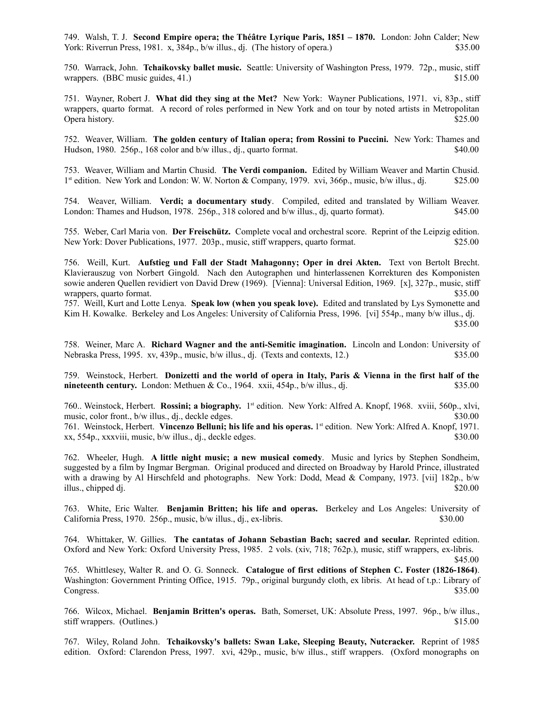749. Walsh, T. J. **Second Empire opera; the Théâtre Lyrique Paris, 1851 – 1870.** London: John Calder; New York: Riverrun Press, 1981. x, 384p., b/w illus., di. (The history of opera.) \$35.00

750. Warrack, John. **Tchaikovsky ballet music.** Seattle: University of Washington Press, 1979. 72p., music, stiff wrappers. (BBC music guides, 41.) \$15.00

751. Wayner, Robert J. **What did they sing at the Met?** New York: Wayner Publications, 1971. vi, 83p., stiff wrappers, quarto format. A record of roles performed in New York and on tour by noted artists in Metropolitan Opera history. \$25.00

752. Weaver, William. **The golden century of Italian opera; from Rossini to Puccini.** New York: Thames and Hudson, 1980. 256p., 168 color and b/w illus., dj., quarto format. \$40.00

753. Weaver, William and Martin Chusid. **The Verdi companion.** Edited by William Weaver and Martin Chusid. 1<sup>st</sup> edition. New York and London: W. W. Norton & Company, 1979. xvi, 366p., music, b/w illus., dj. \$25.00

754. Weaver, William. **Verdi; a documentary study**. Compiled, edited and translated by William Weaver. London: Thames and Hudson, 1978. 256p., 318 colored and b/w illus., dj. quarto format). \$45.00

755. Weber, Carl Maria von. **Der Freischütz.** Complete vocal and orchestral score. Reprint of the Leipzig edition. New York: Dover Publications, 1977. 203p., music, stiff wrappers, quarto format. \$25.00

756. Weill, Kurt. **Aufstieg und Fall der Stadt Mahagonny; Oper in drei Akten.** Text von Bertolt Brecht. Klavierauszug von Norbert Gingold. Nach den Autographen und hinterlassenen Korrekturen des Komponisten sowie anderen Quellen revidiert von David Drew (1969). [Vienna]: Universal Edition, 1969. [x], 327p., music, stiff wrappers, quarto format.  $$35.00$ 

757. Weill, Kurt and Lotte Lenya. **Speak low (when you speak love).** Edited and translated by Lys Symonette and Kim H. Kowalke. Berkeley and Los Angeles: University of California Press, 1996. [vi] 554p., many b/w illus., dj. \$35.00

758. Weiner, Marc A. **Richard Wagner and the anti-Semitic imagination.** Lincoln and London: University of Nebraska Press, 1995. xv, 439p., music, b/w illus., dj. (Texts and contexts, 12.) \$35.00

759. Weinstock, Herbert. **Donizetti and the world of opera in Italy, Paris & Vienna in the first half of the nineteenth century.** London: Methuen & Co., 1964. xxii, 454p., b/w illus., dj. \$35.00

760.. Weinstock, Herbert. **Rossini; a biography.** 1 st edition.New York: Alfred A. Knopf, 1968. xviii, 560p., xlvi, music, color front., b/w illus., dj., deckle edges. \$30.00

761. Weinstock, Herbert. **Vincenzo Belluni; his life and his operas.** 1 st edition.New York: Alfred A. Knopf, 1971. xx, 554p., xxxviii, music, b/w illus., dj., deckle edges. \$30.00

762. Wheeler, Hugh. **A little night music; a new musical comedy**. Music and lyrics by Stephen Sondheim, suggested by a film by Ingmar Bergman. Original produced and directed on Broadway by Harold Prince, illustrated with a drawing by Al Hirschfeld and photographs. New York: Dodd, Mead & Company, 1973. [vii] 182p., b/w illus., chipped dj.  $$20.00$ 

763. White, Eric Walter. **Benjamin Britten; his life and operas.** Berkeley and Los Angeles: University of California Press, 1970. 256p., music, b/w illus., dj., ex-libris. \$30.00

764. Whittaker, W. Gillies. **The cantatas of Johann Sebastian Bach; sacred and secular.** Reprinted edition. Oxford and New York: Oxford University Press, 1985. 2 vols. (xiv, 718; 762p.), music, stiff wrappers, ex-libris.

765. Whittlesey, Walter R. and O. G. Sonneck. **Catalogue of first editions of Stephen C. Foster (1826-1864)**. Washington: Government Printing Office, 1915. 79p., original burgundy cloth, ex libris. At head of t.p.: Library of Congress. \$35.00

766. Wilcox, Michael. **Benjamin Britten's operas.** Bath, Somerset, UK: Absolute Press, 1997. 96p., b/w illus., stiff wrappers. (Outlines.) \$15.00

767. Wiley, Roland John. **Tchaikovsky's ballets: Swan Lake, Sleeping Beauty, Nutcracker.** Reprint of 1985 edition. Oxford: Clarendon Press, 1997. xvi, 429p., music, b/w illus., stiff wrappers. (Oxford monographs on

 <sup>\$45.00</sup>